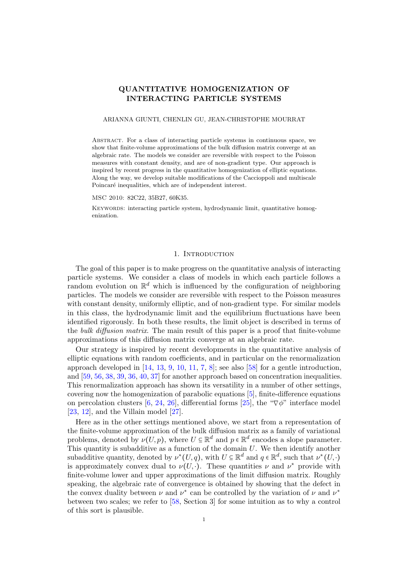# QUANTITATIVE HOMOGENIZATION OF INTERACTING PARTICLE SYSTEMS

#### ARIANNA GIUNTI, CHENLIN GU, JEAN-CHRISTOPHE MOURRAT

Abstract. For a class of interacting particle systems in continuous space, we show that finite-volume approximations of the bulk diffusion matrix converge at an algebraic rate. The models we consider are reversible with respect to the Poisson measures with constant density, and are of non-gradient type. Our approach is inspired by recent progress in the quantitative homogenization of elliptic equations. Along the way, we develop suitable modifications of the Caccioppoli and multiscale Poincaré inequalities, which are of independent interest.

MSC 2010: 82C22, 35B27, 60K35.

Keywords: interacting particle system, hydrodynamic limit, quantitative homogenization.

# 1. INTRODUCTION

The goal of this paper is to make progress on the quantitative analysis of interacting particle systems. We consider a class of models in which each particle follows a random evolution on  $\mathbb{R}^d$  which is influenced by the configuration of neighboring particles. The models we consider are reversible with respect to the Poisson measures with constant density, uniformly elliptic, and of non-gradient type. For similar models in this class, the hydrodynamic limit and the equilibrium fluctuations have been identified rigorously. In both these results, the limit object is described in terms of the bulk diffusion matrix. The main result of this paper is a proof that finite-volume approximations of this diffusion matrix converge at an algebraic rate.

Our strategy is inspired by recent developments in the quantitative analysis of elliptic equations with random coefficients, and in particular on the renormalization approach developed in  $[14, 13, 9, 10, 11, 7, 8]$  $[14, 13, 9, 10, 11, 7, 8]$  $[14, 13, 9, 10, 11, 7, 8]$  $[14, 13, 9, 10, 11, 7, 8]$  $[14, 13, 9, 10, 11, 7, 8]$  $[14, 13, 9, 10, 11, 7, 8]$  $[14, 13, 9, 10, 11, 7, 8]$  $[14, 13, 9, 10, 11, 7, 8]$  $[14, 13, 9, 10, 11, 7, 8]$  $[14, 13, 9, 10, 11, 7, 8]$  $[14, 13, 9, 10, 11, 7, 8]$  $[14, 13, 9, 10, 11, 7, 8]$ ; see also  $[58]$  for a gentle introduction, and [\[59,](#page-59-1) [56,](#page-59-2) [38,](#page-58-0) [39,](#page-58-1) [36,](#page-58-2) [40,](#page-58-3) [37\]](#page-58-4) for another approach based on concentration inequalities. This renormalization approach has shown its versatility in a number of other settings, covering now the homogenization of parabolic equations [\[5\]](#page-57-7), finite-difference equations on percolation clusters [\[6,](#page-57-8) [24,](#page-58-5) [26\]](#page-58-6), differential forms [\[25\]](#page-58-7), the " $\nabla \phi$ " interface model [\[23,](#page-58-8) [12\]](#page-57-9), and the Villain model [\[27\]](#page-58-9).

Here as in the other settings mentioned above, we start from a representation of the finite-volume approximation of the bulk diffusion matrix as a family of variational problems, denoted by  $\nu(U, p)$ , where  $U \subseteq \mathbb{R}^d$  and  $p \in \mathbb{R}^d$  encodes a slope parameter. This quantity is subadditive as a function of the domain  $U$ . We then identify another subadditive quantity, denoted by  $\nu^*(U, q)$ , with  $U \subseteq \mathbb{R}^d$  and  $q \in \mathbb{R}^d$ , such that  $\nu^*(U, \cdot)$ is approximately convex dual to  $\nu(U, \cdot)$ . These quantities  $\nu$  and  $\nu^*$  provide with finite-volume lower and upper approximations of the limit diffusion matrix. Roughly speaking, the algebraic rate of convergence is obtained by showing that the defect in the convex duality between  $\nu$  and  $\nu^*$  can be controlled by the variation of  $\nu$  and  $\nu^*$ between two scales; we refer to [\[58,](#page-59-0) Section 3] for some intuition as to why a control of this sort is plausible.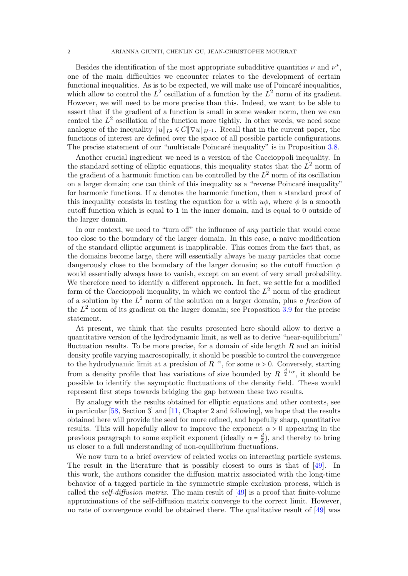Besides the identification of the most appropriate subadditive quantities  $\nu$  and  $\nu^*$ , one of the main difficulties we encounter relates to the development of certain functional inequalities. As is to be expected, we will make use of Poincaré inequalities, which allow to control the  $L^2$  oscillation of a function by the  $L^2$  norm of its gradient. However, we will need to be more precise than this. Indeed, we want to be able to assert that if the gradient of a function is small in some weaker norm, then we can control the  $L^2$  oscillation of the function more tightly. In other words, we need some analogue of the inequality  $||u||_{L^2} \le C||\nabla u||_{H^{-1}}$ . Recall that in the current paper, the functions of interest are defined over the space of all possible particle configurations. The precise statement of our "multiscale Poincaré inequality" is in Proposition [3.8.](#page-13-0)

Another crucial ingredient we need is a version of the Caccioppoli inequality. In the standard setting of elliptic equations, this inequality states that the  $L^2$  norm of the gradient of a harmonic function can be controlled by the  $L^2$  norm of its oscillation on a larger domain; one can think of this inequality as a "reverse Poincaré inequality" for harmonic functions. If u denotes the harmonic function, then a standard proof of this inequality consists in testing the equation for u with  $u\phi$ , where  $\phi$  is a smooth cutoff function which is equal to 1 in the inner domain, and is equal to 0 outside of the larger domain.

In our context, we need to "turn off" the influence of any particle that would come too close to the boundary of the larger domain. In this case, a naive modification of the standard elliptic argument is inapplicable. This comes from the fact that, as the domains become large, there will essentially always be many particles that come dangerously close to the boundary of the larger domain; so the cutoff function  $\phi$ would essentially always have to vanish, except on an event of very small probability. We therefore need to identify a different approach. In fact, we settle for a modified form of the Caccioppoli inequality, in which we control the  $L^2$  norm of the gradient of a solution by the  $L^2$  norm of the solution on a larger domain, plus a fraction of the  $L^2$  norm of its gradient on the larger domain; see Proposition [3.9](#page-18-0) for the precise statement.

At present, we think that the results presented here should allow to derive a quantitative version of the hydrodynamic limit, as well as to derive "near-equilibrium" fluctuation results. To be more precise, for a domain of side length  $R$  and an initial density profile varying macroscopically, it should be possible to control the convergence to the hydrodynamic limit at a precision of  $R^{-\alpha}$ , for some  $\alpha > 0$ . Conversely, starting from a density profile that has variations of size bounded by  $R^{-\frac{d}{2}+\alpha}$ , it should be possible to identify the asymptotic fluctuations of the density field. These would represent first steps towards bridging the gap between these two results.

By analogy with the results obtained for elliptic equations and other contexts, see in particular [\[58,](#page-59-0) Section 3] and [\[11,](#page-57-4) Chapter 2 and following], we hope that the results obtained here will provide the seed for more refined, and hopefully sharp, quantitative results. This will hopefully allow to improve the exponent  $\alpha > 0$  appearing in the previous paragraph to some explicit exponent (ideally  $\alpha = \frac{d}{2}$  $\frac{d}{2}$ , and thereby to bring us closer to a full understanding of non-equilibrium fluctuations.

We now turn to a brief overview of related works on interacting particle systems. The result in the literature that is possibly closest to ours is that of [\[49\]](#page-59-3). In this work, the authors consider the diffusion matrix associated with the long-time behavior of a tagged particle in the symmetric simple exclusion process, which is called the *self-diffusion matrix*. The main result of  $[49]$  is a proof that finite-volume approximations of the self-diffusion matrix converge to the correct limit. However, no rate of convergence could be obtained there. The qualitative result of  $[49]$  was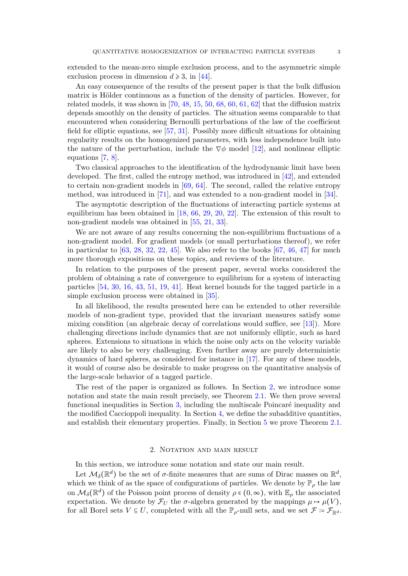extended to the mean-zero simple exclusion process, and to the asymmetric simple exclusion process in dimension  $d \ge 3$ , in [\[44\]](#page-58-10).

An easy consequence of the results of the present paper is that the bulk diffusion matrix is Hölder continuous as a function of the density of particles. However, for related models, it was shown in  $[70, 48, 15, 50, 68, 60, 61, 62]$  $[70, 48, 15, 50, 68, 60, 61, 62]$  $[70, 48, 15, 50, 68, 60, 61, 62]$  $[70, 48, 15, 50, 68, 60, 61, 62]$  $[70, 48, 15, 50, 68, 60, 61, 62]$  $[70, 48, 15, 50, 68, 60, 61, 62]$  $[70, 48, 15, 50, 68, 60, 61, 62]$  $[70, 48, 15, 50, 68, 60, 61, 62]$  $[70, 48, 15, 50, 68, 60, 61, 62]$  $[70, 48, 15, 50, 68, 60, 61, 62]$  $[70, 48, 15, 50, 68, 60, 61, 62]$  $[70, 48, 15, 50, 68, 60, 61, 62]$  $[70, 48, 15, 50, 68, 60, 61, 62]$  $[70, 48, 15, 50, 68, 60, 61, 62]$  that the diffusion matrix depends smoothly on the density of particles. The situation seems comparable to that encountered when considering Bernoulli perturbations of the law of the coefficient field for elliptic equations, see [\[57,](#page-59-10) [31\]](#page-58-12). Possibly more difficult situations for obtaining regularity results on the homogenized parameters, with less independence built into the nature of the perturbation, include the  $\nabla \phi$  model [\[12\]](#page-57-9), and nonlinear elliptic equations [\[7,](#page-57-5) [8\]](#page-57-6).

Two classical approaches to the identification of the hydrodynamic limit have been developed. The first, called the entropy method, was introduced in [\[42\]](#page-58-13), and extended to certain non-gradient models in [\[69,](#page-59-11) [64\]](#page-59-12). The second, called the relative entropy method, was introduced in [\[71\]](#page-59-13), and was extended to a non-gradient model in [\[34\]](#page-58-14).

The asymptotic description of the fluctuations of interacting particle systems at equilibrium has been obtained in [\[18,](#page-57-11) [66,](#page-59-14) [29,](#page-58-15) [20,](#page-58-16) [22\]](#page-58-17). The extension of this result to non-gradient models was obtained in [\[55,](#page-59-15) [21,](#page-58-18) [33\]](#page-58-19).

We are not aware of any results concerning the non-equilibrium fluctuations of a non-gradient model. For gradient models (or small perturbations thereof), we refer in particular to  $[63, 28, 32, 22, 45]$  $[63, 28, 32, 22, 45]$  $[63, 28, 32, 22, 45]$  $[63, 28, 32, 22, 45]$  $[63, 28, 32, 22, 45]$  $[63, 28, 32, 22, 45]$  $[63, 28, 32, 22, 45]$  $[63, 28, 32, 22, 45]$ . We also refer to the books  $[67, 46, 47]$  $[67, 46, 47]$  $[67, 46, 47]$  $[67, 46, 47]$  for much more thorough expositions on these topics, and reviews of the literature.

In relation to the purposes of the present paper, several works considered the problem of obtaining a rate of convergence to equilibrium for a system of interacting particles [\[54,](#page-59-18) [30,](#page-58-25) [16,](#page-57-12) [43,](#page-58-26) [51,](#page-59-19) [19,](#page-57-13) [41\]](#page-58-27). Heat kernel bounds for the tagged particle in a simple exclusion process were obtained in [\[35\]](#page-58-28).

In all likelihood, the results presented here can be extended to other reversible models of non-gradient type, provided that the invariant measures satisfy some mixing condition (an algebraic decay of correlations would suffice, see [\[13\]](#page-57-1)). More challenging directions include dynamics that are not uniformly elliptic, such as hard spheres. Extensions to situations in which the noise only acts on the velocity variable are likely to also be very challenging. Even further away are purely deterministic dynamics of hard spheres, as considered for instance in [\[17\]](#page-57-14). For any of these models, it would of course also be desirable to make progress on the quantitative analysis of the large-scale behavior of a tagged particle.

The rest of the paper is organized as follows. In Section [2,](#page-2-0) we introduce some notation and state the main result precisely, see Theorem [2.1.](#page-3-0) We then prove several functional inequalities in Section [3,](#page-7-0) including the multiscale Poincaré inequality and the modified Caccioppoli inequality. In Section [4,](#page-22-0) we define the subadditive quantities, and establish their elementary properties. Finally, in Section [5](#page-32-0) we prove Theorem [2.1.](#page-3-0)

### 2. NOTATION AND MAIN RESULT

<span id="page-2-0"></span>In this section, we introduce some notation and state our main result.

Let  $\mathcal{M}_{\delta}(\mathbb{R}^d)$  be the set of  $\sigma$ -finite measures that are sums of Dirac masses on  $\mathbb{R}^d$ , which we think of as the space of configurations of particles. We denote by  $\mathbb{P}_{\rho}$  the law on  $\mathcal{M}_{\delta}(\mathbb{R}^d)$  of the Poisson point process of density  $\rho \in (0, \infty)$ , with  $\mathbb{E}_{\rho}$  the associated expectation. We denote by  $\mathcal{F}_U$  the  $\sigma$ -algebra generated by the mappings  $\mu \mapsto \mu(V)$ , for all Borel sets  $V \subseteq U$ , completed with all the  $\mathbb{P}_{\rho}$ -null sets, and we set  $\mathcal{F} = \mathcal{F}_{\mathbb{R}^d}$ .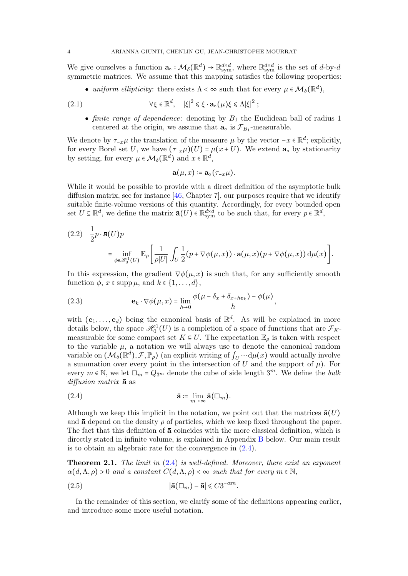We give ourselves a function  $\mathbf{a}_{\circ}: \mathcal{M}_{\delta}(\mathbb{R}^d) \to \mathbb{R}^{d \times d}_{sym}$ , where  $\mathbb{R}^{d \times d}_{sym}$  is the set of d-by-d symmetric matrices. We assume that this mapping satisfies the following properties:

• uniform ellipticity: there exists  $\Lambda < \infty$  such that for every  $\mu \in \mathcal{M}_{\delta}(\mathbb{R}^d)$ ,

(2.1) 
$$
\forall \xi \in \mathbb{R}^d, \quad |\xi|^2 \leq \xi \cdot \mathbf{a}_\circ(\mu) \xi \leq \Lambda |\xi|^2 ;
$$

• finite range of dependence: denoting by  $B_1$  the Euclidean ball of radius 1 centered at the origin, we assume that  $\mathbf{a}_{\text{o}}$  is  $\mathcal{F}_{B_1}$ -measurable.

We denote by  $\tau_{-x}\mu$  the translation of the measure  $\mu$  by the vector  $-x \in \mathbb{R}^d$ ; explicitly, for every Borel set U, we have  $(\tau_{-x}\mu)(U) = \mu(x+U)$ . We extend  $\mathbf{a}_o$  by stationarity by setting, for every  $\mu \in \mathcal{M}_{\delta}(\mathbb{R}^d)$  and  $x \in \mathbb{R}^d$ ,

$$
\mathbf{a}(\mu,x)\coloneqq\mathbf{a}_{\circ}(\tau_{-x}\mu).
$$

While it would be possible to provide with a direct definition of the asymptotic bulk diffusion matrix, see for instance  $[46,$  Chapter 7, our purposes require that we identify suitable finite-volume versions of this quantity. Accordingly, for every bounded open set  $U \subseteq \mathbb{R}^d$ , we define the matrix  $\bar{\mathbf{a}}(U) \in \mathbb{R}^{d \times d}_{sym}$  to be such that, for every  $p \in \mathbb{R}^d$ ,

$$
(2.2) \quad \frac{1}{2}p \cdot \mathbf{\bar{a}}(U)p
$$
\n
$$
= \inf_{\phi \in \mathcal{H}_0^1(U)} \mathbb{E}_{\rho} \left[ \frac{1}{\rho|U|} \int_U \frac{1}{2} (p + \nabla \phi(\mu, x)) \cdot \mathbf{a}(\mu, x) (p + \nabla \phi(\mu, x)) \, \mathrm{d}\mu(x) \right].
$$

In this expression, the gradient  $\nabla \phi(\mu, x)$  is such that, for any sufficiently smooth function  $\phi$ ,  $x \in \text{supp }\mu$ , and  $k \in \{1, ..., d\}$ ,

<span id="page-3-2"></span>(2.3) 
$$
\mathbf{e}_k \cdot \nabla \phi(\mu, x) = \lim_{h \to 0} \frac{\phi(\mu - \delta_x + \delta_{x + h \mathbf{e}_k}) - \phi(\mu)}{h},
$$

with  $(e_1, \ldots, e_d)$  being the canonical basis of  $\mathbb{R}^d$ . As will be explained in more details below, the space  $\mathscr{H}_0^1(U)$  is a completion of a space of functions that are  $\mathcal{F}_K$ measurable for some compact set  $K \subseteq U$ . The expectation  $\mathbb{E}_{\rho}$  is taken with respect to the variable  $\mu$ , a notation we will always use to denote the canonical random variable on  $(\mathcal{M}_{\delta}(\mathbb{R}^d), \mathcal{F}, \mathbb{P}_{\rho})$  (an explicit writing of  $\int_U \cdots d\mu(x)$  would actually involve a summation over every point in the intersection of U and the support of  $\mu$ ). For every  $m \in \mathbb{N}$ , we let  $\Box_m = Q_{3^m}$  denote the cube of side length  $3^m$ . We define the *bulk* diffusion matrix  $\bar{a}$  as

<span id="page-3-1"></span>
$$
\mathbf{\bar{a}} \coloneqq \lim_{m \to \infty} \mathbf{\bar{a}}(\square_m).
$$

Although we keep this implicit in the notation, we point out that the matrices  $\bar{\mathbf{a}}(U)$ and  $\bar{a}$  depend on the density  $\rho$  of particles, which we keep fixed throughout the paper. The fact that this definition of  $\bar{a}$  coincides with the more classical definition, which is directly stated in infinite volume, is explained in Appendix [B](#page-45-0) below. Our main result is to obtain an algebraic rate for the convergence in  $(2.4)$ .

<span id="page-3-0"></span>**Theorem 2.1.** The limit in  $(2.4)$  is well-defined. Moreover, there exist an exponent  $\alpha(d, \Lambda, \rho) > 0$  and a constant  $C(d, \Lambda, \rho) < \infty$  such that for every  $m \in \mathbb{N}$ ,

$$
|\mathbf{\bar{a}}(\square_m) - \mathbf{\bar{a}}| \leq C3^{-\alpha m}.
$$

In the remainder of this section, we clarify some of the definitions appearing earlier, and introduce some more useful notation.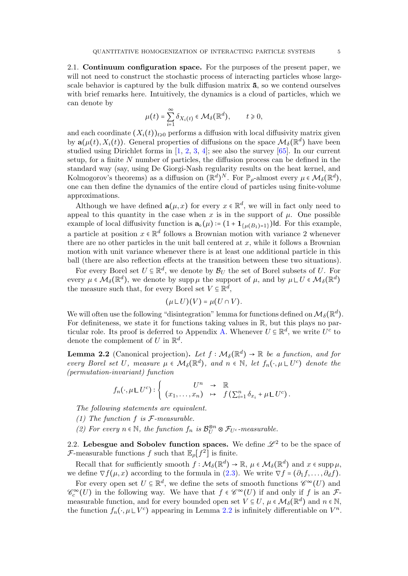2.1. Continuum configuration space. For the purposes of the present paper, we will not need to construct the stochastic process of interacting particles whose largescale behavior is captured by the bulk diffusion matrix  $\bar{a}$ , so we contend ourselves with brief remarks here. Intuitively, the dynamics is a cloud of particles, which we can denote by

$$
\mu(t) = \sum_{i=1}^{\infty} \delta_{X_i(t)} \in \mathcal{M}_{\delta}(\mathbb{R}^d), \qquad t \geq 0,
$$

and each coordinate  $(X_i(t))_{t\geq0}$  performs a diffusion with local diffusivity matrix given by  $\mathbf{a}(\mu(t), X_i(t))$ . General properties of diffusions on the space  $\mathcal{M}_{\delta}(\mathbb{R}^d)$  have been studied using Dirichlet forms in [\[1,](#page-56-0) [2,](#page-56-1) [3,](#page-57-15) [4\]](#page-57-16); see also the survey [\[65\]](#page-59-20). In our current setup, for a finite N number of particles, the diffusion process can be defined in the standard way (say, using De Giorgi-Nash regularity results on the heat kernel, and Kolmogorov's theorems) as a diffusion on  $(\mathbb{R}^d)^N$ . For  $\mathbb{P}_{\rho}$ -almost every  $\mu \in \mathcal{M}_{\delta}(\mathbb{R}^d)$ , one can then define the dynamics of the entire cloud of particles using finite-volume approximations.

Although we have defined  $\mathbf{a}(\mu, x)$  for every  $x \in \mathbb{R}^d$ , we will in fact only need to appeal to this quantity in the case when x is in the support of  $\mu$ . One possible example of local diffusivity function is  $\mathbf{a}_{\circ}(\mu) := (1 + \mathbf{1}_{\{\mu(B_1) = 1\}})$ Id. For this example, a particle at position  $x \in \mathbb{R}^d$  follows a Brownian motion with variance 2 whenever there are no other particles in the unit ball centered at  $x$ , while it follows a Brownian motion with unit variance whenever there is at least one additional particle in this ball (there are also reflection effects at the transition between these two situations).

For every Borel set  $U \subseteq \mathbb{R}^d$ , we denote by  $\mathcal{B}_U$  the set of Borel subsets of U. For every  $\mu \in \mathcal{M}_{\delta}(\mathbb{R}^d)$ , we denote by supp $\mu$  the support of  $\mu$ , and by  $\mu \sqcup U \in \mathcal{M}_{\delta}(\mathbb{R}^d)$ the measure such that, for every Borel set  $V \subseteq \mathbb{R}^d$ ,

$$
(\mu \sqcup U)(V) = \mu(U \cap V).
$$

We will often use the following "disintegration" lemma for functions defined on  $\mathcal{M}_{\delta}(\mathbb{R}^d)$ . For definiteness, we state it for functions taking values in  $\mathbb{R}$ , but this plays no par-ticular role. Its proof is deferred to Appendix [A.](#page-41-0) Whenever  $U \subseteq \mathbb{R}^d$ , we write  $U^c$  to denote the complement of U in  $\mathbb{R}^d$ .

<span id="page-4-0"></span>**Lemma 2.2** (Canonical projection). Let  $f : \mathcal{M}_{\delta}(\mathbb{R}^d) \to \mathbb{R}$  be a function, and for every Borel set U, measure  $\mu \in \mathcal{M}_{\delta}(\mathbb{R}^d)$ , and  $n \in \mathbb{N}$ , let  $f_n(\cdot, \mu \sqcup U^c)$  denote the (permutation-invariant) function

$$
f_n(\cdot,\mu\,\sqcup U^c): \left\{\begin{array}{rcl} U^n & \to & \mathbb{R} \\ (x_1,\ldots,x_n) & \mapsto & f\left(\sum_{i=1}^n \delta_{x_i} + \mu \,\sqcup U^c\right). \end{array}\right.
$$

The following statements are equivalent.

- (1) The function  $f$  is  $F$ -measurable.
- (2) For every  $n \in \mathbb{N}$ , the function  $f_n$  is  $\mathcal{B}_U^{\otimes n} \otimes \mathcal{F}_{U^c}$ -measurable.

2.2. Lebesgue and Sobolev function spaces. We define  $\mathscr{L}^2$  to be the space of F-measurable functions f such that  $\mathbb{E}_{\rho}[f^2]$  is finite.

Recall that for sufficiently smooth  $f: \mathcal{M}_{\delta}(\mathbb{R}^d) \to \mathbb{R}, \mu \in \mathcal{M}_{\delta}(\mathbb{R}^d)$  and  $x \in \mathrm{supp} \mu$ , we define  $\nabla f(\mu, x)$  according to the formula in  $(2.3)$ . We write  $\nabla f = (\partial_1 f, \dots, \partial_d f)$ .

For every open set  $U \subseteq \mathbb{R}^d$ , we define the sets of smooth functions  $\mathscr{C}^{\infty}(U)$  and  $\mathscr{C}_c^{\infty}(U)$  in the following way. We have that  $f \in \mathscr{C}^{\infty}(U)$  if and only if f is an  $\mathcal{F}$ measurable function, and for every bounded open set  $V \subseteq U$ ,  $\mu \in \mathcal{M}_{\delta}(\mathbb{R}^d)$  and  $n \in \mathbb{N}$ , the function  $f_n(\cdot, \mu \cup V^c)$  appearing in Lemma [2.2](#page-4-0) is infinitely differentiable on  $V^n$ .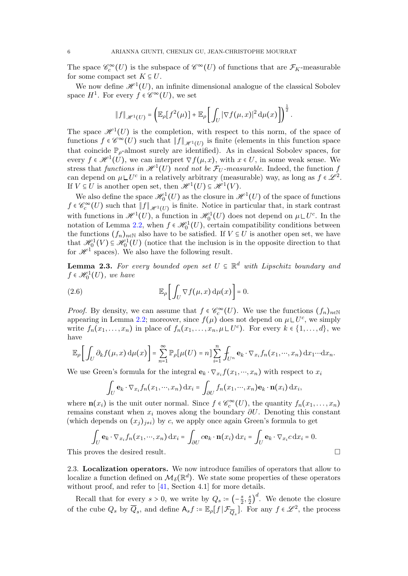The space  $\mathscr{C}_c^{\infty}(U)$  is the subspace of  $\mathscr{C}^{\infty}(U)$  of functions that are  $\mathcal{F}_K$ -measurable for some compact set  $K \subseteq U$ .

We now define  $\mathcal{H}^1(U)$ , an infinite dimensional analogue of the classical Sobolev space  $H^1$ . For every  $f \in \mathscr{C}^{\infty}(U)$ , we set

$$
\|f\|_{\mathscr{H}^1(U)}=\left(\mathbb{E}_{\rho}\big[f^2(\mu)\big]+\mathbb{E}_{\rho}\bigg[\int_U|\nabla f(\mu,x)|^2\,\mathrm{d}\mu(x)\bigg]\right)^{\frac{1}{2}}.
$$

The space  $\mathscr{H}^1(U)$  is the completion, with respect to this norm, of the space of functions  $f \in \mathscr{C}^{\infty}(U)$  such that  $||f||_{\mathscr{H}^1(U)}$  is finite (elements in this function space that coincide  $\mathbb{P}_{\rho}$ -almost surely are identified). As in classical Sobolev spaces, for every  $f \in \mathscr{H}^1(U)$ , we can interpret  $\nabla f(\mu, x)$ , with  $x \in U$ , in some weak sense. We stress that functions in  $\mathscr{H}^1(U)$  need not be  $\mathcal{F}_U$ -measurable. Indeed, the function f can depend on  $\mu \perp U^c$  in a relatively arbitrary (measurable) way, as long as  $f \in \mathscr{L}^2$ . If  $V \subseteq U$  is another open set, then  $\mathcal{H}^1(U) \subseteq \mathcal{H}^1(V)$ .

We also define the space  $\mathcal{H}_0^1(U)$  as the closure in  $\mathcal{H}^1(U)$  of the space of functions  $f \in \mathscr{C}_c^{\infty}(U)$  such that  $||f||_{\mathscr{H}^1(U)}$  is finite. Notice in particular that, in stark contrast with functions in  $\mathscr{H}^1(U)$ , a function in  $\mathscr{H}_0^1(U)$  does not depend on  $\mu\sqcup U^c$ . In the notation of Lemma [2.2,](#page-4-0) when  $f \in \mathcal{H}_0^1(U)$ , certain compatibility conditions between the functions  $(f_n)_{n\in\mathbb{N}}$  also have to be satisfied. If  $V \subseteq U$  is another open set, we have that  $\mathcal{H}_0^1(V) \subseteq \mathcal{H}_0^1(U)$  (notice that the inclusion is in the opposite direction to that for  $\mathscr{H}^1$  spaces). We also have the following result.

**Lemma 2.3.** For every bounded open set  $U \subseteq \mathbb{R}^d$  with Lipschitz boundary and  $f \in \mathscr{H}_0^1(U)$ , we have

<span id="page-5-1"></span>(2.6) 
$$
\mathbb{E}_{\rho}\bigg[\int_{U}\nabla f(\mu,x)\,\mathrm{d}\mu(x)\bigg]=0.
$$

*Proof.* By density, we can assume that  $f \in \mathcal{C}_c^{\infty}(U)$ . We use the functions  $(f_n)_{n \in \mathbb{N}}$ appearing in Lemma [2.2;](#page-4-0) moreover, since  $f(\mu)$  does not depend on  $\mu \mathcal{L}U^c$ , we simply write  $f_n(x_1,\ldots,x_n)$  in place of  $f_n(x_1,\ldots,x_n,\mu\mathcal{L}U^c)$ . For every  $k\in\{1,\ldots,d\}$ , we have

$$
\mathbb{E}_{\rho}\bigg[\int_{U} \partial_{k} f(\mu,x) d\mu(x)\bigg] = \sum_{n=1}^{\infty} \mathbb{P}_{\rho}[\mu(U) = n] \sum_{i=1}^{n} \int_{U^{n}} \mathbf{e}_{k} \cdot \nabla_{x_{i}} f_{n}(x_{1},\cdots,x_{n}) dx_{1} \cdots dx_{n}.
$$

We use Green's formula for the integral  $\mathbf{e}_k \cdot \nabla_{x_i} f(x_1, \dots, x_n)$  with respect to  $x_i$ 

$$
\int_U \mathbf{e}_k \cdot \nabla_{x_i} f_n(x_1,\dots,x_n) \, dx_i = \int_{\partial U} f_n(x_1,\dots,x_n) \mathbf{e}_k \cdot \mathbf{n}(x_i) \, dx_i,
$$

where  $\mathbf{n}(x_i)$  is the unit outer normal. Since  $f \in \mathcal{C}_c^{\infty}(U)$ , the quantity  $f_n(x_1,...,x_n)$ remains constant when  $x_i$  moves along the boundary  $\partial U$ . Denoting this constant (which depends on  $(x_i)_{i\neq i}$ ) by c, we apply once again Green's formula to get

$$
\int_U \mathbf{e}_k \cdot \nabla_{x_i} f_n(x_1, \dots, x_n) \, dx_i = \int_{\partial U} c \mathbf{e}_k \cdot \mathbf{n}(x_i) \, dx_i = \int_U \mathbf{e}_k \cdot \nabla_{x_i} c \, dx_i = 0.
$$

This proves the desired result.

<span id="page-5-0"></span>2.3. Localization operators. We now introduce families of operators that allow to localize a function defined on  $\mathcal{M}_{\delta}(\mathbb{R}^d)$ . We state some properties of these operators without proof, and refer to [\[41,](#page-58-27) Section 4.1] for more details.

Recall that for every  $s > 0$ , we write by  $Q_s = \left(-\frac{s}{2}\right)$  $\frac{s}{2}, \frac{s}{2}$  $\left(\frac{s}{2}\right)^d$ . We denote the closure of the cube  $Q_s$  by  $\overline{Q}_s$ , and define  $A_s f \coloneqq \mathbb{E}_{\rho}[f | \mathcal{F}_{\overline{Q}_s}]$ . For any  $f \in \mathcal{L}^2$ , the process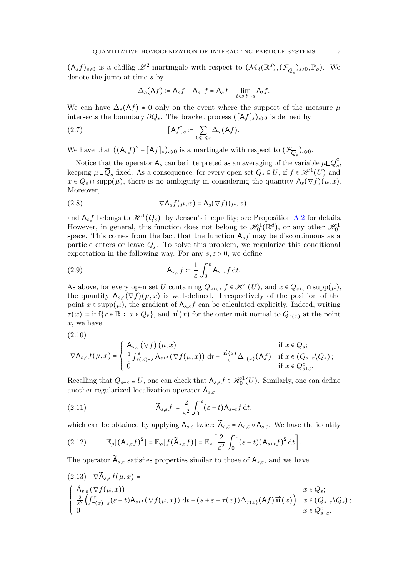$(A_s f)_{s\geqslant0}$  is a càdlàg  $\mathscr{L}^2$ -martingale with respect to  $(\mathcal{M}_{\delta}(\mathbb{R}^d), (\mathcal{F}_{\overline{Q}_s})_{s\geqslant0}, \mathbb{P}_{\rho})$ . We denote the jump at time s by

$$
\Delta_s(\mathsf{A}f) \coloneqq \mathsf{A}_s f - \mathsf{A}_{s-}f = \mathsf{A}_s f - \lim_{t < s, t \to s} \mathsf{A}_t f.
$$

We can have  $\Delta_s(Af) \neq 0$  only on the event where the support of the measure  $\mu$ intersects the boundary  $\partial Q_s$ . The bracket process ( $[Af]_s$ )<sub>s≥0</sub> is defined by

<span id="page-6-5"></span>(2.7) 
$$
[Af]_s \coloneqq \sum_{0 \leq \tau \leq s} \Delta_{\tau}(Af).
$$

We have that  $((A_s f)^2 - [Af]_s)_{s \geq 0}$  is a martingale with respect to  $(\mathcal{F}_{\overline{Q}_s})_{s \geq 0}$ .

Notice that the operator  $A_s$  can be interpreted as an averaging of the variable  $\mu \mathsf{L} \overline{Q}_s^c$  $\frac{c}{s}$ keeping  $\mu \sqcup \overline{Q}_s$  fixed. As a consequence, for every open set  $Q_s \subseteq U$ , if  $f \in \mathcal{H}^1(U)$  and  $x \in Q_s \cap \text{supp}(\mu)$ , there is no ambiguity in considering the quantity  $A_s(\nabla f)(\mu, x)$ . Moreover,

<span id="page-6-2"></span>(2.8) 
$$
\nabla \mathsf{A}_s f(\mu, x) = \mathsf{A}_s(\nabla f)(\mu, x),
$$

and  $A_s f$  belongs to  $\mathcal{H}^1(Q_s)$ , by Jensen's inequality; see Proposition [A.2](#page-42-0) for details. However, in general, this function does not belong to  $\mathscr{H}_0^1(\mathbb{R}^d)$ , or any other  $\mathscr{H}_0^1$ space. This comes from the fact that the function  $A_s f$  may be discontinuous as a particle enters or leave  $Q_s$ . To solve this problem, we regularize this conditional expectation in the following way. For any  $s, \varepsilon > 0$ , we define

<span id="page-6-0"></span>(2.9) 
$$
\mathsf{A}_{s,\varepsilon}f \coloneqq \frac{1}{\varepsilon} \int_0^\varepsilon \mathsf{A}_{s+t}f \, \mathrm{d}t.
$$

As above, for every open set U containing  $Q_{s+\varepsilon}$ ,  $f \in \mathcal{H}^1(U)$ , and  $x \in Q_{s+\varepsilon} \cap \text{supp}(\mu)$ , the quantity  $A_{s,\varepsilon}(\nabla f)(\mu,x)$  is well-defined. Irrespectively of the position of the point  $x \in \text{supp}(\mu)$ , the gradient of  $A_{s,\varepsilon}f$  can be calculated explicitly. Indeed, writing  $\tau(x) = \inf\{r \in \mathbb{R} : x \in Q_r\}$ , and  $\vec{\mathbf{n}}(x)$  for the outer unit normal to  $Q_{\tau(x)}$  at the point x, we have

(2.10)

$$
\nabla \mathsf{A}_{s,\varepsilon} f(\mu, x) = \begin{cases} \mathsf{A}_{s,\varepsilon} (\nabla f) (\mu, x) & \text{if } x \in Q_s; \\ \frac{1}{\varepsilon} \int_{\tau(x)-s}^{\varepsilon} \mathsf{A}_{s+t} (\nabla f(\mu, x)) \, \mathrm{d}t - \frac{\vec{\mathbf{n}}(x)}{\varepsilon} \Delta_{\tau(x)}(\mathsf{A}f) & \text{if } x \in (Q_{s+\varepsilon} \backslash Q_s); \\ 0 & \text{if } x \in Q_{s+\varepsilon}^c. \end{cases}
$$

Recalling that  $Q_{s+\varepsilon} \subseteq U$ , one can check that  $A_{s,\varepsilon} f \in \mathcal{H}_0^1(U)$ . Similarly, one can define another regularized localization operator  $\overline{A}_{s,\varepsilon}$ 

<span id="page-6-1"></span>(2.11) 
$$
\widetilde{\mathsf{A}}_{s,\varepsilon}f \coloneqq \frac{2}{\varepsilon^2} \int_0^\varepsilon (\varepsilon - t) \mathsf{A}_{s+t} f \, \mathrm{d}t,
$$

which can be obtained by applying  $A_{s,\varepsilon}$  twice:  $\widetilde{A}_{s,\varepsilon} = A_{s,\varepsilon} \circ A_{s,\varepsilon}$ . We have the identity

<span id="page-6-4"></span>
$$
(2.12) \qquad \mathbb{E}_{\rho}[(A_{s,\varepsilon}f)^{2}] = \mathbb{E}_{\rho}[f(\widetilde{A}_{s,\varepsilon}f)] = \mathbb{E}_{\rho}\bigg[\frac{2}{\varepsilon^{2}}\int_{0}^{\varepsilon}(\varepsilon-t)(A_{s+t}f)^{2}dt\bigg].
$$

The operator  $\widetilde{A}_{s,\varepsilon}$  satisfies properties similar to those of  $A_{s,\varepsilon}$ , and we have

<span id="page-6-3"></span>
$$
(2.13) \nabla \widetilde{A}_{s,\varepsilon} f(\mu, x) =
$$
\n
$$
\begin{cases}\n\widetilde{A}_{s,\varepsilon}(\nabla f(\mu, x)) & x \in Q_s; \\
\frac{2}{\varepsilon^2} \left( \int_{\tau(x)-s}^{\varepsilon} (\varepsilon - t) A_{s+t}(\nabla f(\mu, x)) dt - (s + \varepsilon - \tau(x)) \Delta_{\tau(x)}(Af) \overrightarrow{n}(x) \right) & x \in (Q_{s+\varepsilon} \setminus Q_s); \\
0 & x \in Q_{s+\varepsilon}^c.\n\end{cases}
$$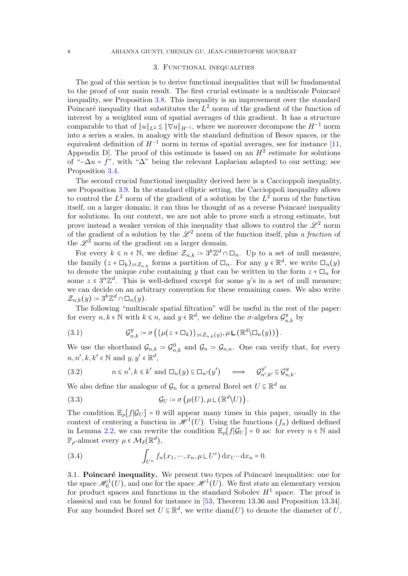### 3. Functional inequalities

<span id="page-7-0"></span>The goal of this section is to derive functional inequalities that will be fundamental to the proof of our main result. The first crucial estimate is a multiscale Poincaré inequality, see Proposition [3.8.](#page-13-0) This inequality is an improvement over the standard Poincaré inequality that substitutes the  $L^2$  norm of the gradient of the function of interest by a weighted sum of spatial averages of this gradient. It has a structure comparable to that of  $||u||_{L^2} \le ||\nabla u||_{H^{-1}}$ , where we moreover decompose the  $H^{-1}$  norm into a series a scales, in analogy with the standard definition of Besov spaces, or the equivalent definition of  $H^{-1}$  norm in terms of spatial averages, see for instance [\[11,](#page-57-4) Appendix D. The proof of this estimate is based on an  $H^2$  estimate for solutions of "− $\Delta u = f$ ", with " $\Delta$ " being the relevant Laplacian adapted to our setting; see Proposition [3.4.](#page-9-0)

The second crucial functional inequality derived here is a Caccioppoli inequality, see Proposition [3.9.](#page-18-0) In the standard elliptic setting, the Caccioppoli inequality allows to control the  $L^2$  norm of the gradient of a solution by the  $L^2$  norm of the function itself, on a larger domain; it can thus be thought of as a reverse Poincaré inequality for solutions. In our context, we are not able to prove such a strong estimate, but prove instead a weaker version of this inequality that allows to control the  $\mathscr{L}^2$  norm of the gradient of a solution by the  $\mathscr{L}^2$  norm of the function itself, plus a fraction of the  $\mathscr{L}^2$  norm of the gradient on a larger domain.

For every  $k \leq n \in \mathbb{N}$ , we define  $\mathcal{Z}_{n,k} \coloneq 3^k \mathbb{Z}^d \cap \Box_n$ . Up to a set of null measure, the family  $(z + \Box_k)_{z \in \mathcal{Z}_{n,k}}$  forms a partition of  $\Box_n$ . For any  $y \in \mathbb{R}^d$ , we write  $\Box_n(y)$ to denote the unique cube containing y that can be written in the form  $z + \Box_n$  for some  $z \in 3^n \mathbb{Z}^d$ . This is well-defined except for some y's in a set of null measure; we can decide on an arbitrary convention for these remaining cases. We also write  $\mathcal{Z}_{n,k}(y) \coloneqq 3^k \mathbb{Z}^d \cap \Box_n(y).$ 

The following "multiscale spatial filtration" will be useful in the rest of the paper: for every  $n, k \in \mathbb{N}$  with  $k \leq n$ , and  $y \in \mathbb{R}^d$ , we define the  $\sigma$ -algebra  $\mathcal{G}_{n,k}^y$  by

<span id="page-7-2"></span>(3.1) 
$$
\mathcal{G}_{n,k}^y \coloneqq \sigma\left(\{\mu(z+\square_k)\}_{z\in\mathcal{Z}_{n,k}(y)}, \mu\sqcup(\mathbb{R}^d\setminus\square_n(y))\right).
$$

We use the shorthand  $\mathcal{G}_{n,k} \coloneqq \mathcal{G}_{n,k}^0$  and  $\mathcal{G}_n \coloneqq \mathcal{G}_{n,n}$ . One can verify that, for every  $n, n', k, k' \in \mathbb{N}$  and  $y, y' \in \mathbb{R}^d$ ,

<span id="page-7-3"></span>(3.2) 
$$
n \le n', k \le k'
$$
 and  $\Box_n(y) \subseteq \Box_{n'}(y')$   $\Longrightarrow$   $\mathcal{G}^{y'}_{n',k'} \subseteq \mathcal{G}^{y}_{n,k}.$ 

We also define the analogue of  $\mathcal{G}_n$  for a general Borel set  $U \subseteq \mathbb{R}^d$  as

(3.3) 
$$
\mathcal{G}_U \coloneqq \sigma\left(\mu(U), \mu \sqcup (\mathbb{R}^d \setminus U)\right).
$$

The condition  $\mathbb{E}_{\rho}[f|\mathcal{G}_U] = 0$  will appear many times in this paper, usually in the context of centering a function in  $\mathscr{H}^1(U)$ . Using the functions  $(f_n)$  defined defined in Lemma [2.2,](#page-4-0) we can rewrite the condition  $\mathbb{E}_{\rho}[f|\mathcal{G}_U] = 0$  as: for every  $n \in \mathbb{N}$  and  $\mathbb{P}_{\rho}$ -almost every  $\mu \in \mathcal{M}_{\delta}(\mathbb{R}^d)$ ,

<span id="page-7-1"></span>(3.4) 
$$
\int_{U^n} f_n(x_1,\cdots,x_n,\mu \sqcup U^c) dx_1 \cdots dx_n = 0.
$$

3.1. Poincaré inequality. We present two types of Poincaré inequalities: one for the space  $\mathscr{H}_0^1(U)$ , and one for the space  $\mathscr{H}^1(U)$ . We first state an elementary version for product spaces and functions in the standard Sobolev  $H<sup>1</sup>$  space. The proof is classical and can be found for instance in [\[53,](#page-59-21) Theorem 13.36 and Proposition 13.34]. For any bounded Borel set  $U \subseteq \mathbb{R}^d$ , we write  $\text{diam}(U)$  to denote the diameter of  $U$ ,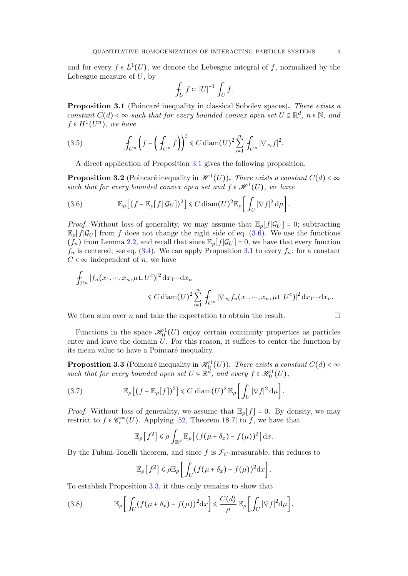$$
\int_U f \coloneqq |U|^{-1}\int_U f.
$$

<span id="page-8-0"></span>**Proposition 3.1** (Poincaré inequality in classical Sobolev spaces). There exists a constant  $C(d) < \infty$  such that for every bounded convex open set  $U \subseteq \mathbb{R}^d$ ,  $n \in \mathbb{N}$ , and  $f \in H^1(U^n)$ , we have

(3.5) 
$$
\int_{U^n} \left( f - \left( \int_{U^n} f \right) \right)^2 \leq C \operatorname{diam}(U)^2 \sum_{i=1}^n \int_{U^n} |\nabla_{x_i} f|^2.
$$

A direct application of Proposition [3.1](#page-8-0) gives the following proposition.

<span id="page-8-4"></span>**Proposition 3.2** (Poincaré inequality in  $\mathscr{H}^1(U)$ ). There exists a constant  $C(d) < \infty$ such that for every bounded convex open set and  $f \in \mathcal{H}^1(U)$ , we have

<span id="page-8-1"></span>(3.6) 
$$
\mathbb{E}_{\rho}\left[ (f - \mathbb{E}_{\rho}[f|\mathcal{G}_U])^2 \right] \leq C \operatorname{diam}(U)^2 \mathbb{E}_{\rho}\left[ \int_U |\nabla f|^2 d\mu \right].
$$

*Proof.* Without loss of generality, we may assume that  $\mathbb{E}_{\rho}[f|\mathcal{G}_U] = 0$ ; subtracting  $\mathbb{E}_{\rho}[f|\mathcal{G}_U]$  from f does not change the right side of eq. [\(3.6\)](#page-8-1). We use the functions  $(f_n)$  from Lemma [2.2,](#page-4-0) and recall that since  $\mathbb{E}_{\rho}[f|\mathcal{G}_U] = 0$ , we have that every function  $f_n$  is centered; see eq. [\(3.4\)](#page-7-1). We can apply Proposition [3.1](#page-8-0) to every  $f_n$ : for a constant  $C < \infty$  independent of n, we have

$$
\int_{U^n} |f_n(x_1,\cdots,x_n,\mu \sqcup U^c)|^2 dx_1 \cdots dx_n
$$
  
\$\leq C \operatorname{diam}(U)^2 \sum\_{i=1}^n \int\_{U^n} |\nabla\_{x\_i} f\_n(x\_1,\cdots,x\_n,\mu \sqcup U^c)|^2 dx\_1 \cdots dx\_n.\$

We then sum over n and take the expectation to obtain the result.  $\Box$ 

Functions in the space  $\mathcal{H}_0^1(U)$  enjoy certain continuity properties as particles enter and leave the domain  $\hat{U}$ . For this reason, it suffices to center the function by its mean value to have a Poincaré inequality.

<span id="page-8-2"></span>**Proposition 3.3** (Poincaré inequality in  $\mathscr{H}_0^1(U)$ ). There exists a constant  $C(d) < \infty$ such that for every bounded open set  $U \subseteq \mathbb{R}^d$ , and every  $f \in \mathcal{H}_0^1(U)$ ,

(3.7) 
$$
\mathbb{E}_{\rho}\left[(f-\mathbb{E}_{\rho}[f])^2\right] \leq C \operatorname{diam}(U)^2 \mathbb{E}_{\rho}\left[\int_U |\nabla f|^2 d\mu\right].
$$

*Proof.* Without loss of generality, we assume that  $\mathbb{E}_{\rho}[f] = 0$ . By density, we may restrict to  $f \in \mathcal{C}_c^{\infty}(U)$ . Applying [\[52,](#page-59-22) Theorem 18.7] to f, we have that

$$
\mathbb{E}_{\rho}\left[f^2\right] \leq \rho \int_{\mathbb{R}^d} \mathbb{E}_{\rho}\left[\left(f(\mu+\delta_x)-f(\mu)\right)^2\right] \mathrm{d}x.
$$

By the Fubini-Tonelli theorem, and since f is  $\mathcal{F}_{U}$ -measurable, this reduces to

$$
\mathbb{E}_{\rho}\left[f^2\right] \leq \rho \mathbb{E}_{\rho}\left[\int_U (f(\mu+\delta_x)-f(\mu))^2 dx\right].
$$

To establish Proposition [3.3,](#page-8-2) it thus only remains to show that

<span id="page-8-3"></span>(3.8) 
$$
\mathbb{E}_{\rho}\bigg[\int_{U}(f(\mu+\delta_x)-f(\mu))^2 dx\bigg] \leq \frac{C(d)}{\rho}\mathbb{E}_{\rho}\bigg[\int_{U}|\nabla f|^2 d\mu\bigg].
$$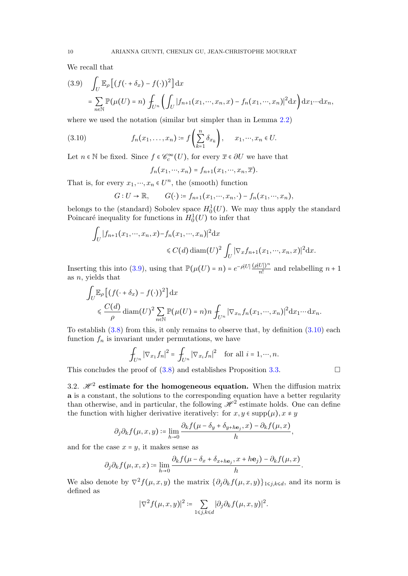We recall that

<span id="page-9-1"></span>
$$
(3.9) \quad \int_U \mathbb{E}_{\rho} \left[ (f(\cdot + \delta_x) - f(\cdot))^2 \right] dx
$$

$$
= \sum_{n \in \mathbb{N}} \mathbb{P}(\mu(U) = n) \int_{U^n} \left( \int_U |f_{n+1}(x_1, \cdots, x_n, x) - f_n(x_1, \cdots, x_n)|^2 dx \right) dx_1 \cdots dx_n,
$$

where we used the notation (similar but simpler than in Lemma [2.2\)](#page-4-0)

(3.10) 
$$
f_n(x_1,\ldots,x_n) \coloneqq f\left(\sum_{k=1}^n \delta_{x_k}\right), \quad x_1,\ldots,x_n \in U.
$$

Let  $n \in \mathbb{N}$  be fixed. Since  $f \in \mathcal{C}_c^{\infty}(U)$ , for every  $\overline{x} \in \partial U$  we have that

<span id="page-9-2"></span>
$$
f_n(x_1,\dots,x_n)=f_{n+1}(x_1,\dots,x_n,\overline{x}).
$$

That is, for every  $x_1, \dots, x_n \in U^n$ , the (smooth) function

$$
G: U \to \mathbb{R}, \qquad G(\cdot) \coloneqq f_{n+1}(x_1, \cdots, x_n, \cdot) - f_n(x_1, \cdots, x_n),
$$

belongs to the (standard) Sobolev space  $H_0^1(U)$ . We may thus apply the standard Poincaré inequality for functions in  $H_0^1(U)$  to infer that

$$
\int_U |f_{n+1}(x_1,\dots,x_n,x) - f_n(x_1,\dots,x_n)|^2 dx
$$
  
\$\leq C(d) diam(U)^2 \int\_U |\nabla\_x f\_{n+1}(x\_1,\dots,x\_n,x)|^2 dx.\$

Inserting this into [\(3.9\)](#page-9-1), using that  $\mathbb{P}(\mu(U) = n) = e^{-\rho|U|} \frac{(\rho|U|)^n}{n!}$  and relabelling  $n+1$ as  $n$ , yields that

$$
\int_{U} \mathbb{E}_{\rho} \left[ (f(\cdot + \delta_x) - f(\cdot))^2 \right] dx
$$
\n
$$
\leq \frac{C(d)}{\rho} \operatorname{diam}(U)^2 \sum_{n \in \mathbb{N}} \mathbb{P}(\mu(U) = n) n \int_{U^n} |\nabla_{x_n} f_n(x_1, \dots, x_n)|^2 dx_1 \dots dx_n.
$$

To establish  $(3.8)$  from this, it only remains to observe that, by definition  $(3.10)$  each function  $f_n$  is invariant under permutations, we have

$$
\int_{U^n} |\nabla_{x_1} f_n|^2 = \int_{U^n} |\nabla_{x_i} f_n|^2 \quad \text{for all } i = 1, \dots, n.
$$

This concludes the proof of  $(3.8)$  and establishes Proposition [3.3.](#page-8-2)

3.2.  $\mathcal{H}^2$  estimate for the homogeneous equation. When the diffusion matrix **a** is a constant, the solutions to the corresponding equation have a better regularity than otherwise, and in particular, the following  $\mathcal{H}^2$  estimate holds. One can define the function with higher derivative iteratively: for  $x, y \in \text{supp}(\mu)$ ,  $x \neq y$ 

$$
\partial_j \partial_k f(\mu, x, y) \coloneqq \lim_{h \to 0} \frac{\partial_k f(\mu - \delta_y + \delta_{y + h \mathbf{e}_j}, x) - \partial_k f(\mu, x)}{h},
$$

and for the case  $x = y$ , it makes sense as

$$
\partial_j \partial_k f(\mu, x, x) \coloneqq \lim_{h \to 0} \frac{\partial_k f(\mu - \delta_x + \delta_{x + h \mathbf{e}_j}, x + h \mathbf{e}_j) - \partial_k f(\mu, x)}{h}.
$$

<span id="page-9-0"></span>We also denote by  $\nabla^2 f(\mu, x, y)$  the matrix  $\{\partial_j \partial_k f(\mu, x, y)\}_{1 \leq j, k \leq d}$ , and its norm is defined as

$$
|\nabla^2 f(\mu, x, y)|^2 \coloneqq \sum_{1 \leq j, k \leq d} |\partial_j \partial_k f(\mu, x, y)|^2.
$$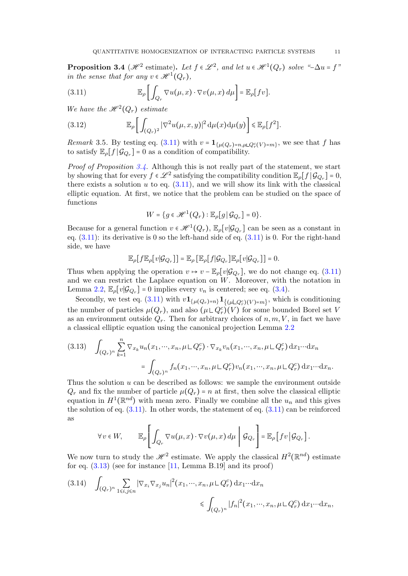**Proposition 3.4** ( $\mathcal{H}^2$  estimate). Let  $f \in \mathcal{L}^2$ , and let  $u \in \mathcal{H}^1(Q_r)$  solve "- $\Delta u = f$ " in the sense that for any  $v \in \mathcal{H}^1(Q_r)$ ,

<span id="page-10-0"></span>(3.11) 
$$
\mathbb{E}_{\rho}\bigg[\int_{Q_r} \nabla u(\mu, x) \cdot \nabla v(\mu, x) d\mu\bigg] = \mathbb{E}_{\rho}[fv].
$$

We have the  $\mathcal{H}^2(Q_r)$  estimate

(3.12) 
$$
\mathbb{E}_{\rho}\bigg[\int_{(Q_r)^2} |\nabla^2 u(\mu, x, y)|^2 d\mu(x) d\mu(y)\bigg] \leq \mathbb{E}_{\rho}[f^2].
$$

*Remark* 3.5. By testing eq. [\(3.11\)](#page-10-0) with  $v = \mathbf{1}_{\{\mu(Q_r)=n,\mu\sqcup Q_r^c(V)=m\}}$ , we see that f has to satisfy  $\mathbb{E}_{\rho}[f|\mathcal{G}_{Q_r}] = 0$  as a condition of compatibility.

*Proof of Proposition [3.4.](#page-9-0)* Although this is not really part of the statement, we start by showing that for every  $f \in \mathscr{L}^2$  satisfying the compatibility condition  $\mathbb{E}_{\rho}[f | \mathcal{G}_{Q_r}] = 0$ , there exists a solution  $u$  to eq.  $(3.11)$ , and we will show its link with the classical elliptic equation. At first, we notice that the problem can be studied on the space of functions

$$
W = \{ g \in \mathcal{H}^1(Q_r) : \mathbb{E}_{\rho}[g | \mathcal{G}_{Q_r}] = 0 \}.
$$

Because for a general function  $v \in \mathcal{H}^1(Q_r)$ ,  $\mathbb{E}_{\rho}[v|\mathcal{G}_{Q_r}]$  can be seen as a constant in eq.  $(3.11)$ : its derivative is 0 so the left-hand side of eq.  $(3.11)$  is 0. For the right-hand side, we have

$$
\mathbb{E}_{\rho}\big[f\mathbb{E}_{\rho}\big[v|\mathcal{G}_{Q_r}\big]\big]=\mathbb{E}_{\rho}\big[\mathbb{E}_{\rho}\big[f|\mathcal{G}_{Q_r}\big]\mathbb{E}_{\rho}\big[v|\mathcal{G}_{Q_r}\big]\big]=0.
$$

Thus when applying the operation  $v \mapsto v - \mathbb{E}_{\rho}[v|\mathcal{G}_{Q_r}]$ , we do not change eq. [\(3.11\)](#page-10-0) and we can restrict the Laplace equation on  $W$ . Moreover, with the notation in Lemma [2.2,](#page-4-0)  $\mathbb{E}_{\rho}[v|\mathcal{G}_{Q_r}] = 0$  implies every  $v_n$  is centered; see eq. [\(3.4\)](#page-7-1).

Secondly, we test eq. [\(3.11\)](#page-10-0) with  $v\mathbf{1}_{\{\mu(Q_r)=n\}}\mathbf{1}_{\{(\mu \perp Q_r^c)(V)=m\}},$  which is conditioning the number of particles  $\mu(Q_r)$ , and also  $(\mu \sqcup Q_r^c)(V)$  for some bounded Borel set V as an environment outside  $Q_r$ . Then for arbitrary choices of  $n, m, V$ , in fact we have a classical elliptic equation using the canonical projection Lemma [2.2](#page-4-0)

<span id="page-10-1"></span>
$$
(3.13) \quad \int_{(Q_r)^n} \sum_{k=1}^n \nabla_{x_k} u_n(x_1, \cdots, x_n, \mu \sqcup Q_r^c) \cdot \nabla_{x_k} v_n(x_1, \cdots, x_n, \mu \sqcup Q_r^c) \, dx_1 \cdots dx_n
$$

$$
= \int_{(Q_r)^n} f_n(x_1, \cdots, x_n, \mu \sqcup Q_r^c) v_n(x_1, \cdots, x_n, \mu \sqcup Q_r^c) \, dx_1 \cdots dx_n.
$$

Thus the solution  $u$  can be described as follows: we sample the environment outside  $Q_r$  and fix the number of particle  $\mu(Q_r) = n$  at first, then solve the classical elliptic equation in  $H^1(\mathbb{R}^{nd})$  with mean zero. Finally we combine all the  $u_n$  and this gives the solution of eq.  $(3.11)$ . In other words, the statement of eq.  $(3.11)$  can be reinforced as

$$
\forall v \in W, \qquad \mathbb{E}_{\rho} \left[ \int_{Q_r} \nabla u(\mu, x) \cdot \nabla v(\mu, x) \, d\mu \middle| \mathcal{G}_{Q_r} \right] = \mathbb{E}_{\rho} \left[ f v \middle| \mathcal{G}_{Q_r} \right].
$$

We now turn to study the  $\mathscr{H}^2$  estimate. We apply the classical  $H^2(\mathbb{R}^{nd})$  estimate for eq.  $(3.13)$  (see for instance [\[11,](#page-57-4) Lemma B.19] and its proof)

<span id="page-10-2"></span>
$$
(3.14) \quad \int_{(Q_r)^n} \sum_{1 \le i,j \le n} |\nabla_{x_i} \nabla_{x_j} u_n|^2 (x_1, \cdots, x_n, \mu \sqcup Q_r^c) dx_1 \cdots dx_n
$$

$$
\le \int_{(Q_r)^n} |f_n|^2 (x_1, \cdots, x_n, \mu \sqcup Q_r^c) dx_1 \cdots dx_n,
$$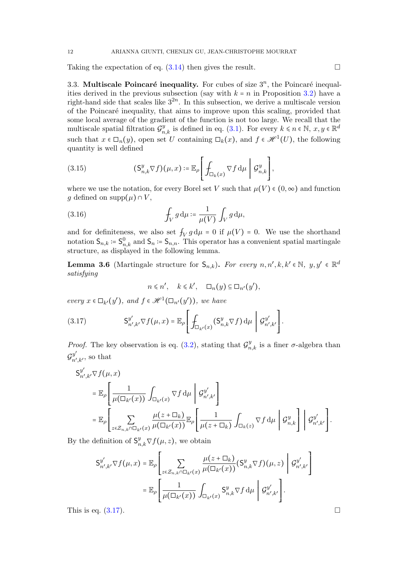Taking the expectation of eq.  $(3.14)$  then gives the result.

3.3. Multiscale Poincaré inequality. For cubes of size  $3^n$ , the Poincaré inequalities derived in the previous subsection (say with  $k = n$  in Proposition [3.2\)](#page-8-4) have a right-hand side that scales like  $3^{2n}$ . In this subsection, we derive a multiscale version of the Poincar´e inequality, that aims to improve upon this scaling, provided that some local average of the gradient of the function is not too large. We recall that the multiscale spatial filtration  $\mathcal{G}_{n,k}^y$  is defined in eq. [\(3.1\)](#page-7-2). For every  $k \leq n \in \mathbb{N}$ ,  $x, y \in \mathbb{R}^d$ such that  $x \in \Box_n(y)$ , open set U containing  $\Box_k(x)$ , and  $f \in \mathcal{H}^1(U)$ , the following quantity is well defined

<span id="page-11-1"></span>(3.15) 
$$
(S_{n,k}^y \nabla f)(\mu, x) \coloneqq \mathbb{E}_{\rho} \left[ \int_{\Box_k(x)} \nabla f d\mu \middle| \mathcal{G}_{n,k}^y \right],
$$

where we use the notation, for every Borel set V such that  $\mu(V) \in (0, \infty)$  and function g defined on supp $(\mu) \cap V$ ,

(3.16) 
$$
\int_V g \, \mathrm{d}\mu = \frac{1}{\mu(V)} \int_V g \, \mathrm{d}\mu,
$$

and for definiteness, we also set  $f_V g d\mu = 0$  if  $\mu(V) = 0$ . We use the shorthand notation  $S_{n,k} \coloneqq S_{n,k}^0$  and  $S_n \coloneqq S_{n,n}$ . This operator has a convenient spatial martingale structure, as displayed in the following lemma.

**Lemma 3.6** (Martingale structure for  $S_{n,k}$ ). For every  $n, n', k, k' \in \mathbb{N}$ ,  $y, y' \in \mathbb{R}^d$ satisfying

$$
n \leq n', \quad k \leq k', \quad \Box_n(y) \subseteq \Box_{n'}(y'),
$$

every  $x \in \Box_{k'}(y')$ , and  $f \in \mathcal{H}^1(\Box_{n'}(y'))$ , we have

<span id="page-11-0"></span>(3.17) 
$$
\mathsf{S}_{n',k'}^{y'} \nabla f(\mu,x) = \mathbb{E}_{\rho} \left[ \int_{\Box_{k'}(x)} (\mathsf{S}_{n,k}^{y} \nabla f) \, \mathrm{d}\mu \, \middle| \, \mathcal{G}_{n',k'}^{y'} \right].
$$

*Proof.* The key observation is eq. [\(3.2\)](#page-7-3), stating that  $\mathcal{G}_{n,k}^y$  is a finer  $\sigma$ -algebra than  $\mathcal{G}_{n'}^{y'}$  $_{n^{\prime},k^{\prime}}^{y}$ , so that

$$
\begin{split} \mathsf{S}^{y'}_{n',k'} \nabla f(\mu, x) \\ & \quad = \mathbb{E}_{\rho} \Bigg[ \frac{1}{\mu(\Box_{k'}(x))} \int_{\Box_{k'}(x)} \nabla f \, \mathrm{d}\mu \, \Bigg| \, \mathcal{G}^{y'}_{n',k'} \Bigg] \\ & \quad = \mathbb{E}_{\rho} \Bigg[ \sum_{z \in \mathcal{Z}_{n,k} \cap \Box_{k'}(x)} \frac{\mu(z + \Box_{k})}{\mu(\Box_{k'}(x))} \mathbb{E}_{\rho} \Bigg[ \frac{1}{\mu(z + \Box_{k})} \int_{\Box_{k}(z)} \nabla f \, \mathrm{d}\mu \, \Bigg| \, \mathcal{G}^{y}_{n,k'} \Bigg] \cdot \end{split}
$$

By the definition of  $S^y_{n,k} \nabla f(\mu, z)$ , we obtain

$$
S_{n',k'}^{y'} \nabla f(\mu, x) = \mathbb{E}_{\rho} \left[ \sum_{z \in \mathcal{Z}_{n,k} \cap \Box_{k'}(x)} \frac{\mu(z + \Box_{k})}{\mu(\Box_{k'}(x))} (S_{n,k}^{y} \nabla f)(\mu, z) \middle| \mathcal{G}_{n',k'}^{y'} \right]
$$

$$
= \mathbb{E}_{\rho} \left[ \frac{1}{\mu(\Box_{k'}(x))} \int_{\Box_{k'}(x)} S_{n,k}^{y} \nabla f d\mu \middle| \mathcal{G}_{n',k'}^{y'} \right].
$$

This is eq.  $(3.17)$ .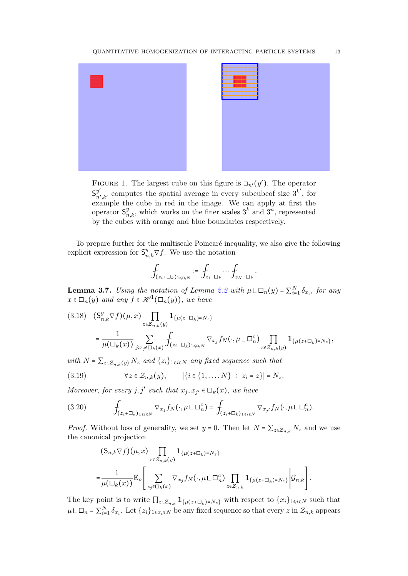



FIGURE 1. The largest cube on this figure is  $\Box_{n'}(y')$ . The operator  $\mathsf{S}_n^{y'}$  $y'_{n',k'}$  computes the spatial average in every subcubeof size  $3^{k'}$ , for example the cube in red in the image. We can apply at first the operator  $S_{n,k}^y$ , which works on the finer scales  $3^k$  and  $3^n$ , represented by the cubes with orange and blue boundaries respectively.

To prepare further for the multiscale Poincaré inequality, we also give the following explicit expression for  $S_{n,k}^y \nabla f$ . We use the notation

$$
\int_{(z_i+\square_k)_{1\leqslant i\leqslant N}}\coloneqq\int_{z_i+\square_k}\cdots\int_{z_N+\square_k}.
$$

**Lemma 3.7.** Using the notation of Lemma [2.2](#page-4-0) with  $\mu \sqcup \Box_n(y) = \sum_{i=1}^N \delta_{x_i}$ , for any  $x \in \Box_n(y)$  and any  $f \in \mathscr{H}^1(\Box_n(y))$ , we have

<span id="page-12-1"></span>
$$
(3.18) \quad (\mathsf{S}_{n,k}^y \nabla f)(\mu, x) \prod_{z \in \mathcal{Z}_{n,k}(y)} \mathbf{1}_{\{\mu(z+\square_k)=N_z\}} = \frac{1}{\mu(\square_k(x))} \sum_{j:x_j \in \square_k(x)} \int_{(z_i+\square_k)_{1 \le i \le N}} \nabla_{x_j} f_N(\cdot, \mu \sqcup \square_n^c) \prod_{z \in \mathcal{Z}_{n,k}(y)} \mathbf{1}_{\{\mu(z+\square_k)=N_z\}},
$$

with  $N = \sum_{z \in \mathcal{Z}_{n-k}(y)} N_z$  and  $\{z_i\}_{1 \leq i \leq N}$  any fixed sequence such that

<span id="page-12-0"></span>(3.19) 
$$
\forall z \in \mathcal{Z}_{n,k}(y), \qquad |\{i \in \{1, ..., N\} : z_i = z\}| = N_z.
$$

Moreover, for every j, j' such that  $x_j, x_{j'} \in \Box_k(x)$ , we have

<span id="page-12-2"></span>
$$
(3.20) \qquad \qquad \int_{(z_i+\square_k)_{1\leq i\leq N}} \nabla_{x_j} f_N(\cdot,\mu\sqcup \square_n^c) = \int_{(z_i+\square_k)_{1\leq i\leq N}} \nabla_{x_{j'}} f_N(\cdot,\mu\sqcup \square_n^c).
$$

*Proof.* Without loss of generality, we set  $y = 0$ . Then let  $N = \sum_{z \in \mathcal{Z}_{n,k}} N_z$  and we use the canonical projection

$$
(S_{n,k}\nabla f)(\mu, x) \prod_{z\in\mathcal{Z}_{n,k}(y)} \mathbf{1}_{\{\mu(z+\square_k)=N_z\}} =\frac{1}{\mu(\square_k(x))} \mathbb{E}_{\rho} \left[ \sum_{x_j\in\square_k(x)} \nabla_{x_j} f_N(\cdot, \mu \sqcup \square_n^c) \prod_{z\in\mathcal{Z}_{n,k}} \mathbf{1}_{\{\mu(z+\square_k)=N_z\}} \middle| \mathcal{G}_{n,k} \right].
$$

The key point is to write  $\prod_{z\in\mathcal{Z}_{n,k}}\mathbf{1}_{\{\mu(z+\square_k)=N_z\}}$  with respect to  $\{x_i\}_{1\leq i\leq N}$  such that  $\mu \sqcup \Box_n = \sum_{i=1}^N \delta_{x_i}$ . Let  $\{z_i\}_{1 \leq x_i \leq N}$  be any fixed sequence so that every  $z$  in  $\mathcal{Z}_{n,k}$  appears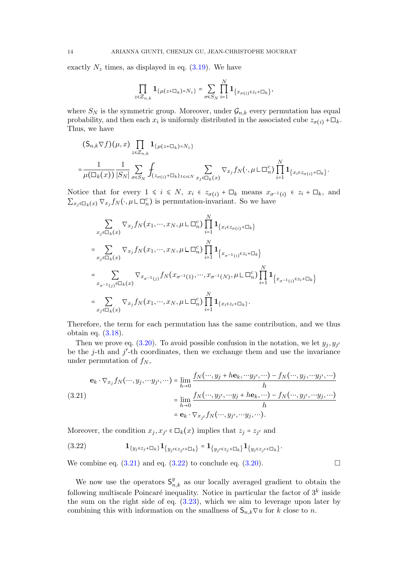exactly  $N_z$  times, as displayed in eq. [\(3.19\)](#page-12-0). We have

$$
\prod_{z\in\mathcal{Z}_{n,k}}\mathbf{1}_{\{\mu(z+\square_k)=N_z\}}=\sum_{\sigma\in S_N}\prod_{i=1}^N\mathbf{1}_{\{x_{\sigma(i)}\in z_i+\square_k\}},\,
$$

where  $S_N$  is the symmetric group. Moreover, under  $\mathcal{G}_{n,k}$  every permutation has equal probability, and then each  $x_i$  is uniformly distributed in the associated cube  $z_{\sigma(i)}$  + $\Box_k$ . Thus, we have

$$
\begin{split} & (\mathsf{S}_{n,k} \nabla f)(\mu, x) \prod_{z \in \mathcal{Z}_{n,k}} \mathbf{1}_{\{\mu(z+\square_k)=N_z\}} \\ &= \frac{1}{\mu(\square_k(x))} \frac{1}{|S_N|} \sum_{\sigma \in S_N} \int_{(z_{\sigma(i)} + \square_k)_{1 \le i \le N}} \sum_{x_j \in \square_k(x)} \nabla_{x_j} f_N(\cdot, \mu \sqcup \square_n^c) \prod_{i=1}^N \mathbf{1}_{\{x_i \in z_{\sigma(i)} + \square_k\}}. \end{split}
$$

Notice that for every  $1 \leq i \leq N$ ,  $x_i \in z_{\sigma(i)} + \square_k$  means  $x_{\sigma^{-1}(i)} \in z_i + \square_k$ , and  $\sum_{x_j \in \Box_k(x)} \nabla_{x_j} f_N(\cdot, \mu \sqcup \Box_n^c)$  is permutation-invariant. So we have

$$
\sum_{x_j \in \Box_k(x)} \nabla_{x_j} f_N(x_1, \dots, x_N, \mu \sqcup \Box_n^c) \prod_{i=1}^N \mathbf{1}_{\{x_i \in z_{\sigma(i)} + \Box_k\}}
$$
\n
$$
= \sum_{x_j \in \Box_k(x)} \nabla_{x_j} f_N(x_1, \dots, x_N, \mu \sqcup \Box_n^c) \prod_{i=1}^N \mathbf{1}_{\{x_{\sigma^{-1}(i)} \in z_i + \Box_k\}}
$$
\n
$$
= \sum_{x_{\sigma^{-1}(j)} \in \Box_k(x)} \nabla_{x_{\sigma^{-1}(j)}} f_N(x_{\sigma^{-1}(1)}, \dots, x_{\sigma^{-1}(N)}, \mu \sqcup \Box_n^c) \prod_{i=1}^N \mathbf{1}_{\{x_{\sigma^{-1}(i)} \in z_i + \Box_k\}}
$$
\n
$$
= \sum_{x_j \in \Box_k(x)} \nabla_{x_j} f_N(x_1, \dots, x_N, \mu \sqcup \Box_n^c) \prod_{i=1}^N \mathbf{1}_{\{x_i \in z_i + \Box_k\}}.
$$

Therefore, the term for each permutation has the same contribution, and we thus obtain eq. [\(3.18\)](#page-12-1).

Then we prove eq. [\(3.20\)](#page-12-2). To avoid possible confusion in the notation, we let  $y_j, y_{j'}$ be the j-th and  $j'$ -th coordinates, then we exchange them and use the invariance under permutation of  $f_N$ ,

<span id="page-13-1"></span>
$$
\mathbf{e}_k \cdot \nabla_{x_j} f_N(\cdots, y_j, \cdots y_{j'}, \cdots) = \lim_{h \to 0} \frac{f_N(\cdots, y_j + h\mathbf{e}_k, \cdots y_{j'}, \cdots) - f_N(\cdots, y_j, \cdots y_{j'}, \cdots)}{h}
$$
  
(3.21)  

$$
= \lim_{h \to 0} \frac{f_N(\cdots, y_{j'}, \cdots y_j + h\mathbf{e}_k, \cdots) - f_N(\cdots, y_{j'}, \cdots y_j, \cdots)}{h}
$$
  

$$
= \mathbf{e}_k \cdot \nabla_{x_{j'}} f_N(\cdots, y_{j'}, \cdots y_j, \cdots).
$$

Moreover, the condition  $x_j, x_{j'} \in \Box_k(x)$  implies that  $z_j = z_{j'}$  and

<span id="page-13-2"></span>
$$
(3.22) \t\t \t\t \mathbf{1}_{\{y_j \in z_j + \Box_k\}} \mathbf{1}_{\{y_{j'} \in z_{j'} + \Box_k\}} = \mathbf{1}_{\{y_{j'} \in z_j + \Box_k\}} \mathbf{1}_{\{y_j \in z_{j'} + \Box_k\}}.
$$

We combine eq.  $(3.21)$  and eq.  $(3.22)$  to conclude eq.  $(3.20)$ .

<span id="page-13-0"></span>We now use the operators  $S_{n,k}^y$  as our locally averaged gradient to obtain the following multiscale Poincaré inequality. Notice in particular the factor of  $3^k$  inside the sum on the right side of eq. [\(3.23\)](#page-14-0), which we aim to leverage upon later by combining this with information on the smallness of  $S_{n,k} \nabla u$  for k close to n.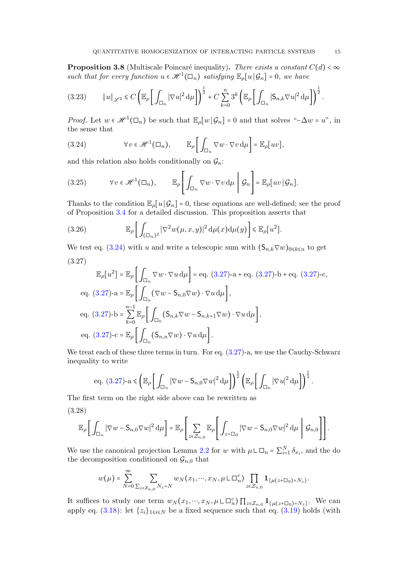**Proposition 3.8** (Multiscale Poincaré inequality). There exists a constant  $C(d) < \infty$ such that for every function  $u \in \mathcal{H}^1(\Box_n)$  satisfying  $\mathbb{E}_{\rho}[u \mid \mathcal{G}_n] = 0$ , we have

<span id="page-14-0"></span>
$$
(3.23) \t\t ||u||_{\mathscr{L}^2} \leq C \left( \mathbb{E}_{\rho} \left[ \int_{\Box_n} |\nabla u|^2 \, \mathrm{d}\mu \right] \right)^{\frac{1}{2}} + C \sum_{k=0}^n 3^k \left( \mathbb{E}_{\rho} \left[ \int_{\Box_n} |\mathsf{S}_{n,k} \nabla u|^2 \, \mathrm{d}\mu \right] \right)^{\frac{1}{2}}.
$$

*Proof.* Let  $w \in \mathcal{H}^1(\square_n)$  be such that  $\mathbb{E}_{\rho}[w | \mathcal{G}_n] = 0$  and that solves "- $\Delta w = w$ ", in the sense that

<span id="page-14-1"></span>(3.24) 
$$
\forall v \in \mathscr{H}^1(\Box_n), \qquad \mathbb{E}_{\rho} \bigg[ \int_{\Box_n} \nabla w \cdot \nabla v \, d\mu \bigg] = \mathbb{E}_{\rho} [uv],
$$

and this relation also holds conditionally on  $\mathcal{G}_n$ :

<span id="page-14-5"></span>(3.25) 
$$
\forall v \in \mathscr{H}^1(\Box_n), \qquad \mathbb{E}_{\rho} \left[ \int_{\Box_n} \nabla w \cdot \nabla v \, d\mu \middle| \mathcal{G}_n \right] = \mathbb{E}_{\rho} [uv | \mathcal{G}_n].
$$

Thanks to the condition  $\mathbb{E}_{\rho}[u|\mathcal{G}_n] = 0$ , these equations are well-defined; see the proof of Proposition [3.4](#page-9-0) for a detailed discussion. This proposition asserts that

<span id="page-14-4"></span>(3.26) 
$$
\mathbb{E}_{\rho}\bigg[\int_{(\Box_n)^2} |\nabla^2 w(\mu, x, y)|^2 d\mu(x) d\mu(y)\bigg] \leq \mathbb{E}_{\rho}[u^2].
$$

We test eq. [\(3.24\)](#page-14-1) with u and write a telescopic sum with  $(S_{n,k} \nabla w)_{0 \le k \le n}$  to get (3.27)

<span id="page-14-2"></span>
$$
\mathbb{E}_{\rho}[u^2] = \mathbb{E}_{\rho}\left[\int_{\Box_n} \nabla w \cdot \nabla u \,d\mu\right] = \text{eq. (3.27)-a + eq. (3.27)-b + eq. (3.27)-c},
$$
  
\neq. (3.27)-a =  $\mathbb{E}_{\rho}\left[\int_{\Box_n} (\nabla w - \mathsf{S}_{n,0} \nabla w) \cdot \nabla u \,d\mu\right],$   
\neq. (3.27)-b =  $\sum_{k=0}^{n-1} \mathbb{E}_{\rho}\left[\int_{\Box_n} (\mathsf{S}_{n,k} \nabla w - \mathsf{S}_{n,k+1} \nabla w) \cdot \nabla u \,d\mu\right],$   
\neq. (3.27)-c =  $\mathbb{E}_{\rho}\left[\int_{\Box_n} (\mathsf{S}_{n,n} \nabla w) \cdot \nabla u \,d\mu\right].$ 

We treat each of these three terms in turn. For eq.  $(3.27)$ -a, we use the Cauchy-Schwarz inequality to write

eq. (3.27)-
$$
a \leq \left(\mathbb{E}_{\rho}\left[\int_{\Box_n} |\nabla w - \mathsf{S}_{n,0}\nabla w|^2 d\mu\right]\right)^{\frac{1}{2}} \left(\mathbb{E}_{\rho}\left[\int_{\Box_n} |\nabla u|^2 d\mu\right]\right)^{\frac{1}{2}}.
$$

The first term on the right side above can be rewritten as

∞

<span id="page-14-3"></span>(3.28)

$$
\mathbb{E}_{\rho}\bigg[\int_{\Box_n}|\nabla w-\mathsf{S}_{n,0}\nabla w|^2\,\mathrm{d}\mu\bigg]=\mathbb{E}_{\rho}\Bigg[\sum_{z\in\mathcal{Z}_{n,0}}\mathbb{E}_{\rho}\Bigg[\int_{z+\Box_0}|\nabla w-\mathsf{S}_{n,0}\nabla w|^2\,\mathrm{d}\mu\ \Bigg|\ \mathcal{G}_{n,0}\Bigg]\Bigg].
$$

We use the canonical projection Lemma [2.2](#page-4-0) for w with  $\mu \sqcup \Box_n = \sum_{i=1}^N \delta_{x_i}$ , and the do the decomposition conditioned on  $\mathcal{G}_{n,0}$  that

$$
w(\mu) = \sum_{N=0}^{\infty} \sum_{\sum_{z \in \mathcal{Z}_{n,0}} N_z = N} w_N(x_1, \dots, x_N, \mu \sqcup \square_n^c) \prod_{z \in \mathcal{Z}_{n,0}} \mathbf{1}_{\{\mu(z+\square_0) = N_z\}}.
$$

It suffices to study one term  $w_N(x_1, ..., x_N, \mu \sqcup \Box_n^c) \prod_{z \in \mathcal{Z}_{n,0}} \mathbf{1}_{\{\mu(z+\Box_0) = N_z\}}$ . We can apply eq. [\(3.18\)](#page-12-1): let  $\{z_i\}_{1 \le i \le N}$  be a fixed sequence such that eq. [\(3.19\)](#page-12-0) holds (with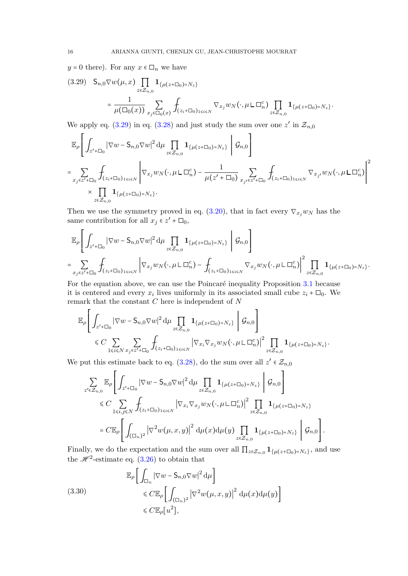$y = 0$  there). For any  $x \in \Box_n$  we have

<span id="page-15-0"></span>
$$
(3.29) \quad S_{n,0} \nabla w(\mu, x) \prod_{z \in \mathcal{Z}_{n,0}} \mathbf{1}_{\{\mu(z+\square_0) = N_z\}} = \frac{1}{\mu(\square_0(x))} \sum_{x_j \in \square_0(x)} \int_{(z_i+\square_0)_{1 \le i \le N}} \nabla_{x_j} w_N(\cdot, \mu \sqcup \square_n^c) \prod_{z \in \mathcal{Z}_{n,0}} \mathbf{1}_{\{\mu(z+\square_0) = N_z\}}.
$$

We apply eq.  $(3.29)$  in eq.  $(3.28)$  and just study the sum over one z' in  $\mathcal{Z}_{n,0}$ 

$$
\label{eq:4.10} \begin{split} &\mathbb{E}_{\rho}\Bigg[\int_{z'+\Box_{0}}\big|\nabla w-\mathsf{S}_{n,0}\nabla w\big|^{2}\,\mathrm{d}\mu\prod_{z\in\mathcal{Z}_{n,0}}\mathbf{1}_{\{\mu(z+\Box_{0})=N_{z}\}}\Bigg|\,\mathcal{G}_{n,0}\Bigg]\\ =&\sum_{x_{j}\in z'+\Box_{0}}\int_{(z_{i}+\Box_{0})_{1\leqslant i\leqslant N}}\Bigg|\nabla_{x_{j}}w_{N}\big(\cdot,\mu\mathsf{L}\,\Box_{n}^{c}\big)-\frac{1}{\mu(z'+\Box_{0})}\sum_{x_{j'}\in z'+\Box_{0}}\int_{(z_{i}+\Box_{0})_{1\leqslant i\leqslant N}}\nabla_{x_{j'}}w_{N}\big(\cdot,\mu\mathsf{L}\,\Box_{n}^{c}\big)\Bigg|^{2} \\ &\times\prod_{z\in\mathcal{Z}_{n,0}}\mathbf{1}_{\{\mu(z+\Box_{0})=N_{z}\}}. \end{split}
$$

Then we use the symmetry proved in eq. [\(3.20\)](#page-12-2), that in fact every  $\nabla_{x_j} w_N$  has the same contribution for all  $x_j \in z' + \Box_0$ ,

$$
\mathbb{E}_{\rho}\left[\int_{z'+\Box_{0}}|\nabla w-\mathsf{S}_{n,0}\nabla w|^{2}\,\mathrm{d}\mu\prod_{z\in\mathcal{Z}_{n,0}}\mathbf{1}_{\{\mu(z+\Box_{0})=N_{z}\}}\,\bigg|\,\mathcal{G}_{n,0}\right]
$$
\n
$$
=\sum_{x_{j}\in z'+\Box_{0}}\int_{(z_{i}+\Box_{0})_{1\leq i\leq N}}\left|\nabla_{x_{j}}w_{N}(\cdot,\mu\,\Box\, \Box_{n}^{c})-\int_{(z_{i}+\Box_{0})_{1\leq i\leq N}}\nabla_{x_{j}}w_{N}(\cdot,\mu\,\Box\, \Box_{n}^{c})\right|^{2}\prod_{z\in\mathcal{Z}_{n,0}}\mathbf{1}_{\{\mu(z+\Box_{0})=N_{z}\}}.
$$

For the equation above, we can use the Poincaré inequality Proposition [3.1](#page-8-0) because it is centered and every  $x_i$  lives uniformly in its associated small cube  $z_i + \Box_0$ . We remark that the constant  $C$  here is independent of  $N$ 

$$
\mathbb{E}_{\rho}\left[\int_{z'+\Box_{0}}|\nabla w-\mathsf{S}_{n,0}\nabla w|^{2} d\mu \prod_{z\in\mathcal{Z}_{n,0}}\mathbf{1}_{\{\mu(z+\Box_{0})=N_{z}\}}\left|\mathcal{G}_{n,0}\right.\right] \\ \leq C \sum_{1\leqslant i\leqslant N}\sum_{x_{j}\in z'+\Box_{0}}\int_{(z_{i}+\Box_{0})_{1\leqslant i\leqslant N}}\left|\nabla_{x_{i}}\nabla_{x_{j}}w_{N}(\cdot,\mu\sqcup \Box_{n}^{c})\right|^{2}\prod_{z\in\mathcal{Z}_{n,0}}\mathbf{1}_{\{\mu(z+\Box_{0})=N_{z}\}}.
$$

We put this estimate back to eq. [\(3.28\)](#page-14-3), do the sum over all  $z' \in \mathcal{Z}_{n,0}$ 

$$
\sum_{z' \in \mathcal{Z}_{n,0}} \mathbb{E}_{\rho} \Bigg[ \int_{z' + \Box_0} |\nabla w - \mathsf{S}_{n,0} \nabla w|^2 \, \mathrm{d} \mu \prod_{z \in \mathcal{Z}_{n,0}} \mathbf{1}_{\{\mu(z + \Box_0) = N_z\}} \Bigg| \mathcal{G}_{n,0} \Bigg]
$$
  
\$\leq C \sum\_{1 \leq i,j \leq N} \int\_{(z\_i + \Box\_0)\_{1 \leq i \leq N}} |\nabla\_{x\_i} \nabla\_{x\_j} w\_N(\cdot, \mu \mathsf{L} \Box\_n^c)|^2 \prod\_{z \in \mathcal{Z}\_{n,0}} \mathbf{1}\_{\{\mu(z + \Box\_0) = N\_z\}}\Bigg] \newline = C \mathbb{E}\_{\rho} \Bigg[ \int\_{(\Box\_n)^2} |\nabla^2 w(\mu, x, y)|^2 \, \mathrm{d} \mu(x) \mathrm{d} \mu(y) \prod\_{z \in \mathcal{Z}\_{n,0}} \mathbf{1}\_{\{\mu(z + \Box\_0) = N\_z\}} \Bigg| \mathcal{G}\_{n,0} \Bigg].

Finally, we do the expectation and the sum over all  $\prod_{z \in \mathcal{Z}_{n,0}} \mathbf{1}_{\{\mu(z+\square_0)=N_z\}}$ , and use the  $\mathscr{H}^2$ -estimate eq.  $(3.26)$  to obtain that

<span id="page-15-1"></span>(3.30)  
\n
$$
\mathbb{E}_{\rho} \left[ \int_{\Box_n} |\nabla w - \mathsf{S}_{n,0} \nabla w|^2 \, \mathrm{d}\mu \right] \leq C \mathbb{E}_{\rho} \left[ \int_{(\Box_n)^2} |\nabla^2 w(\mu, x, y)|^2 \, \mathrm{d}\mu(x) \mathrm{d}\mu(y) \right] \leq C \mathbb{E}_{\rho} [u^2],
$$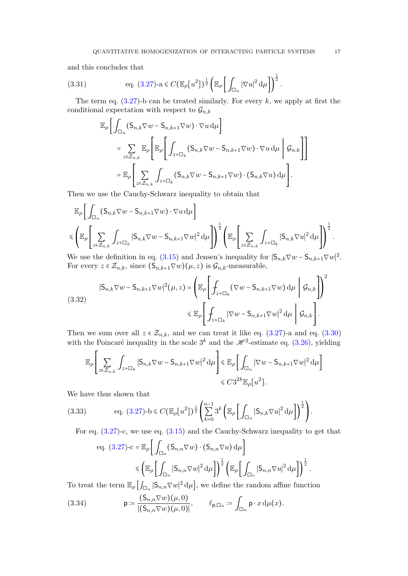and this concludes that

<span id="page-16-1"></span>(3.31) 
$$
\text{eq. } (3.27) \text{-a} \leq C \big(\mathbb{E}_{\rho}[u^2]\big)^{\frac{1}{2}} \bigg(\mathbb{E}_{\rho} \bigg[\int_{\Box_n} |\nabla u|^2 d\mu\bigg]\bigg)^{\frac{1}{2}}.
$$

The term eq.  $(3.27)$ -b can be treated similarly. For every k, we apply at first the conditional expectation with respect to  $\mathcal{G}_{n,k}$ 

$$
\mathbb{E}_{\rho}\left[\int_{\Box_{n}}(\mathsf{S}_{n,k}\nabla w-\mathsf{S}_{n,k+1}\nabla w)\cdot\nabla u\,\mathrm{d}\mu\right]
$$
\n
$$
=\sum_{z\in\mathcal{Z}_{n,k}}\mathbb{E}_{\rho}\left[\mathbb{E}_{\rho}\left[\int_{z+\Box_{k}}(\mathsf{S}_{n,k}\nabla w-\mathsf{S}_{n,k+1}\nabla w)\cdot\nabla u\,\mathrm{d}\mu\bigg|\mathcal{G}_{n,k}\right]\right]
$$
\n
$$
=\mathbb{E}_{\rho}\left[\sum_{z\in\mathcal{Z}_{n,k}}\int_{z+\Box_{k}}(\mathsf{S}_{n,k}\nabla w-\mathsf{S}_{n,k+1}\nabla w)\cdot(\mathsf{S}_{n,k}\nabla u)\,\mathrm{d}\mu\right].
$$

Then we use the Cauchy-Schwarz inequality to obtain that

$$
\mathbb{E}_{\rho}\left[\int_{\Box_n}(\mathsf{S}_{n,k}\nabla w-\mathsf{S}_{n,k+1}\nabla w)\cdot\nabla u\,\mathrm{d}\mu\right]
$$

$$
\leqslant \left(\mathbb{E}_{\rho}\left[\sum_{z\in\mathcal{Z}_{n,k}}\int_{z+\Box_k}|\mathsf{S}_{n,k}\nabla w-\mathsf{S}_{n,k+1}\nabla w|^2\,\mathrm{d}\mu\right]\right)^{\frac{1}{2}}\left(\mathbb{E}_{\rho}\left[\sum_{z\in\mathcal{Z}_{n,k}}\int_{z+\Box_k}|\mathsf{S}_{n,k}\nabla u|^2\,\mathrm{d}\mu\right]\right)^{\frac{1}{2}}.
$$

We use the definition in eq. [\(3.15\)](#page-11-1) and Jensen's inequality for  $|S_{n,k}\nabla w - S_{n,k+1}\nabla w|^2$ . For every  $z \in \mathcal{Z}_{n,k}$ , since  $(\mathsf{S}_{n,k+1} \nabla w)(\mu, z)$  is  $\mathcal{G}_{n,k}$ -measurable,

(3.32)  

$$
|S_{n,k}\nabla w - S_{n,k+1}\nabla w|^2(\mu, z) = \left(\mathbb{E}_{\rho}\left[\int_{z+\square_k}(\nabla w - S_{n,k+1}\nabla w)\,d\mu \middle| \mathcal{G}_{n,k}\right]\right)^2
$$

$$
\leq \mathbb{E}_{\rho}\left[\int_{z+\square_k}|\nabla w - S_{n,k+1}\nabla w|^2\,d\mu \middle| \mathcal{G}_{n,k}\right].
$$

Then we sum over all  $z \in \mathcal{Z}_{n,k}$ , and we can treat it like eq. [\(3.27\)](#page-14-2)-a and eq. [\(3.30\)](#page-15-1) with the Poincaré inequality in the scale  $3^k$  and the  $\mathcal{H}^2$ -estimate eq. [\(3.26\)](#page-14-4), yielding

$$
\mathbb{E}_{\rho}\Bigg[\sum_{z\in\mathcal{Z}_{n,k}}\int_{z+\Box_k}|\mathsf{S}_{n,k}\nabla w-\mathsf{S}_{n,k+1}\nabla w|^2\,\mathrm{d}\mu\Bigg]\leqslant \mathbb{E}_{\rho}\Bigg[\int_{\Box_n}|\nabla w-\mathsf{S}_{n,k+1}\nabla w|^2\,\mathrm{d}\mu\Bigg]\\qquad \qquad \leqslant C3^{2k}\mathbb{E}_{\rho}\big[u^2\big].
$$

We have thus shown that

<span id="page-16-2"></span>
$$
(3.33) \qquad \text{eq. } (3.27) \text{-} b \leq C \big( \mathbb{E}_{\rho} \big[ u^2 \big] \big)^{\frac{1}{2}} \left( \sum_{k=0}^{n-1} 3^k \left( \mathbb{E}_{\rho} \bigg[ \int_{\Box_n} |\mathsf{S}_{n,k} \nabla u|^2 \, \mathrm{d} \mu \bigg] \right)^{\frac{1}{2}} \right).
$$

For eq. [\(3.27\)](#page-14-2)-c, we use eq. [\(3.15\)](#page-11-1) and the Cauchy-Schwarz inequality to get that

eq. (3.27)-c = 
$$
\mathbb{E}_{\rho} \left[ \int_{\Box_n} (\mathsf{S}_{n,n} \nabla w) \cdot (\mathsf{S}_{n,n} \nabla u) d\mu \right]
$$
  
\n $\leq \left( \mathbb{E}_{\rho} \left[ \int_{\Box_n} |\mathsf{S}_{n,n} \nabla w|^2 d\mu \right] \right)^{\frac{1}{2}} \left( \mathbb{E}_{\rho} \left[ \int_{\Box_n} |\mathsf{S}_{n,n} \nabla u|^2 d\mu \right] \right)^{\frac{1}{2}}.$ 

To treat the term  $\mathbb{E}_{\rho} \left[ \int_{\Box_n} |\mathsf{S}_{n,n} \nabla w|^2 d\mu \right]$ , we define the random affine function

<span id="page-16-0"></span>(3.34) 
$$
\mathsf{p} \coloneqq \frac{(\mathsf{S}_{n,n} \nabla w)(\mu,0)}{|(\mathsf{S}_{n,n} \nabla w)(\mu,0)|}, \qquad \ell_{\mathsf{p},\Box_n} \coloneqq \int_{\Box_n} \mathsf{p} \cdot x \, \mathrm{d}\mu(x).
$$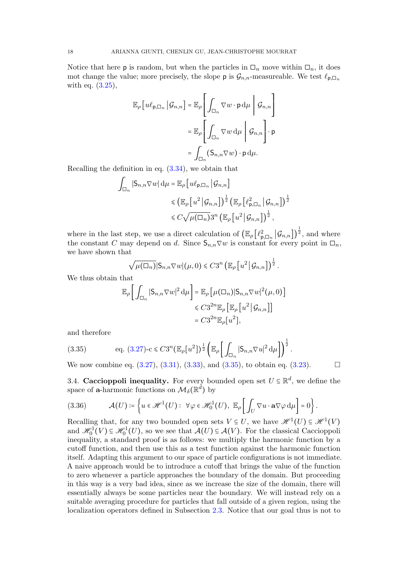Notice that here **p** is random, but when the particles in  $\Box_n$  move within  $\Box_n$ , it does mot change the value; more precisely, the slope **p** is  $\mathcal{G}_{n,n}$ -measureable. We test  $\ell_{\mathsf{p},\Box_n}$ with eq. [\(3.25\)](#page-14-5),

$$
\mathbb{E}_{\rho}\left[u\ell_{\mathsf{p},\Box_n}\,\big|\,\mathcal{G}_{n,n}\right] = \mathbb{E}_{\rho}\left[\int_{\Box_n} \nabla w \cdot \mathsf{p} \,d\mu \middle|\,\mathcal{G}_{n,n}\right]
$$

$$
= \mathbb{E}_{\rho}\left[\int_{\Box_n} \nabla w \,d\mu \middle|\,\mathcal{G}_{n,n}\right] \cdot \mathsf{p}
$$

$$
= \int_{\Box_n} (\mathsf{S}_{n,n} \nabla w) \cdot \mathsf{p} \,d\mu.
$$

Recalling the definition in eq. [\(3.34\)](#page-16-0), we obtain that

$$
\int_{\Box_n} |\mathsf{S}_{n,n} \nabla w| \, \mathrm{d}\mu = \mathbb{E}_{\rho} \left[ u \ell_{\mathsf{p},\Box_n} \, \middle| \, \mathcal{G}_{n,n} \right]
$$

$$
\leqslant \left( \mathbb{E}_{\rho} \left[ u^2 \, \middle| \, \mathcal{G}_{n,n} \right] \right)^{\frac{1}{2}} \left( \mathbb{E}_{\rho} \left[ \ell_{\mathsf{p},\Box_n}^2 \, \middle| \, \mathcal{G}_{n,n} \right] \right)^{\frac{1}{2}}
$$

$$
\leqslant C \sqrt{\mu(\Box_n)} 3^n \left( \mathbb{E}_{\rho} \left[ u^2 \, \middle| \, \mathcal{G}_{n,n} \right] \right)^{\frac{1}{2}},
$$

where in the last step, we use a direct calculation of  $(\mathbb{E}_{\rho} \left[ \ell_{\mathsf{p},\Box_n}^2 \middle| \mathcal{G}_{n,n} \right])^{\frac{1}{2}}$ , and where the constant C may depend on d. Since  $S_{n,n}\nabla w$  is constant for every point in  $\square_n$ , we have shown that

$$
\sqrt{\mu(\Box_n)}|S_{n,n}\nabla w|(\mu,0)\leq C3^n \left(\mathbb{E}_{\rho}\left[u^2\,\big|\,\mathcal{G}_{n,n}\right]\right)^{\frac{1}{2}}.
$$

We thus obtain that

$$
\mathbb{E}_{\rho}\bigg[\int_{\Box_n} |\mathsf{S}_{n,n} \nabla w|^2 \, \mathrm{d}\mu\bigg] = \mathbb{E}_{\rho}\big[\mu(\Box_n) |\mathsf{S}_{n,n} \nabla w|^2(\mu,0)\big] \leq C 3^{2n} \mathbb{E}_{\rho}\big[\mathbb{E}_{\rho}\big[u^2 \,|\, \mathcal{G}_{n,n}\big]\big] \leq C 3^{2n} \mathbb{E}_{\rho}\big[u^2 \,|\, \mathcal{G}_{n,n}\big]\big] \leq C 3^{2n} \mathbb{E}_{\rho}\big[u^2 \big],
$$

and therefore

<span id="page-17-0"></span>(3.35) 
$$
\text{eq. } (3.27) - c \leq C3^{n} \left( \mathbb{E}_{\rho} [u^{2}] \right)^{\frac{1}{2}} \left( \mathbb{E}_{\rho} \left[ \int_{\Box_{n}} |S_{n,n} \nabla u|^{2} d\mu \right] \right)^{\frac{1}{2}}.
$$

We now combine eq.  $(3.27), (3.31), (3.33),$  $(3.27), (3.31), (3.33),$  $(3.27), (3.31), (3.33),$  $(3.27), (3.31), (3.33),$  $(3.27), (3.31), (3.33),$  and  $(3.35),$  to obtain eq.  $(3.23).$ 

3.4. Caccioppoli inequality. For every bounded open set  $U \subseteq \mathbb{R}^d$ , we define the space of **a**-harmonic functions on  $\mathcal{M}_{\delta}(\mathbb{R}^{\tilde{d}})$  by

(3.36) 
$$
\mathcal{A}(U) \coloneqq \left\{ u \in \mathcal{H}^1(U) : \ \forall \varphi \in \mathcal{H}^1_0(U), \ \mathbb{E}_{\rho} \left[ \int_U \nabla u \cdot \mathbf{a} \nabla \varphi \, \mathrm{d} \mu \right] = 0 \right\}.
$$

Recalling that, for any two bounded open sets  $V \subseteq U$ , we have  $\mathcal{H}^1(U) \subseteq \mathcal{H}^1(V)$ and  $\mathcal{H}_0^1(V) \subseteq \mathcal{H}_0^1(U)$ , so we see that  $\mathcal{A}(U) \subseteq \mathcal{A}(V)$ . For the classical Caccioppoli inequality, a standard proof is as follows: we multiply the harmonic function by a cutoff function, and then use this as a test function against the harmonic function itself. Adapting this argument to our space of particle configurations is not immediate. A naive approach would be to introduce a cutoff that brings the value of the function to zero whenever a particle approaches the boundary of the domain. But proceeding in this way is a very bad idea, since as we increase the size of the domain, there will essentially always be some particles near the boundary. We will instead rely on a suitable averaging procedure for particles that fall outside of a given region, using the localization operators defined in Subsection [2.3.](#page-5-0) Notice that our goal thus is not to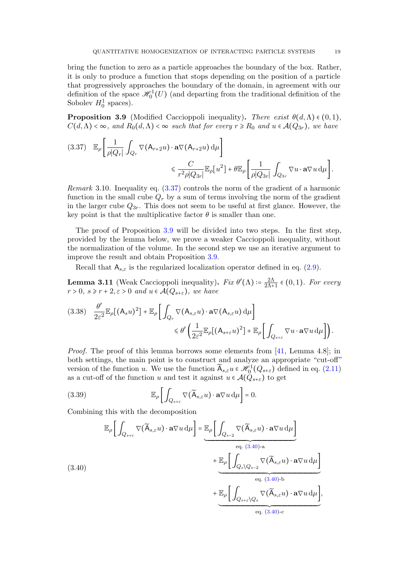bring the function to zero as a particle approaches the boundary of the box. Rather, it is only to produce a function that stops depending on the position of a particle that progressively approaches the boundary of the domain, in agreement with our definition of the space  $\mathcal{H}_0^1(U)$  (and departing from the traditional definition of the Sobolev  $H_0^1$  spaces).

<span id="page-18-0"></span>**Proposition 3.9** (Modified Caccioppoli inequality). There exist  $\theta(d,\Lambda) \in (0,1)$ ,  $C(d,\Lambda) < \infty$ , and  $R_0(d,\Lambda) < \infty$  such that for every  $r \ge R_0$  and  $u \in \mathcal{A}(Q_{3r})$ , we have

<span id="page-18-1"></span>
$$
(3.37) \mathbb{E}_{\rho} \left[ \frac{1}{\rho |Q_r|} \int_{Q_r} \nabla (\mathsf{A}_{r+2} u) \cdot \mathbf{a} \nabla (\mathsf{A}_{r+2} u) d\mu \right] \leq \frac{C}{r^2 \rho |Q_{3r}|} \mathbb{E}_{\rho} [u^2] + \theta \mathbb{E}_{\rho} \left[ \frac{1}{\rho |Q_{3r}|} \int_{Q_{3r}} \nabla u \cdot \mathbf{a} \nabla u d\mu \right].
$$

Remark 3.10. Inequality eq. [\(3.37\)](#page-18-1) controls the norm of the gradient of a harmonic function in the small cube  $Q_r$  by a sum of terms involving the norm of the gradient in the larger cube  $Q_{3r}$ . This does not seem to be useful at first glance. However, the key point is that the multiplicative factor  $\theta$  is smaller than one.

The proof of Proposition [3.9](#page-18-0) will be divided into two steps. In the first step, provided by the lemma below, we prove a weaker Caccioppoli inequality, without the normalization of the volume. In the second step we use an iterative argument to improve the result and obtain Proposition [3.9.](#page-18-0)

Recall that  $A_{s,\varepsilon}$  is the regularized localization operator defined in eq. [\(2.9\)](#page-6-0).

<span id="page-18-4"></span>**Lemma 3.11** (Weak Caccioppoli inequality).  $Fix \theta'(\Lambda) = \frac{2\Lambda}{2\Lambda + 1}$  $\frac{2\Lambda}{2\Lambda+1} \in (0,1)$ . For every  $r > 0$ ,  $s \ge r + 2$ ,  $\varepsilon > 0$  and  $u \in \mathcal{A}(Q_{s+\varepsilon})$ , we have

<span id="page-18-3"></span>
$$
(3.38) \frac{\theta'}{2\varepsilon^{2}}\mathbb{E}_{\rho}\big[\big(A_{s}u\big)^{2}\big] + \mathbb{E}_{\rho}\bigg[\int_{Q_{r}}\nabla\big(A_{s,\varepsilon}u\big)\cdot\mathbf{a}\nabla\big(A_{s,\varepsilon}u\big)\,\mathrm{d}\mu\bigg] \leq \theta'\bigg(\frac{1}{2\varepsilon^{2}}\mathbb{E}_{\rho}\big[\big(A_{s+\varepsilon}u\big)^{2}\big] + \mathbb{E}_{\rho}\bigg[\int_{Q_{s+\varepsilon}}\nabla u\cdot\mathbf{a}\nabla u\,\mathrm{d}\mu\bigg]\bigg).
$$

*Proof.* The proof of this lemma borrows some elements from [\[41,](#page-58-27) Lemma 4.8]; in both settings, the main point is to construct and analyze an appropriate "cut-off" version of the function u. We use the function  $\widetilde{A}_{s,\varepsilon}u \in \mathcal{H}_0^1(Q_{s+\varepsilon})$  defined in eq. [\(2.11\)](#page-6-1) as a cut-off of the function u and test it against  $u \in \mathcal{A}(Q_{s+\varepsilon})$  to get

(3.39) 
$$
\mathbb{E}_{\rho}\bigg[\int_{Q_{s+\varepsilon}} \nabla(\widetilde{\mathsf{A}}_{s,\varepsilon}u) \cdot \mathbf{a} \nabla u \,d\mu\bigg] = 0.
$$

Combining this with the decomposition

<span id="page-18-2"></span>
$$
\mathbb{E}_{\rho}\left[\int_{Q_{s+\varepsilon}}\nabla(\widetilde{\mathbf{A}}_{s,\varepsilon}u)\cdot\mathbf{a}\nabla u\,\mathrm{d}\mu\right]=\underbrace{\mathbb{E}_{\rho}\left[\int_{Q_{s-2}}\nabla(\widetilde{\mathbf{A}}_{s,\varepsilon}u)\cdot\mathbf{a}\nabla u\,\mathrm{d}\mu\right]}_{\text{eq. (3.40)-a}}+\underbrace{\mathbb{E}_{\rho}\left[\int_{Q_{s}\setminus Q_{s-2}}\nabla(\widetilde{\mathbf{A}}_{s,\varepsilon}u)\cdot\mathbf{a}\nabla u\,\mathrm{d}\mu\right]}_{\text{eq. (3.40)-b}}+\underbrace{\mathbb{E}_{\rho}\left[\int_{Q_{s+\varepsilon}\setminus Q_{s}}\nabla(\widetilde{\mathbf{A}}_{s,\varepsilon}u)\cdot\mathbf{a}\nabla u\,\mathrm{d}\mu\right]}_{\text{eq. (3.40)-c}},
$$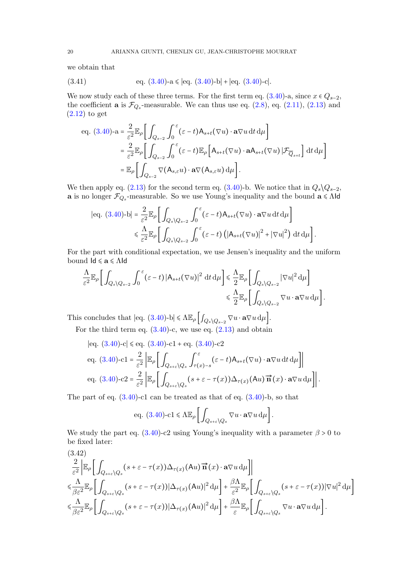we obtain that

<span id="page-19-1"></span>(3.41) 
$$
eq. (3.40)-a \leqslant |eq. (3.40)-b| + |eq. (3.40)-c|.
$$

We now study each of these three terms. For the first term eq.  $(3.40)$ -a, since  $x \in Q_{s-2}$ , the coefficient **a** is  $\mathcal{F}_{Q_s}$ -measurable. We can thus use eq.  $(2.8)$ , eq.  $(2.11)$ ,  $(2.13)$  and [\(2.12\)](#page-6-4) to get

eq. (3.40)-
$$
\mathbf{a} = \frac{2}{\varepsilon^2} \mathbb{E}_{\rho} \Bigg[ \int_{Q_{s-2}} \int_0^{\varepsilon} (\varepsilon - t) \mathsf{A}_{s+t}(\nabla u) \cdot \mathbf{a} \nabla u \, dt \, d\mu \Bigg]
$$
  
\n
$$
= \frac{2}{\varepsilon^2} \mathbb{E}_{\rho} \Bigg[ \int_{Q_{s-2}} \int_0^{\varepsilon} (\varepsilon - t) \mathbb{E}_{\rho} \Big[ \mathsf{A}_{s+t}(\nabla u) \cdot \mathbf{a} \mathsf{A}_{s+t}(\nabla u) | \mathcal{F}_{Q_{s+t}} \Big] dt \, d\mu \Bigg]
$$
  
\n
$$
= \mathbb{E}_{\rho} \Bigg[ \int_{Q_{s-2}} \nabla (\mathsf{A}_{s,\varepsilon} u) \cdot \mathbf{a} \nabla (\mathsf{A}_{s,\varepsilon} u) \, d\mu \Bigg].
$$

We then apply eq. [\(2.13\)](#page-6-3) for the second term eq. [\(3.40\)](#page-18-2)-b. We notice that in  $Q_s \backslash Q_{s-2}$ , **a** is no longer  $\mathcal{F}_{Q_s}$ -measurable. So we use Young's inequality and the bound  $\mathbf{a} \leq \Lambda$ ld

$$
|\text{eq. } (3.40)\text{-}b| = \frac{2}{\varepsilon^2} \mathbb{E}_{\rho} \bigg[ \int_{Q_s \setminus Q_{s-2}} \int_0^{\varepsilon} (\varepsilon - t) A_{s+t}(\nabla u) \cdot \mathbf{a} \nabla u \, dt \, d\mu \bigg] \leq \frac{\Lambda}{\varepsilon^2} \mathbb{E}_{\rho} \bigg[ \int_{Q_s \setminus Q_{s-2}} \int_0^{\varepsilon} (\varepsilon - t) \left( |A_{s+t}(\nabla u)|^2 + |\nabla u|^2 \right) \, dt \, d\mu \bigg].
$$

For the part with conditional expectation, we use Jensen's inequality and the uniform bound  $\mathsf{Id} \leqslant \mathbf{a} \leqslant \Lambda \mathsf{Id}$ 

$$
\frac{\Lambda}{\varepsilon^2} \mathbb{E}_{\rho} \Big[ \int_{Q_s \setminus Q_{s-2}} \int_0^{\varepsilon} (\varepsilon - t) \left| A_{s+t} (\nabla u) \right|^2 dt d\mu \Big] \leq \frac{\Lambda}{2} \mathbb{E}_{\rho} \Big[ \int_{Q_s \setminus Q_{s-2}} |\nabla u|^2 d\mu \Big] \leq \frac{\Lambda}{2} \mathbb{E}_{\rho} \Big[ \int_{Q_s \setminus Q_{s-2}} \nabla u \cdot \mathbf{a} \nabla u d\mu \Big].
$$

This concludes that  $|\text{eq. } (3.40) \text{-} \text{b}| \leq \Lambda \mathbb{E}_{\rho} \left[ \int_{Q_s \setminus Q_{s-2}} \nabla u \cdot \mathbf{a} \nabla u \, d\mu \right]$  $|\text{eq. } (3.40) \text{-} \text{b}| \leq \Lambda \mathbb{E}_{\rho} \left[ \int_{Q_s \setminus Q_{s-2}} \nabla u \cdot \mathbf{a} \nabla u \, d\mu \right]$  $|\text{eq. } (3.40) \text{-} \text{b}| \leq \Lambda \mathbb{E}_{\rho} \left[ \int_{Q_s \setminus Q_{s-2}} \nabla u \cdot \mathbf{a} \nabla u \, d\mu \right]$ .

For the third term eq.  $(3.40)$ -c, we use eq.  $(2.13)$  and obtain

$$
|\text{eq. (3.40)-c}| \leqslant \text{eq. (3.40)-c1 + eq. (3.40)-c2}
$$
\n
$$
\text{eq. (3.40)-c1 = } \frac{2}{\varepsilon^2} \left| \mathbb{E}_{\rho} \left[ \int_{Q_{s+\varepsilon} \setminus Q_s} \int_{\tau(x)-s}^{\varepsilon} (\varepsilon - t) \mathsf{A}_{s+t}(\nabla u) \cdot \mathbf{a} \nabla u \, dt \, d\mu \right] \right|
$$
\n
$$
\text{eq. (3.40)-c2 = } \frac{2}{\varepsilon^2} \left| \mathbb{E}_{\rho} \left[ \int_{Q_{s+\varepsilon} \setminus Q_s} (s+\varepsilon - \tau(x)) \Delta_{\tau(x)}(\mathsf{A}u) \, \vec{\mathbf{n}}(x) \cdot \mathbf{a} \nabla u \, d\mu \right] \right|.
$$

The part of eq.  $(3.40)$ -c1 can be treated as that of eq.  $(3.40)$ -b, so that

eq. (3.40)-c1 
$$
\leq \Lambda \mathbb{E}_{\rho} \left[ \int_{Q_{s+\varepsilon} \setminus Q_s} \nabla u \cdot \mathbf{a} \nabla u \, \mathrm{d}\mu \right].
$$

We study the part eq.  $(3.40)$ -c2 using Young's inequality with a parameter  $\beta > 0$  to be fixed later:

<span id="page-19-0"></span>
$$
(3.42)
$$
\n
$$
\frac{2}{\varepsilon^{2}}\Big| \mathbb{E}_{\rho} \Big[ \int_{Q_{s+\varepsilon} \setminus Q_{s}} (s+\varepsilon - \tau(x)) \Delta_{\tau(x)}(\mathbf{A}u) \overrightarrow{\mathbf{n}}(x) \cdot \mathbf{a} \nabla u d\mu \Big] \Big|
$$
\n
$$
\leq \frac{\Lambda}{\beta \varepsilon^{2}} \mathbb{E}_{\rho} \Big[ \int_{Q_{s+\varepsilon} \setminus Q_{s}} (s+\varepsilon - \tau(x)) |\Delta_{\tau(x)}(\mathbf{A}u)|^{2} d\mu \Big] + \frac{\beta \Lambda}{\varepsilon^{2}} \mathbb{E}_{\rho} \Big[ \int_{Q_{s+\varepsilon} \setminus Q_{s}} (s+\varepsilon - \tau(x)) |\nabla u|^{2} d\mu \Big]
$$
\n
$$
\leq \frac{\Lambda}{\beta \varepsilon^{2}} \mathbb{E}_{\rho} \Big[ \int_{Q_{s+\varepsilon} \setminus Q_{s}} (s+\varepsilon - \tau(x)) |\Delta_{\tau(x)}(\mathbf{A}u)|^{2} d\mu \Big] + \frac{\beta \Lambda}{\varepsilon} \mathbb{E}_{\rho} \Big[ \int_{Q_{s+\varepsilon} \setminus Q_{s}} \nabla u \cdot \mathbf{a} \nabla u d\mu \Big].
$$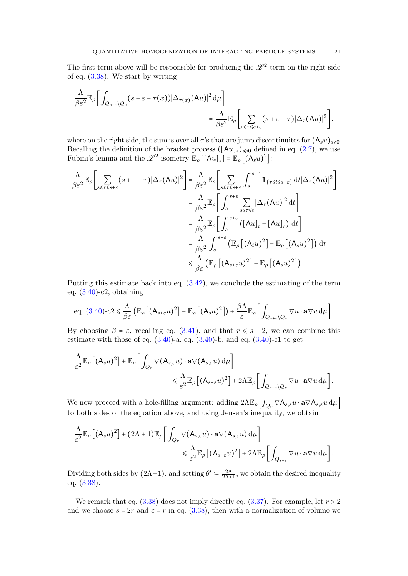The first term above will be responsible for producing the  $\mathscr{L}^2$  term on the right side of eq. [\(3.38\)](#page-18-3). We start by writing

$$
\frac{\Lambda}{\beta \varepsilon^2} \mathbb{E}_{\rho} \bigg[ \int_{Q_{s+\varepsilon} \setminus Q_s} (s+\varepsilon - \tau(x)) |\Delta_{\tau(x)}(Au)|^2 d\mu \bigg] = \frac{\Lambda}{\beta \varepsilon^2} \mathbb{E}_{\rho} \bigg[ \sum_{s \leq \tau \leq s+\varepsilon} (s+\varepsilon - \tau) |\Delta_{\tau}(Au)|^2 \bigg],
$$

where on the right side, the sum is over all  $\tau$ 's that are jump discontinuites for  $(A_s u)_{s \geq 0}$ . Recalling the definition of the bracket process  $([Au]_s)_{s\geqslant 0}$  defined in eq. [\(2.7\)](#page-6-5), we use Fubini's lemma and the  $\mathscr{L}^2$  isometry  $\mathbb{E}_{\rho}[[Au]_s] = \mathbb{E}_{\rho}[(A_s u)^2]$ :

$$
\frac{\Lambda}{\beta\varepsilon^{2}}\mathbb{E}_{\rho}\left[\sum_{s\leq\tau\leq s+\varepsilon}(s+\varepsilon-\tau)|\Delta_{\tau}(Au)|^{2}\right] = \frac{\Lambda}{\beta\varepsilon^{2}}\mathbb{E}_{\rho}\left[\sum_{s\leq\tau\leq s+\varepsilon}\int_{s}^{s+\varepsilon}\mathbf{1}_{\{\tau\leq t\leq s+\varepsilon\}}\mathrm{d}t|\Delta_{\tau}(Au)|^{2}\right]
$$
\n
$$
=\frac{\Lambda}{\beta\varepsilon^{2}}\mathbb{E}_{\rho}\left[\int_{s}^{s+\varepsilon}\sum_{s\leq\tau\leq t}|\Delta_{\tau}(Au)|^{2}\mathrm{d}t\right]
$$
\n
$$
=\frac{\Lambda}{\beta\varepsilon^{2}}\mathbb{E}_{\rho}\left[\int_{s}^{s+\varepsilon}\left([Au]_{t}-[Au]_{s}\right)\mathrm{d}t\right]
$$
\n
$$
=\frac{\Lambda}{\beta\varepsilon^{2}}\int_{s}^{s+\varepsilon}\left(\mathbb{E}_{\rho}\left[(A_{t}u)^{2}\right]-\mathbb{E}_{\rho}\left[(A_{s}u)^{2}\right]\right)\mathrm{d}t
$$
\n
$$
\leq \frac{\Lambda}{\beta\varepsilon}\left(\mathbb{E}_{\rho}\left[(A_{s+\varepsilon}u)^{2}\right]-\mathbb{E}_{\rho}\left[(A_{s}u)^{2}\right]\right).
$$

Putting this estimate back into eq. [\(3.42\)](#page-19-0), we conclude the estimating of the term eq. [\(3.40\)](#page-18-2)-c2, obtaining

eq. (3.40)-c2 
$$
\leq \frac{\Lambda}{\beta \varepsilon} \left( \mathbb{E}_{\rho} \left[ (A_{s+\varepsilon} u)^2 \right] - \mathbb{E}_{\rho} \left[ (A_s u)^2 \right] \right) + \frac{\beta \Lambda}{\varepsilon} \mathbb{E}_{\rho} \left[ \int_{Q_{s+\varepsilon} \setminus Q_s} \nabla u \cdot \mathbf{a} \nabla u \, \mathrm{d} \mu \right].
$$

By choosing  $\beta = \varepsilon$ , recalling eq. [\(3.41\)](#page-19-1), and that  $r \leq s - 2$ , we can combine this estimate with those of eq.  $(3.40)$ -a, eq.  $(3.40)$ -b, and eq.  $(3.40)$ -c1 to get

$$
\frac{\Lambda}{\varepsilon^2} \mathbb{E}_{\rho} \left[ \left( A_s u \right)^2 \right] + \mathbb{E}_{\rho} \left[ \int_{Q_r} \nabla (A_{s,\varepsilon} u) \cdot \mathbf{a} \nabla (A_{s,\varepsilon} u) \, \mathrm{d} \mu \right] \leq \frac{\Lambda}{\varepsilon^2} \mathbb{E}_{\rho} \left[ \left( A_{s+\varepsilon} u \right)^2 \right] + 2\Lambda \mathbb{E}_{\rho} \left[ \int_{Q_{s+\varepsilon} \setminus Q_r} \nabla u \cdot \mathbf{a} \nabla u \, \mathrm{d} \mu \right].
$$

We now proceed with a hole-filling argument: adding  $2\Lambda \mathbb{E}_{\rho} \left[ \int_{Q_r} \nabla A_{s,\varepsilon} u \cdot \mathbf{a} \nabla A_{s,\varepsilon} u \, d\mu \right]$ to both sides of the equation above, and using Jensen's inequality, we obtain

$$
\frac{\Lambda}{\varepsilon^2} \mathbb{E}_{\rho} \left[ (A_s u)^2 \right] + (2\Lambda + 1) \mathbb{E}_{\rho} \left[ \int_{Q_r} \nabla (A_{s,\varepsilon} u) \cdot \mathbf{a} \nabla (A_{s,\varepsilon} u) d\mu \right] \leq \frac{\Lambda}{\varepsilon^2} \mathbb{E}_{\rho} \left[ (A_{s+\varepsilon} u)^2 \right] + 2\Lambda \mathbb{E}_{\rho} \left[ \int_{Q_{s+\varepsilon}} \nabla u \cdot \mathbf{a} \nabla u d\mu \right].
$$

Dividing both sides by  $(2\Lambda+1)$ , and setting  $\theta' = \frac{2\Lambda}{2\Lambda+1}$  $\frac{2\Lambda}{2\Lambda+1}$ , we obtain the desired inequality eq.  $(3.38)$ .

We remark that eq.  $(3.38)$  does not imply directly eq.  $(3.37)$ . For example, let  $r > 2$ and we choose  $s = 2r$  and  $\varepsilon = r$  in eq. [\(3.38\)](#page-18-3), then with a normalization of volume we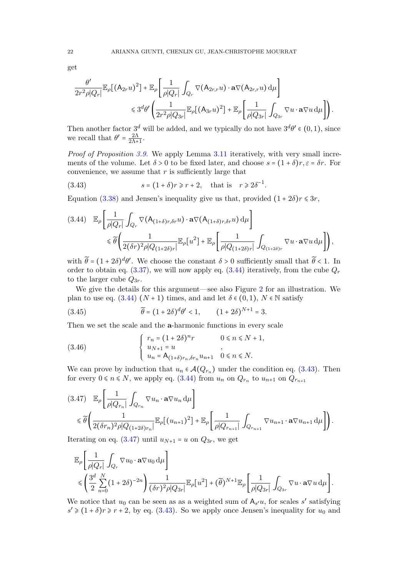get

$$
\frac{\theta'}{2r^2\rho|Q_r|}\mathbb{E}_{\rho}\big[\big(A_{2r}u\big)^2\big] + \mathbb{E}_{\rho}\bigg[\frac{1}{\rho|Q_r|}\int_{Q_r}\nabla\big(A_{2r,r}u\big)\cdot\mathbf{a}\nabla\big(A_{2r,r}u\big)\,\mathrm{d}\mu\bigg] \leq 3^d\theta'\bigg(\frac{1}{2r^2\rho|Q_{3r}|}\mathbb{E}_{\rho}\big[\big(A_{3r}u\big)^2\big] + \mathbb{E}_{\rho}\bigg[\frac{1}{\rho|Q_{3r}|}\int_{Q_{3r}}\nabla u\cdot\mathbf{a}\nabla u\,\mathrm{d}\mu\bigg]\bigg).
$$

Then another factor  $3^d$  will be added, and we typically do not have  $3^d\theta' \in (0,1)$ , since we recall that  $\theta' = \frac{2\Lambda}{2\Lambda + 1}$  $\frac{2\Lambda}{2\Lambda+1}$ .

Proof of Proposition [3.9.](#page-18-0) We apply Lemma [3.11](#page-18-4) iteratively, with very small increments of the volume. Let  $\delta > 0$  to be fixed later, and choose  $s = (1 + \delta)r, \varepsilon = \delta r$ . For convenience, we assume that  $r$  is sufficiently large that

<span id="page-21-1"></span>(3.43) 
$$
s = (1 + \delta)r \ge r + 2, \text{ that is } r \ge 2\delta^{-1}.
$$

Equation [\(3.38\)](#page-18-3) and Jensen's inequality give us that, provided  $(1+2\delta)r \leq 3r$ ,

<span id="page-21-0"></span>
$$
(3.44) \mathbb{E}_{\rho} \left[ \frac{1}{\rho |Q_r|} \int_{Q_r} \nabla (\mathsf{A}_{(1+\delta)r,\delta r} u) \cdot \mathbf{a} \nabla (\mathsf{A}_{(1+\delta)r,\delta r} u) d\mu \right] \leq \widetilde{\theta} \left( \frac{1}{2(\delta r)^2 \rho |Q_{(1+2\delta)r}|} \mathbb{E}_{\rho} \left[ u^2 \right] + \mathbb{E}_{\rho} \left[ \frac{1}{\rho |Q_{(1+2\delta)r}|} \int_{Q_{(1+2\delta)r}} \nabla u \cdot \mathbf{a} \nabla u d\mu \right] \right),
$$

with  $\tilde{\theta} = (1 + 2\delta)^d \theta'$ . We choose the constant  $\delta > 0$  sufficiently small that  $\tilde{\theta} < 1$ . In order to obtain eq. [\(3.37\)](#page-18-1), we will now apply eq. [\(3.44\)](#page-21-0) iteratively, from the cube  $Q_r$ to the larger cube  $Q_{3r}$ .

We give the details for this argument—see also Figure [2](#page-22-1) for an illustration. We plan to use eq.  $(3.44)$   $(N+1)$  times, and and let  $\delta \in (0,1)$ ,  $N \in \mathbb{N}$  satisfy

<span id="page-21-3"></span>(3.45) 
$$
\widetilde{\theta} = (1 + 2\delta)^d \theta' < 1, \qquad (1 + 2\delta)^{N+1} = 3.
$$

Then we set the scale and the a-harmonic functions in every scale

(3.46) 
$$
\begin{cases} r_n = (1+2\delta)^n r & 0 \le n \le N+1, \\ u_{N+1} = u & , \\ u_n = A_{(1+\delta)r_n, \delta r_n} u_{n+1} & 0 \le n \le N. \end{cases}
$$

We can prove by induction that  $u_n \in \mathcal{A}(Q_{r_n})$  under the condition eq. [\(3.43\)](#page-21-1). Then for every  $0 \le n \le N$ , we apply eq. [\(3.44\)](#page-21-0) from  $u_n$  on  $Q_{r_n}$  to  $u_{n+1}$  on  $Q_{r_{n+1}}$ 

<span id="page-21-2"></span>
$$
(3.47) \mathbb{E}_{\rho} \left[ \frac{1}{\rho |Q_{r_n}|} \int_{Q_{r_n}} \nabla u_n \cdot \mathbf{a} \nabla u_n \, d\mu \right]
$$
  
\$\leq \widetilde{\theta} \left( \frac{1}{2(\delta r\_n)^2 \rho |Q\_{(1+2\delta)r\_n}|} \mathbb{E}\_{\rho} [(u\_{n+1})^2] + \mathbb{E}\_{\rho} \left[ \frac{1}{\rho |Q\_{r\_{n+1}}|} \int\_{Q\_{r\_{n+1}}} \nabla u\_{n+1} \cdot \mathbf{a} \nabla u\_{n+1} \, d\mu \right] \right).

Iterating on eq. [\(3.47\)](#page-21-2) until  $u_{N+1} = u$  on  $Q_{3r}$ , we get

$$
\mathbb{E}_{\rho}\left[\frac{1}{\rho|Q_r|}\int_{Q_r} \nabla u_0 \cdot \mathbf{a} \nabla u_0 d\mu\right] \le \left(\frac{3^d}{2}\sum_{n=0}^N (1+2\delta)^{-2n}\right) \frac{1}{(\delta r)^2 \rho|Q_{3r}|} \mathbb{E}_{\rho}[u^2] + (\widetilde{\theta})^{N+1} \mathbb{E}_{\rho}\left[\frac{1}{\rho|Q_{3r}|}\int_{Q_{3r}} \nabla u \cdot \mathbf{a} \nabla u d\mu\right].
$$

We notice that  $u_0$  can be seen as as a weighted sum of  $A_{s'}u$ , for scales s' satisfying  $s' \geq (1+\delta)r \geq r+2$ , by eq. [\(3.43\)](#page-21-1). So we apply once Jensen's inequality for  $u_0$  and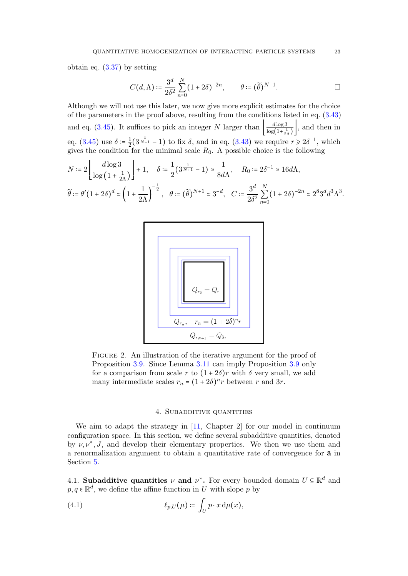obtain eq. [\(3.37\)](#page-18-1) by setting

$$
C(d,\Lambda) \coloneqq \frac{3^d}{2\delta^2} \sum_{n=0}^N (1+2\delta)^{-2n}, \qquad \theta \coloneqq (\widetilde{\theta})^{N+1}.
$$

Although we will not use this later, we now give more explicit estimates for the choice of the parameters in the proof above, resulting from the conditions listed in eq. [\(3.43\)](#page-21-1) and eq. [\(3.45\)](#page-21-3). It suffices to pick an integer N larger than  $\frac{d \log 3}{\log (1+\frac{1}{2})}$  $\frac{d \log 3}{\log(1+\frac{1}{2\Lambda})}$ , and then in eq. [\(3.45\)](#page-21-3) use  $\delta = \frac{1}{2}$  $\frac{1}{2}(3^{\frac{1}{N+1}}-1)$  to fix  $\delta$ , and in eq. [\(3.43\)](#page-21-1) we require  $r \geq 2\delta^{-1}$ , which gives the condition for the minimal scale  $R_0$ . A possible choice is the following

$$
N \coloneqq 2 \left\lfloor \frac{d \log 3}{\log \left(1 + \frac{1}{2\Lambda}\right)} \right\rfloor + 1, \quad \delta \coloneqq \frac{1}{2} (3^{\frac{1}{N+1}} - 1) \simeq \frac{1}{8d\Lambda}, \quad R_0 \coloneqq 2\delta^{-1} \simeq 16d\Lambda,
$$
  

$$
\widetilde{\theta} \coloneqq \theta' (1 + 2\delta)^d \simeq \left(1 + \frac{1}{2\Lambda}\right)^{-\frac{1}{2}}, \quad \theta \coloneqq (\widetilde{\theta})^{N+1} \simeq 3^{-d}, \quad C \coloneqq \frac{3^d}{2\delta^2} \sum_{n=0}^N (1 + 2\delta)^{-2n} \simeq 2^8 3^d d^3 \Lambda^3.
$$



<span id="page-22-1"></span>FIGURE 2. An illustration of the iterative argument for the proof of Proposition [3.9.](#page-18-0) Since Lemma [3.11](#page-18-4) can imply Proposition [3.9](#page-18-0) only for a comparison from scale r to  $(1+2\delta)r$  with  $\delta$  very small, we add many intermediate scales  $r_n = (1 + 2\delta)^n r$  between r and 3r.

# 4. Subadditive quantities

<span id="page-22-0"></span>We aim to adapt the strategy in  $[11,$  Chapter 2 for our model in continuum configuration space. In this section, we define several subadditive quantities, denoted by  $\nu, \nu^*, J$ , and develop their elementary properties. We then we use them and a renormalization argument to obtain a quantitative rate of convergence for a in Section [5.](#page-32-0)

4.1. Subadditive quantities  $\nu$  and  $\nu^*$ . For every bounded domain  $U \subseteq \mathbb{R}^d$  and  $p, q \in \mathbb{R}^d$ , we define the affine function in U with slope p by

<span id="page-22-2"></span>(4.1) 
$$
\ell_{p,U}(\mu) \coloneqq \int_U p \cdot x \, d\mu(x),
$$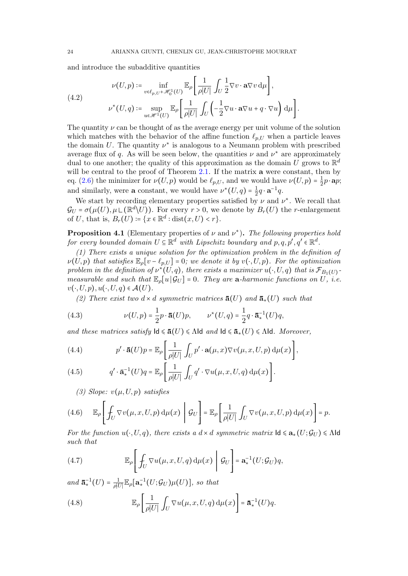and introduce the subadditive quantities

<span id="page-23-1"></span>(4.2) 
$$
\nu(U, p) \coloneqq \inf_{v \in \ell_p, U^+ \mathscr{H}_0^1(U)} \mathbb{E}_{\rho} \left[ \frac{1}{\rho |U|} \int_U \frac{1}{2} \nabla v \cdot \mathbf{a} \nabla v \, \mathrm{d} \mu \right],
$$

$$
\nu^*(U, q) \coloneqq \sup_{u \in \mathscr{H}^1(U)} \mathbb{E}_{\rho} \left[ \frac{1}{\rho |U|} \int_U \left( -\frac{1}{2} \nabla u \cdot \mathbf{a} \nabla u + q \cdot \nabla u \right) \mathrm{d} \mu \right].
$$

The quantity  $\nu$  can be thought of as the average energy per unit volume of the solution which matches with the behavior of the affine function  $\ell_{p,U}$  when a particle leaves the domain U. The quantity  $\nu^*$  is analogous to a Neumann problem with prescribed average flux of q. As will be seen below, the quantities  $\nu$  and  $\nu^*$  are approximately dual to one another; the quality of this approximation as the domain U grows to  $\mathbb{R}^d$ will be central to the proof of Theorem [2.1.](#page-3-0) If the matrix **a** were constant, then by eq. [\(2.6\)](#page-5-1) the minimizer for  $\nu(U, p)$  would be  $\ell_{p,U}$ , and we would have  $\nu(U, p) = \frac{1}{2}$  $rac{1}{2}p \cdot \mathbf{a}p;$ and similarly, were **a** constant, we would have  $\nu^*(U, q) = \frac{1}{2}$  $\frac{1}{2}q \cdot \mathbf{a}^{-1}q.$ 

We start by recording elementary properties satisfied by  $\nu$  and  $\nu^*$ . We recall that  $\mathcal{G}_U = \sigma(\mu(U), \mu \sqcup (\mathbb{R}^d \backslash U))$ . For every  $r > 0$ , we denote by  $B_r(U)$  the r-enlargement of U, that is,  $B_r(U) \coloneqq \{x \in \mathbb{R}^d : \text{dist}(x, U) < r\}.$ 

<span id="page-23-7"></span>**Proposition 4.1** (Elementary properties of  $\nu$  and  $\nu^*$ ). The following properties hold for every bounded domain  $U \subseteq \mathbb{R}^d$  with Lipschitz boundary and  $p, q, p', q' \in \mathbb{R}^d$ .

(1) There exists a unique solution for the optimization problem in the definition of  $\nu(U, p)$  that satisfies  $\mathbb{E}_{\rho}[v - \ell_{p,U}] = 0$ ; we denote it by  $v(\cdot, U, p)$ . For the optimization problem in the definition of  $\nu^*(U, q)$ , there exists a maximizer  $u(\cdot, U, q)$  that is  $\mathcal{F}_{B_1(U)}$ . measurable and such that  $\mathbb{E}_{\rho}[u|\mathcal{G}_U] = 0$ . They are a-harmonic functions on U, i.e.  $v(\cdot, U, p), u(\cdot, U, q) \in \mathcal{A}(U)$ .

<span id="page-23-6"></span>(2) There exist two d × d symmetric matrices  $\bar{\mathbf{a}}(U)$  and  $\bar{\mathbf{a}}_*(U)$  such that

(4.3) 
$$
\nu(U, p) = \frac{1}{2}p \cdot \bar{\mathbf{a}}(U)p, \qquad \nu^*(U, q) = \frac{1}{2}q \cdot \bar{\mathbf{a}}_*^{-1}(U)q,
$$

and these matrices satisfy  $\mathsf{Id} \leq \bar{\mathbf{a}}(U) \leq \Lambda \mathsf{Id}$  and  $\mathsf{Id} \leq \bar{\mathbf{a}}_*(U) \leq \Lambda \mathsf{Id}$ . Moreover,

<span id="page-23-0"></span>(4.4) 
$$
p' \cdot \mathbf{\bar{a}}(U)p = \mathbb{E}_{\rho} \left[ \frac{1}{\rho|U|} \int_{U} p' \cdot \mathbf{a}(\mu, x) \nabla v(\mu, x, U, p) d\mu(x) \right],
$$

<span id="page-23-2"></span>(4.5) 
$$
q' \cdot \bar{\mathbf{a}}_*^{-1}(U)q = \mathbb{E}_{\rho} \left[ \frac{1}{\rho|U|} \int_U q' \cdot \nabla u(\mu, x, U, q) d\mu(x) \right].
$$

<span id="page-23-3"></span>(3) Slope:  $v(\mu, U, p)$  satisfies

(4.6) 
$$
\mathbb{E}_{\rho}\left[\int_{U} \nabla v(\mu, x, U, p) d\mu(x) \middle| \mathcal{G}_{U}\right] = \mathbb{E}_{\rho}\left[\frac{1}{\rho|U|}\int_{U} \nabla v(\mu, x, U, p) d\mu(x)\right] = p.
$$

For the function  $u(\cdot, U, q)$ , there exists a  $d \times d$  symmetric matrix  $\mathsf{Id} \leq \mathbf{a}_*(U; \mathcal{G}_U) \leq \Lambda \mathsf{Id}$ such that

<span id="page-23-5"></span>(4.7) 
$$
\mathbb{E}_{\rho}\left[\int_{U} \nabla u(\mu, x, U, q) d\mu(x) \middle| \mathcal{G}_{U}\right] = \mathbf{a}_{*}^{-1}(U; \mathcal{G}_{U})q,
$$

and  $\bar{\mathbf{a}}_{\ast}^{-1}(U) = \frac{1}{\rho|U}$  $\frac{1}{\rho|U|}\mathbb{E}_{\rho}[\mathbf{a}_*^{-1}(U; \mathcal{G}_U)\mu(U)],$  so that

<span id="page-23-4"></span>(4.8) 
$$
\mathbb{E}_{\rho}\left[\frac{1}{\rho|U|}\int_{U}\nabla u(\mu,x,U,q)\,\mathrm{d}\mu(x)\right]=\overline{\mathbf{a}}_{*}^{-1}(U)q.
$$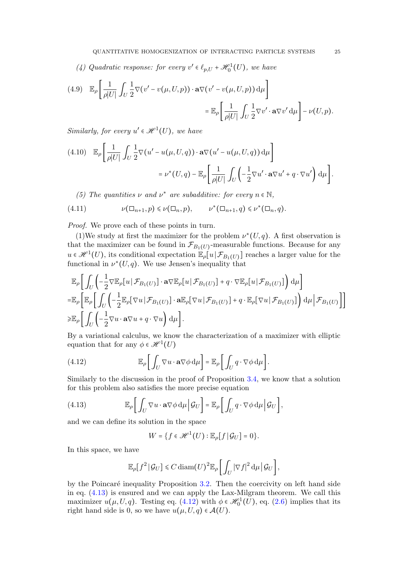(4) Quadratic response: for every  $v' \in \ell_{p,U} + \mathcal{H}_0^1(U)$ , we have

<span id="page-24-2"></span>(4.9) 
$$
\mathbb{E}_{\rho} \left[ \frac{1}{\rho|U|} \int_{U} \frac{1}{2} \nabla (v' - v(\mu, U, p)) \cdot \mathbf{a} \nabla (v' - v(\mu, U, p)) d\mu \right] = \mathbb{E}_{\rho} \left[ \frac{1}{\rho|U|} \int_{U} \frac{1}{2} \nabla v' \cdot \mathbf{a} \nabla v' d\mu \right] - \nu(U, p).
$$

Similarly, for every  $u' \in \mathcal{H}^1(U)$ , we have

<span id="page-24-3"></span>
$$
(4.10) \mathbb{E}_{\rho} \left[ \frac{1}{\rho|U|} \int_{U} \frac{1}{2} \nabla (u' - u(\mu, U, q)) \cdot \mathbf{a} \nabla (u' - u(\mu, U, q)) d\mu \right]
$$
  

$$
= \nu^*(U, q) - \mathbb{E}_{\rho} \left[ \frac{1}{\rho|U|} \int_{U} \left( -\frac{1}{2} \nabla u' \cdot \mathbf{a} \nabla u' + q \cdot \nabla u' \right) d\mu \right].
$$

<span id="page-24-4"></span>(5) The quantities  $\nu$  and  $\nu^*$  are subadditive: for every  $n \in \mathbb{N}$ ,

$$
(4.11) \qquad \nu(\Box_{n+1}, p) \leq \nu(\Box_n, p), \qquad \nu^*(\Box_{n+1}, q) \leq \nu^*(\Box_n, q).
$$

Proof. We prove each of these points in turn.

(1)We study at first the maximizer for the problem  $\nu^*(U, q)$ . A first observation is that the maximizer can be found in  $\mathcal{F}_{B_1(U)}$ -measurable functions. Because for any  $u \in \mathscr{H}^1(U)$ , its conditional expectation  $\mathbb{E}_{\rho}[u] \mathcal{F}_{B_1(U)}$  reaches a larger value for the functional in  $\nu^*(U, q)$ . We use Jensen's inequality that

$$
\mathbb{E}_{\rho}\bigg[\int_{U}\bigg(-\frac{1}{2}\nabla\mathbb{E}_{\rho}[u|\mathcal{F}_{B_{1}(U)}]\cdot\mathbf{a}\nabla\mathbb{E}_{\rho}[u|\mathcal{F}_{B_{1}(U)}]+q\cdot\nabla\mathbb{E}_{\rho}[u|\mathcal{F}_{B_{1}(U)}]\bigg)\,d\mu\bigg] \n= \mathbb{E}_{\rho}\bigg[\mathbb{E}_{\rho}\bigg[\int_{U}\bigg(-\frac{1}{2}\mathbb{E}_{\rho}[\nabla u|\mathcal{F}_{B_{1}(U)}]\cdot\mathbf{a}\mathbb{E}_{\rho}[\nabla u|\mathcal{F}_{B_{1}(U)}]+q\cdot\mathbb{E}_{\rho}[\nabla u|\mathcal{F}_{B_{1}(U)}]\bigg)\,d\mu\bigg|\mathcal{F}_{B_{1}(U)}\bigg]\bigg] \n\geq \mathbb{E}_{\rho}\bigg[\int_{U}\bigg(-\frac{1}{2}\nabla u\cdot\mathbf{a}\nabla u+q\cdot\nabla u\bigg)\,d\mu\bigg].
$$

By a variational calculus, we know the characterization of a maximizer with elliptic equation that for any  $\phi \in \mathcal{H}^1(U)$ 

<span id="page-24-1"></span>(4.12) 
$$
\mathbb{E}_{\rho}\bigg[\int_{U}\nabla u\cdot\mathbf{a}\nabla\phi\,d\mu\bigg]=\mathbb{E}_{\rho}\bigg[\int_{U}q\cdot\nabla\phi\,d\mu\bigg].
$$

Similarly to the discussion in the proof of Proposition [3.4,](#page-9-0) we know that a solution for this problem also satisfies the more precise equation

<span id="page-24-0"></span>(4.13) 
$$
\mathbb{E}_{\rho}\bigg[\int_{U}\nabla u\cdot\mathbf{a}\nabla\phi\,\mathrm{d}\mu\bigg|\,\mathcal{G}_{U}\bigg]=\mathbb{E}_{\rho}\bigg[\int_{U}q\cdot\nabla\phi\,\mathrm{d}\mu\bigg|\,\mathcal{G}_{U}\bigg],
$$

and we can define its solution in the space

$$
W=\big\{f\in\mathscr{H}^1(U):\mathbb{E}_{\rho}[f|\mathcal{G}_U]=0\big\}.
$$

In this space, we have

$$
\mathbb{E}_{\rho}[f^2|\mathcal{G}_U] \leq C \operatorname{diam}(U)^2 \mathbb{E}_{\rho} \bigg[ \int_U |\nabla f|^2 d\mu \, \big| \mathcal{G}_U \bigg],
$$

by the Poincaré inequality Proposition  $3.2$ . Then the coercivity on left hand side in eq. [\(4.13\)](#page-24-0) is ensured and we can apply the Lax-Milgram theorem. We call this maximizer  $u(\mu, U, q)$ . Testing eq. [\(4.12\)](#page-24-1) with  $\phi \in \mathcal{H}_0^1(U)$ , eq. [\(2.6\)](#page-5-1) implies that its right hand side is 0, so we have  $u(\mu, U, q) \in \mathcal{A}(U)$ .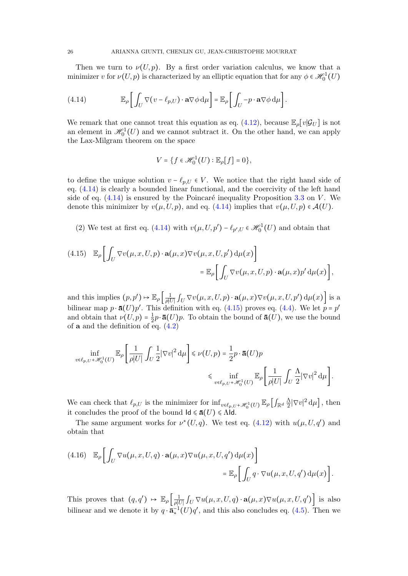Then we turn to  $\nu(U, p)$ . By a first order variation calculus, we know that a minimizer v for  $\nu(U, p)$  is characterized by an elliptic equation that for any  $\phi \in \mathscr{H}_0^1(U)$ 

<span id="page-25-0"></span>(4.14) 
$$
\mathbb{E}_{\rho}\bigg[\int_{U}\nabla(v-\ell_{p,U})\cdot\mathbf{a}\nabla\phi\,\mathrm{d}\mu\bigg]=\mathbb{E}_{\rho}\bigg[\int_{U}-p\cdot\mathbf{a}\nabla\phi\,\mathrm{d}\mu\bigg].
$$

We remark that one cannot treat this equation as eq. [\(4.12\)](#page-24-1), because  $\mathbb{E}_{\rho}[v|\mathcal{G}_U]$  is not an element in  $\mathscr{H}_0^1(U)$  and we cannot subtract it. On the other hand, we can apply the Lax-Milgram theorem on the space

$$
V = \{f \in \mathcal{H}_0^1(U) : \mathbb{E}_{\rho}[f] = 0\},\
$$

to define the unique solution  $v - \ell_{p,U} \in V$ . We notice that the right hand side of eq. [\(4.14\)](#page-25-0) is clearly a bounded linear functional, and the coercivity of the left hand side of eq.  $(4.14)$  is ensured by the Poincaré inequality Proposition [3.3](#page-8-2) on V. We denote this minimizer by  $v(\mu, U, p)$ , and eq. [\(4.14\)](#page-25-0) implies that  $v(\mu, U, p) \in \mathcal{A}(U)$ .

(2) We test at first eq. [\(4.14\)](#page-25-0) with  $v(\mu, U, p') - \ell_{p', U} \in \mathcal{H}_0^1(U)$  and obtain that

<span id="page-25-1"></span>(4.15) 
$$
\mathbb{E}_{\rho} \Biggl[ \int_{U} \nabla v(\mu, x, U, p) \cdot \mathbf{a}(\mu, x) \nabla v(\mu, x, U, p') d\mu(x) \Biggr] = \mathbb{E}_{\rho} \Biggl[ \int_{U} \nabla v(\mu, x, U, p) \cdot \mathbf{a}(\mu, x) p' d\mu(x) \Biggr],
$$

and this implies  $(p, p') \mapsto \mathbb{E}_{\rho} \left[ \frac{1}{\rho|U|} \int_U \nabla v(\mu, x, U, p) \cdot \mathbf{a}(\mu, x) \nabla v(\mu, x, U, p') d\mu(x) \right]$  is a bilinear map  $p \cdot \bar{a}(U)p'$ . This definition with eq. [\(4.15\)](#page-25-1) proves eq. [\(4.4\)](#page-23-0). We let  $p = p'$ and obtain that  $\nu(U,p) = \frac{1}{2}$  $\frac{1}{2}p \cdot \bar{\mathbf{a}}(U)p$ . To obtain the bound of  $\bar{\mathbf{a}}(U)$ , we use the bound of  $a$  and the definition of eq.  $(4.2)$ 

$$
\begin{split} \inf_{v \in \ell_{p,U} + \mathscr{H}_0^1(U)} \mathbb{E}_\rho \left[ \frac{1}{\rho |U|} \int_U \frac{1}{2} |\nabla v|^2 \, \mathrm{d} \mu \right] &\leq \nu(U,p) = \frac{1}{2} p \cdot \mathbf{\bar{a}}(U) p \\ &\leq \inf_{v \in \ell_{p,U} + \mathscr{H}_0^1(U)} \mathbb{E}_\rho \left[ \frac{1}{\rho |U|} \int_U \frac{\Lambda}{2} |\nabla v|^2 \, \mathrm{d} \mu \right]. \end{split}
$$

We can check that  $\ell_{p,U}$  is the minimizer for  $\inf_{v \in \ell_{p,U} + \mathcal{H}_0^1(U)} \mathbb{E}_{\rho} \left[ \int_{\mathbb{R}^d} \frac{\Lambda}{2} \right]$  $\frac{\Lambda}{2} |\nabla v|^2 d\mu \], \text{ then}$ it concludes the proof of the bound  $\mathsf{Id} \leq \bar{\mathbf{a}}(U) \leq \Lambda \mathsf{Id}$ .

The same argument works for  $\nu^*(U, q)$ . We test eq. [\(4.12\)](#page-24-1) with  $u(\mu, U, q')$  and obtain that

<span id="page-25-2"></span>(4.16) 
$$
\mathbb{E}_{\rho} \Biggl[ \int_{U} \nabla u(\mu, x, U, q) \cdot \mathbf{a}(\mu, x) \nabla u(\mu, x, U, q') d\mu(x) \Biggr] = \mathbb{E}_{\rho} \Biggl[ \int_{U} q \cdot \nabla u(\mu, x, U, q') d\mu(x) \Biggr].
$$

This proves that  $(q, q') \mapsto \mathbb{E}_{\rho} \left[ \frac{1}{\rho|U|} \int_U \nabla u(\mu, x, U, q) \cdot \mathbf{a}(\mu, x) \nabla u(\mu, x, U, q') \right]$  is also bilinear and we denote it by  $q \cdot \bar{a}_*^{-1}(U)q'$ , and this also concludes eq. [\(4.5\)](#page-23-2). Then we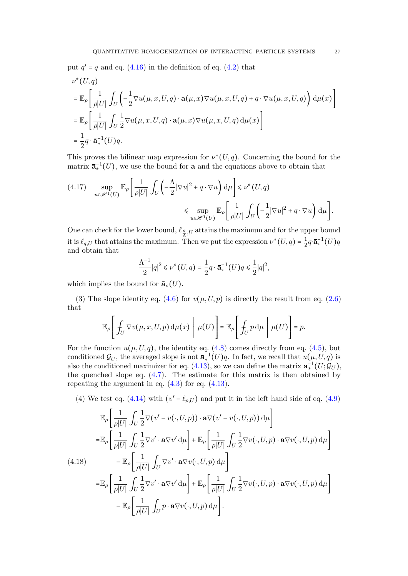put  $q' = q$  and eq. [\(4.16\)](#page-25-2) in the definition of eq. [\(4.2\)](#page-23-1) that

$$
\nu^*(U, q)
$$
\n
$$
= \mathbb{E}_{\rho} \left[ \frac{1}{\rho|U|} \int_U \left( -\frac{1}{2} \nabla u(\mu, x, U, q) \cdot \mathbf{a}(\mu, x) \nabla u(\mu, x, U, q) + q \cdot \nabla u(\mu, x, U, q) \right) d\mu(x) \right]
$$
\n
$$
= \mathbb{E}_{\rho} \left[ \frac{1}{\rho|U|} \int_U \frac{1}{2} \nabla u(\mu, x, U, q) \cdot \mathbf{a}(\mu, x) \nabla u(\mu, x, U, q) d\mu(x) \right]
$$
\n
$$
= \frac{1}{2} q \cdot \overline{\mathbf{a}}_*^{-1}(U) q.
$$

This proves the bilinear map expression for  $\nu^*(U, q)$ . Concerning the bound for the matrix  $\mathbf{\bar{a}}_*^{-1}(U)$ , we use the bound for **a** and the equations above to obtain that

$$
\begin{array}{ll} \displaystyle (4.17) \quad \sup_{u \in \mathscr{H}^1(U)} \mathbb{E}_{\rho} \Bigg[ \frac{1}{\rho |U|} \int_U \Big( -\frac{\Lambda}{2} |\nabla u|^2 + q \cdot \nabla u \Big) \, \mathrm{d} \mu \Bigg] \leq \nu^*(U,q) \\[10pt] \quad \leq \sup_{u \in \mathscr{H}^1(U)} \mathbb{E}_{\rho} \Bigg[ \frac{1}{\rho |U|} \int_U \Big( -\frac{1}{2} |\nabla u|^2 + q \cdot \nabla u \Big) \, \mathrm{d} \mu \Bigg]. \end{array}
$$

One can check for the lower bound,  $\ell_{\frac{q}{\Lambda},U}$  attains the maximum and for the upper bound it is  $\ell_{q,U}$  that attains the maximum. Then we put the expression  $\nu^*(U, q) = \frac{1}{2}$  $\frac{1}{2}q\cdot\bar{\mathbf{a}}^{-1}_*(U)q$ and obtain that

$$
\frac{\Lambda^{-1}}{2}|q|^2 \leq \nu^*(U,q) = \frac{1}{2}q \cdot \bar{\mathbf{a}}_*^{-1}(U)q \leq \frac{1}{2}|q|^2,
$$

which implies the bound for  $\bar{\mathbf{a}}_*(U)$ .

(3) The slope identity eq. [\(4.6\)](#page-23-3) for  $v(\mu, U, p)$  is directly the result from eq. [\(2.6\)](#page-5-1) that

$$
\mathbb{E}_{\rho}\left[\left.f_{U}\nabla v(\mu,x,U,p)\,\mathrm{d}\mu(x)\,\,\bigg|\,\,\mu(U)\right.\right]=\mathbb{E}_{\rho}\left[\left.f_{U}p\,\mathrm{d}\mu\,\,\bigg|\,\,\mu(U)\right.\right]=p.
$$

For the function  $u(\mu, U, q)$ , the identity eq. [\(4.8\)](#page-23-4) comes directly from eq. [\(4.5\)](#page-23-2), but conditioned  $\mathcal{G}_U$ , the averaged slope is not  $\bar{\mathbf{a}}_*^{-1}(U)q$ . In fact, we recall that  $u(\mu, U, q)$  is also the conditioned maximizer for eq. [\(4.13\)](#page-24-0), so we can define the matrix  $\mathbf{a}_{*}^{-1}(U; \mathcal{G}_U)$ , the quenched slope eq.  $(4.7)$ . The estimate for this matrix is then obtained by repeating the argument in eq.  $(4.3)$  for eq.  $(4.13)$ .

(4) We test eq. [\(4.14\)](#page-25-0) with  $(v' - \ell_{p,U})$  and put it in the left hand side of eq. [\(4.9\)](#page-24-2)

<span id="page-26-0"></span>
$$
\mathbb{E}_{\rho}\left[\frac{1}{\rho|U|}\int_{U}\frac{1}{2}\nabla(v'-v(\cdot,U,p))\cdot\mathbf{a}\nabla(v'-v(\cdot,U,p))\,d\mu\right]
$$
\n
$$
=\mathbb{E}_{\rho}\left[\frac{1}{\rho|U|}\int_{U}\frac{1}{2}\nabla v'\cdot\mathbf{a}\nabla v'\,d\mu\right]+\mathbb{E}_{\rho}\left[\frac{1}{\rho|U|}\int_{U}\frac{1}{2}\nabla v(\cdot,U,p)\cdot\mathbf{a}\nabla v(\cdot,U,p)\,d\mu\right]
$$
\n(4.18)\n
$$
-\mathbb{E}_{\rho}\left[\frac{1}{\rho|U|}\int_{U}\nabla v'\cdot\mathbf{a}\nabla v(\cdot,U,p)\,d\mu\right]
$$
\n
$$
=\mathbb{E}_{\rho}\left[\frac{1}{\rho|U|}\int_{U}\frac{1}{2}\nabla v'\cdot\mathbf{a}\nabla v'\,d\mu\right]+\mathbb{E}_{\rho}\left[\frac{1}{\rho|U|}\int_{U}\frac{1}{2}\nabla v(\cdot,U,p)\cdot\mathbf{a}\nabla v(\cdot,U,p)\,d\mu\right]
$$
\n
$$
-\mathbb{E}_{\rho}\left[\frac{1}{\rho|U|}\int_{U}p\cdot\mathbf{a}\nabla v(\cdot,U,p)\,d\mu\right].
$$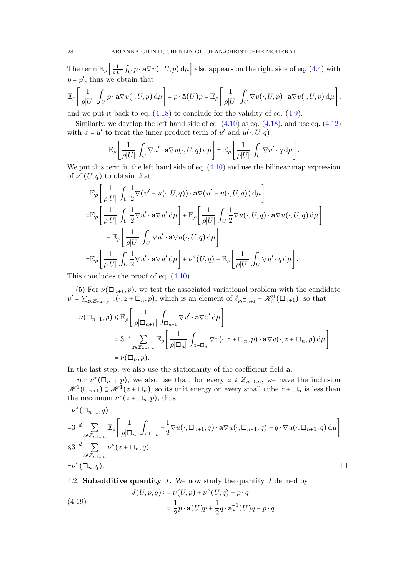The term  $\mathbb{E}_{\rho} \left[ \frac{1}{\rho|U|} \int_U p \cdot \mathbf{a} \nabla v(\cdot, U, p) d\mu \right]$  also appears on the right side of eq. [\(4.4\)](#page-23-0) with  $p = p'$ , thus we obtain that

$$
\mathbb{E}_{\rho}\left[\frac{1}{\rho|U|}\int_{U}p\cdot\mathbf{a}\nabla v(\cdot,U,p)\,\mathrm{d}\mu\right]=p\cdot\mathbf{\bar{a}}(U)p=\mathbb{E}_{\rho}\left[\frac{1}{\rho|U|}\int_{U}\nabla v(\cdot,U,p)\cdot\mathbf{a}\nabla v(\cdot,U,p)\,\mathrm{d}\mu\right],
$$

and we put it back to eq. [\(4.18\)](#page-26-0) to conclude for the validity of eq. [\(4.9\)](#page-24-2).

Similarly, we develop the left hand side of eq.  $(4.10)$  as eq.  $(4.18)$ , and use eq.  $(4.12)$ with  $\phi = u'$  to treat the inner product term of u' and  $u(\cdot, U, q)$ .

$$
\mathbb{E}_{\rho}\left[\frac{1}{\rho|U|}\int_{U}\nabla u'\cdot\mathbf{a}\nabla u(\cdot,U,q)\,\mathrm{d}\mu\right]=\mathbb{E}_{\rho}\left[\frac{1}{\rho|U|}\int_{U}\nabla u'\cdot q\,\mathrm{d}\mu\right].
$$

We put this term in the left hand side of eq.  $(4.10)$  and use the bilinear map expression of  $\nu^*(U, q)$  to obtain that

$$
\mathbb{E}_{\rho}\left[\frac{1}{\rho|U|}\int_{U}\frac{1}{2}\nabla(u'-u(\cdot,U,q))\cdot\mathbf{a}\nabla(u'-u(\cdot,U,q))\,d\mu\right]
$$
\n
$$
=\mathbb{E}_{\rho}\left[\frac{1}{\rho|U|}\int_{U}\frac{1}{2}\nabla u'\cdot\mathbf{a}\nabla u'\,d\mu\right]+\mathbb{E}_{\rho}\left[\frac{1}{\rho|U|}\int_{U}\frac{1}{2}\nabla u(\cdot,U,q)\cdot\mathbf{a}\nabla u(\cdot,U,q)\,d\mu\right]
$$
\n
$$
-\mathbb{E}_{\rho}\left[\frac{1}{\rho|U|}\int_{U}\nabla u'\cdot\mathbf{a}\nabla u(\cdot,U,q)\,d\mu\right]
$$
\n
$$
=\mathbb{E}_{\rho}\left[\frac{1}{\rho|U|}\int_{U}\frac{1}{2}\nabla u'\cdot\mathbf{a}\nabla u'\,d\mu\right]+\nu^{*}(U,q)-\mathbb{E}_{\rho}\left[\frac{1}{\rho|U|}\int_{U}\nabla u'\cdot q\,d\mu\right].
$$

This concludes the proof of eq. [\(4.10\)](#page-24-3).

(5) For  $\nu(\Box_{n+1}, p)$ , we test the associated variational problem with the candidate  $v' = \sum_{z \in \mathcal{Z}_{n+1,n}} v(\cdot, z + \Box_n, p)$ , which is an element of  $\ell_{p,\Box_{n+1}} + \mathcal{H}_0^1(\Box_{n+1})$ , so that

$$
\nu(\Box_{n+1}, p) \leq \mathbb{E}_{\rho} \left[ \frac{1}{\rho |\Box_{n+1}|} \int_{\Box_{n+1}} \nabla v' \cdot \mathbf{a} \nabla v' d\mu \right]
$$
  
=  $3^{-d} \sum_{z \in \mathcal{Z}_{n+1,n}} \mathbb{E}_{\rho} \left[ \frac{1}{\rho |\Box_{n}|} \int_{z + \Box_{n}} \nabla v(\cdot, z + \Box_{n}, p) \cdot \mathbf{a} \nabla v(\cdot, z + \Box_{n}, p) d\mu \right]$   
=  $\nu(\Box_{n}, p).$ 

In the last step, we also use the stationarity of the coefficient field a.

For  $\nu^*(\Box_{n+1}, p)$ , we also use that, for every  $z \in \mathcal{Z}_{n+1,n}$ , we have the inclusion  $\mathscr{H}^1(\square_{n+1}) \subseteq \mathscr{H}^1(z+\square_n)$ , so its unit energy on every small cube  $z+\square_n$  is less than the maximum  $\nu^*(z+\Box_n, p)$ , thus

$$
\nu^*(\Box_{n+1}, q)
$$
\n
$$
=3^{-d} \sum_{z \in \mathcal{Z}_{n+1,n}} \mathbb{E}_{\rho} \left[ \frac{1}{\rho |\Box_n|} \int_{z+\Box_n} -\frac{1}{2} \nabla u(\cdot, \Box_{n+1}, q) \cdot \mathbf{a} \nabla u(\cdot, \Box_{n+1}, q) + q \cdot \nabla u(\cdot, \Box_{n+1}, q) d\mu \right]
$$
\n
$$
\leq 3^{-d} \sum_{z \in \mathcal{Z}_{n+1,n}} \nu^*(z+\Box_n, q)
$$
\n
$$
= \nu^*(\Box_n, q).
$$

4.2. Subadditive quantity  $J$ . We now study the quantity  $J$  defined by

<span id="page-27-0"></span>(4.19) 
$$
J(U, p, q) := \nu(U, p) + \nu^*(U, q) - p \cdot q
$$

$$
= \frac{1}{2} p \cdot \mathbf{\bar{a}}(U) p + \frac{1}{2} q \cdot \mathbf{\bar{a}}_*^{-1}(U) q - p \cdot q.
$$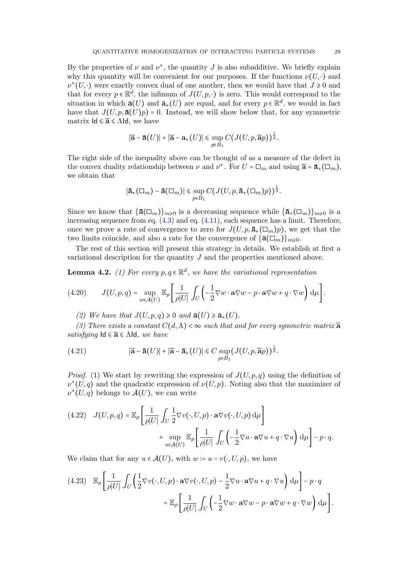By the properties of  $\nu$  and  $\nu^*$ , the quantity J is also subadditive. We briefly explain why this quantity will be convenient for our purposes. If the functions  $\nu(U, \cdot)$  and  $\nu^*(U, \cdot)$  were exactly convex dual of one another, then we would have that  $J \geq 0$  and that for every  $p \in \mathbb{R}^d$ , the infimum of  $J(U, p, \cdot)$  is zero. This would correspond to the situation in which  $\bar{\mathbf{a}}(U)$  and  $\bar{\mathbf{a}}_*(U)$  are equal, and for every  $p \in \mathbb{R}^d$ , we would in fact have that  $J(U, p, \bar{\mathbf{a}}(U)p) = 0$ . Instead, we will show below that, for any symmetric matrix  $\mathsf{Id} \leq \widetilde{\mathbf{a}} \leq \Lambda \mathsf{Id}$ , we have

$$
|\widetilde{\mathbf{a}} - \overline{\mathbf{a}}(U)| + |\widetilde{\mathbf{a}} - \mathbf{a}_*(U)| \leq \sup_{p \in B_1} C(J(U, p, \widetilde{\mathbf{a}}p))^{\frac{1}{2}}.
$$

The right side of the inequality above can be thought of as a measure of the defect in the convex duality relationship between  $\nu$  and  $\nu^*$ . For  $U = \Box_m$  and using  $\widetilde{\mathbf{a}} = \overline{\mathbf{a}}_*(\Box_m)$ , we obtain that

$$
|\mathbf{\bar{a}}_{*}(\Box_{m}) - \mathbf{\bar{a}}(\Box_{m})| \leq \sup_{p \in B_{1}} C(J(U,p,\mathbf{\bar{a}}_{*}(\Box_{m})p))^{\frac{1}{2}}.
$$

Since we know that  $\{\bar{\mathbf{a}}(\Box_m)\}_{m\geq 0}$  is a decreasing sequence while  $\{\bar{\mathbf{a}}_*(\Box_m)\}_{m\geq 0}$  is a increasing sequence from eq. [\(4.3\)](#page-23-6) and eq. [\(4.11\)](#page-24-4), each sequence has a limit. Therefore, once we prove a rate of convergence to zero for  $J(U, p, \bar{a}_*(\Box_m)p)$ , we get that the two limits coincide, and also a rate for the convergence of  $\{\bar{\mathbf{a}}(\Box_m)\}_{m\geq 0}$ .

The rest of this section will present this strategy in details. We establish at first a variational description for the quantity J and the properties mentioned above.

**Lemma 4.2.** (1) For every  $p, q \in \mathbb{R}^d$ , we have the variational representation

<span id="page-28-2"></span>(4.20) 
$$
J(U, p, q) = \sup_{w \in \mathcal{A}(U)} \mathbb{E}_{\rho} \left[ \frac{1}{\rho |U|} \int_{U} \left( -\frac{1}{2} \nabla w \cdot \mathbf{a} \nabla w - p \cdot \mathbf{a} \nabla w + q \cdot \nabla w \right) d\mu \right].
$$

(2) We have that  $J(U, p, q) \geq 0$  and  $\bar{a}(U) \geq \bar{a}_{*}(U)$ .

(3) There exists a constant  $C(d,\Lambda) < \infty$  such that and for every symmetric matrix  $\widetilde{\mathbf{a}}$ satisfying  $Id \le \tilde{a} \le \Lambda Id$ , we have

<span id="page-28-3"></span>(4.21) 
$$
|\widetilde{\mathbf{a}} - \overline{\mathbf{a}}(U)| + |\widetilde{\mathbf{a}} - \overline{\mathbf{a}}_*(U)| \leq C \sup_{p \in B_1} (J(U, p, \widetilde{\mathbf{a}}p))^{\frac{1}{2}}.
$$

*Proof.* (1) We start by rewriting the expression of  $J(U, p, q)$  using the definition of  $\nu^*(U, q)$  and the quadratic expression of  $\nu(U, p)$ . Noting also that the maximizer of  $\nu^*(U, q)$  belongs to  $\mathcal{A}(U)$ , we can write

<span id="page-28-1"></span>(4.22) 
$$
J(U, p, q) = \mathbb{E}_{\rho} \left[ \frac{1}{\rho |U|} \int_{U} \frac{1}{2} \nabla v(\cdot, U, p) \cdot \mathbf{a} \nabla v(\cdot, U, p) d\mu \right] + \sup_{u \in \mathcal{A}(U)} \mathbb{E}_{\rho} \left[ \frac{1}{\rho |U|} \int_{U} \left( -\frac{1}{2} \nabla u \cdot \mathbf{a} \nabla u + q \cdot \nabla u \right) d\mu \right] - p \cdot q.
$$

We claim that for any  $u \in \mathcal{A}(U)$ , with  $w = u - v(\cdot, U, p)$ , we have

<span id="page-28-0"></span>
$$
(4.23) \mathbb{E}_{\rho} \left[ \frac{1}{\rho|U|} \int_{U} \left( \frac{1}{2} \nabla v(\cdot, U, p) \cdot \mathbf{a} \nabla v(\cdot, U, p) - \frac{1}{2} \nabla u \cdot \mathbf{a} \nabla u + q \cdot \nabla u \right) d\mu \right] - p \cdot q
$$
  

$$
= \mathbb{E}_{\rho} \left[ \frac{1}{\rho|U|} \int_{U} \left( -\frac{1}{2} \nabla w \cdot \mathbf{a} \nabla w - p \cdot \mathbf{a} \nabla w + q \cdot \nabla w \right) d\mu \right].
$$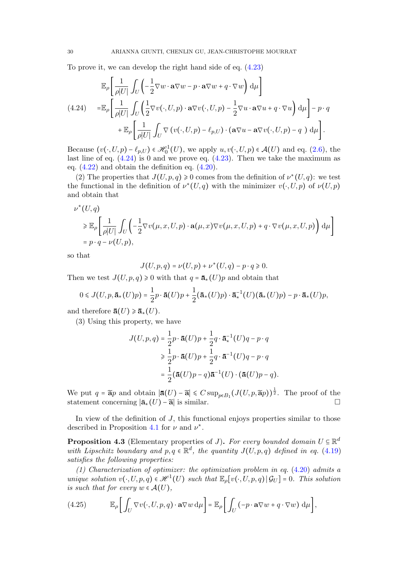To prove it, we can develop the right hand side of eq. [\(4.23\)](#page-28-0)

<span id="page-29-0"></span>
$$
\mathbb{E}_{\rho} \left[ \frac{1}{\rho|U|} \int_{U} \left( -\frac{1}{2} \nabla w \cdot \mathbf{a} \nabla w - p \cdot \mathbf{a} \nabla w + q \cdot \nabla w \right) d\mu \right]
$$
\n
$$
(4.24) \qquad = \mathbb{E}_{\rho} \left[ \frac{1}{\rho|U|} \int_{U} \left( \frac{1}{2} \nabla v(\cdot, U, p) \cdot \mathbf{a} \nabla v(\cdot, U, p) - \frac{1}{2} \nabla u \cdot \mathbf{a} \nabla u + q \cdot \nabla u \right) d\mu \right] - p \cdot q
$$
\n
$$
+ \mathbb{E}_{\rho} \left[ \frac{1}{\rho|U|} \int_{U} \nabla \left( v(\cdot, U, p) - \ell_{p,U} \right) \cdot \left( \mathbf{a} \nabla u - \mathbf{a} \nabla v(\cdot, U, p) - q \right) d\mu \right].
$$

Because  $(v(\cdot, U, p) - \ell_{p,U}) \in \mathcal{H}_0^1(U)$ , we apply  $u, v(\cdot, U, p) \in \mathcal{A}(U)$  and eq. [\(2.6\)](#page-5-1), the last line of eq.  $(4.24)$  is 0 and we prove eq.  $(4.23)$ . Then we take the maximum as eq. [\(4.22\)](#page-28-1) and obtain the definition eq. [\(4.20\)](#page-28-2).

(2) The properties that  $J(U, p, q) \ge 0$  comes from the definition of  $\nu^*(U, q)$ : we test the functional in the definition of  $\nu^*(U, q)$  with the minimizer  $v(\cdot, U, p)$  of  $\nu(U, p)$ and obtain that

$$
\nu^*(U, q)
$$
  
\n
$$
\geq \mathbb{E}_{\rho} \left[ \frac{1}{\rho|U|} \int_U \left( -\frac{1}{2} \nabla v(\mu, x, U, p) \cdot \mathbf{a}(\mu, x) \nabla v(\mu, x, U, p) + q \cdot \nabla v(\mu, x, U, p) \right) d\mu \right]
$$
  
\n
$$
= p \cdot q - \nu(U, p),
$$

so that

$$
J(U, p, q) = \nu(U, p) + \nu^*(U, q) - p \cdot q \ge 0.
$$

Then we test  $J(U, p, q) \geq 0$  with that  $q = \bar{a}_{*}(U)p$  and obtain that

$$
0 \leqslant J(U, p, \mathbf{\bar{a}}_*(U)p) = \frac{1}{2}p \cdot \mathbf{\bar{a}}(U)p + \frac{1}{2}(\mathbf{\bar{a}}_*(U)p) \cdot \mathbf{\bar{a}}_*^{-1}(U)(\mathbf{\bar{a}}_*(U)p) - p \cdot \mathbf{\bar{a}}_*(U)p,
$$

and therefore  $\bar{a}(U) \ge \bar{a}_{*}(U)$ .

(3) Using this property, we have

$$
J(U, p, q) = \frac{1}{2}p \cdot \mathbf{\bar{a}}(U)p + \frac{1}{2}q \cdot \mathbf{\bar{a}}_*^{-1}(U)q - p \cdot q
$$
  
\n
$$
\geq \frac{1}{2}p \cdot \mathbf{\bar{a}}(U)p + \frac{1}{2}q \cdot \mathbf{\bar{a}}^{-1}(U)q - p \cdot q
$$
  
\n
$$
= \frac{1}{2}(\mathbf{\bar{a}}(U)p - q)\mathbf{\bar{a}}^{-1}(U) \cdot (\mathbf{\bar{a}}(U)p - q).
$$

We put  $q = \tilde{a}p$  and obtain  $|\bar{a}(U) - \tilde{a}| \leq C \sup_{p \in B_1} (J(U, p, \tilde{a}p))^{\frac{1}{2}}$ . The proof of the statement concerning  $|\bar{\mathbf{a}}_*(U) - \tilde{\mathbf{a}}|$  is similar.

In view of the definition of J, this functional enjoys properties similar to those described in Proposition [4.1](#page-23-7) for  $\nu$  and  $\nu^*$ .

**Proposition 4.3** (Elementary properties of J). For every bounded domain  $U \subseteq \mathbb{R}^d$ with Lipschitz boundary and  $p, q \in \mathbb{R}^d$ , the quantity  $J(U, p, q)$  defined in eq. [\(4.19\)](#page-27-0) satisfies the following properties:

(1) Characterization of optimizer: the optimization problem in eq. [\(4.20\)](#page-28-2) admits a unique solution  $v(\cdot, U, p, q) \in \mathcal{H}^{1}(U)$  such that  $\mathbb{E}_{\rho}[v(\cdot, U, p, q) | \mathcal{G}_{U}] = 0$ . This solution is such that for every  $w \in \mathcal{A}(U)$ ,

<span id="page-29-1"></span>(4.25) 
$$
\mathbb{E}_{\rho}\bigg[\int_{U}\nabla v(\cdot,U,p,q)\cdot\mathbf{a}\nabla w\,\mathrm{d}\mu\bigg]=\mathbb{E}_{\rho}\bigg[\int_{U}(-p\cdot\mathbf{a}\nabla w+q\cdot\nabla w)\,\mathrm{d}\mu\bigg],
$$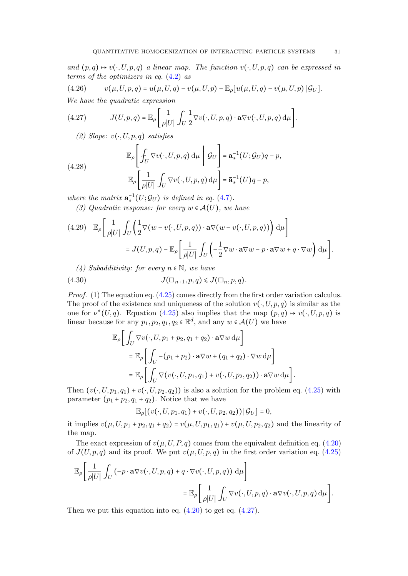and  $(p,q) \mapsto v(\cdot, U, p,q)$  a linear map. The function  $v(\cdot, U, p,q)$  can be expressed in terms of the optimizers in eq. [\(4.2\)](#page-23-1) as

<span id="page-30-2"></span>(4.26) 
$$
v(\mu, U, p, q) = u(\mu, U, q) - v(\mu, U, p) - \mathbb{E}_{\rho}[u(\mu, U, q) - v(\mu, U, p) | \mathcal{G}_{U}].
$$

We have the quadratic expression

<span id="page-30-0"></span>(4.27) 
$$
J(U, p, q) = \mathbb{E}_{\rho} \left[ \frac{1}{\rho |U|} \int_U \frac{1}{2} \nabla v(\cdot, U, p, q) \cdot \mathbf{a} \nabla v(\cdot, U, p, q) d\mu \right].
$$

(2) Slope:  $v(\cdot, U, p, q)$  satisfies

<span id="page-30-1"></span>(4.28) 
$$
\mathbb{E}_{\rho}\left[\int_{U} \nabla v(\cdot, U, p, q) d\mu \mid \mathcal{G}_{U}\right] = \mathbf{a}_{*}^{-1}(U; \mathcal{G}_{U})q - p,
$$

$$
\mathbb{E}_{\rho}\left[\frac{1}{\rho|U|}\int_{U} \nabla v(\cdot, U, p, q) d\mu\right] = \mathbf{a}_{*}^{-1}(U)q - p,
$$

where the matrix  $\mathbf{a}_*^{-1}(U; \mathcal{G}_U)$  is defined in eq. [\(4.7\)](#page-23-5).

(3) Quadratic response: for every  $w \in \mathcal{A}(U)$ , we have

<span id="page-30-4"></span>
$$
(4.29) \mathbb{E}_{\rho} \left[ \frac{1}{\rho|U|} \int_{U} \left( \frac{1}{2} \nabla (w - v(\cdot, U, p, q)) \cdot \mathbf{a} \nabla (w - v(\cdot, U, p, q)) \right) d\mu \right]
$$
  

$$
= J(U, p, q) - \mathbb{E}_{\rho} \left[ \frac{1}{\rho|U|} \int_{U} \left( -\frac{1}{2} \nabla w \cdot \mathbf{a} \nabla w - p \cdot \mathbf{a} \nabla w + q \cdot \nabla w \right) d\mu \right].
$$

(4) Subadditivity: for every  $n \in \mathbb{N}$ , we have

<span id="page-30-3"></span>
$$
(4.30) \t\t J(\Box_{n+1}, p, q) \leqslant J(\Box_n, p, q).
$$

*Proof.* (1) The equation eq.  $(4.25)$  comes directly from the first order variation calculus. The proof of the existence and uniqueness of the solution  $v(\cdot, U, p, q)$  is similar as the one for  $\nu^*(U, q)$ . Equation [\(4.25\)](#page-29-1) also implies that the map  $(p, q) \mapsto v(\cdot, U, p, q)$  is linear because for any  $p_1, p_2, q_1, q_2 \in \mathbb{R}^d$ , and any  $w \in \mathcal{A}(U)$  we have

$$
\mathbb{E}_{\rho}\bigg[\int_{U}\nabla v(\cdot,U,p_1+p_2,q_1+q_2)\cdot\mathbf{a}\nabla w\,\mathrm{d}\mu\bigg]
$$
  
\n
$$
= \mathbb{E}_{\rho}\bigg[\int_{U} -(p_1+p_2)\cdot\mathbf{a}\nabla w + (q_1+q_2)\cdot\nabla w\,\mathrm{d}\mu\bigg]
$$
  
\n
$$
= \mathbb{E}_{\rho}\bigg[\int_{U}\nabla(v(\cdot,U,p_1,q_1)+v(\cdot,U,p_2,q_2))\cdot\mathbf{a}\nabla w\,\mathrm{d}\mu\bigg].
$$

Then  $(v(\cdot, U, p_1, q_1) + v(\cdot, U, p_2, q_2))$  is also a solution for the problem eq. [\(4.25\)](#page-29-1) with parameter  $(p_1 + p_2, q_1 + q_2)$ . Notice that we have

$$
\mathbb{E}_{\rho}[(v(\cdot,U,p_1,q_1)+v(\cdot,U,p_2,q_2))\,|\,\mathcal{G}_U]=0,
$$

it implies  $v(\mu, U, p_1 + p_2, q_1 + q_2) = v(\mu, U, p_1, q_1) + v(\mu, U, p_2, q_2)$  and the linearity of the map.

The exact expression of  $v(\mu, U, P, q)$  comes from the equivalent definition eq. [\(4.20\)](#page-28-2) of  $J(U, p, q)$  and its proof. We put  $v(\mu, U, p, q)$  in the first order variation eq. [\(4.25\)](#page-29-1)

$$
\mathbb{E}_{\rho}\left[\frac{1}{\rho|U|}\int_{U}(-p\cdot\mathbf{a}\nabla v(\cdot,U,p,q)+q\cdot\nabla v(\cdot,U,p,q))\,d\mu\right]
$$

$$
=\mathbb{E}_{\rho}\left[\frac{1}{\rho|U|}\int_{U}\nabla v(\cdot,U,p,q)\cdot\mathbf{a}\nabla v(\cdot,U,p,q)\,d\mu\right].
$$

Then we put this equation into eq.  $(4.20)$  to get eq.  $(4.27)$ .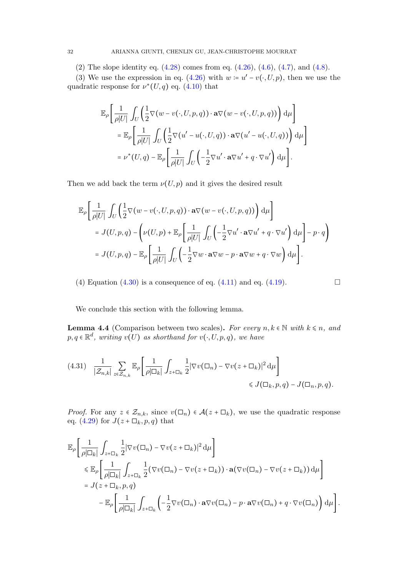(2) The slope identity eq.  $(4.28)$  comes from eq.  $(4.26)$ ,  $(4.6)$ ,  $(4.7)$ , and  $(4.8)$ .

(3) We use the expression in eq. [\(4.26\)](#page-30-2) with  $w = u' - v(\cdot, U, p)$ , then we use the quadratic response for  $\nu^*(U, q)$  eq. [\(4.10\)](#page-24-3) that

$$
\mathbb{E}_{\rho} \left[ \frac{1}{\rho|U|} \int_{U} \left( \frac{1}{2} \nabla (w - v(\cdot, U, p, q)) \cdot \mathbf{a} \nabla (w - v(\cdot, U, p, q)) \right) d\mu \right]
$$
  
\n
$$
= \mathbb{E}_{\rho} \left[ \frac{1}{\rho|U|} \int_{U} \left( \frac{1}{2} \nabla (u' - u(\cdot, U, q)) \cdot \mathbf{a} \nabla (u' - u(\cdot, U, q)) \right) d\mu \right]
$$
  
\n
$$
= \nu^{*}(U, q) - \mathbb{E}_{\rho} \left[ \frac{1}{\rho|U|} \int_{U} \left( -\frac{1}{2} \nabla u' \cdot \mathbf{a} \nabla u' + q \cdot \nabla u' \right) d\mu \right].
$$

Then we add back the term  $\nu(U, p)$  and it gives the desired result

$$
\mathbb{E}_{\rho}\left[\frac{1}{\rho|U|}\int_{U}\left(\frac{1}{2}\nabla(w-v(\cdot,U,p,q))\cdot\mathbf{a}\nabla(w-v(\cdot,U,p,q))\right)d\mu\right]
$$
  
=  $J(U,p,q)-\left(\nu(U,p)+\mathbb{E}_{\rho}\left[\frac{1}{\rho|U|}\int_{U}\left(-\frac{1}{2}\nabla u'\cdot\mathbf{a}\nabla u'+q\cdot\nabla u'\right)d\mu\right]-p\cdot q\right)$   
=  $J(U,p,q)-\mathbb{E}_{\rho}\left[\frac{1}{\rho|U|}\int_{U}\left(-\frac{1}{2}\nabla w\cdot\mathbf{a}\nabla w-p\cdot\mathbf{a}\nabla w+q\cdot\nabla w\right)d\mu\right].$ 

(4) Equation [\(4.30\)](#page-30-3) is a consequence of eq. [\(4.11\)](#page-24-4) and eq. [\(4.19\)](#page-27-0).  $\Box$ 

<span id="page-31-0"></span>We conclude this section with the following lemma.

**Lemma 4.4** (Comparison between two scales). For every  $n, k \in \mathbb{N}$  with  $k \leq n$ , and  $p, q \in \mathbb{R}^d$ , writing  $v(U)$  as shorthand for  $v(\cdot, U, p, q)$ , we have

<span id="page-31-1"></span>
$$
(4.31) \quad \frac{1}{|\mathcal{Z}_{n,k}|} \sum_{z \in \mathcal{Z}_{n,k}} \mathbb{E}_{\rho} \left[ \frac{1}{\rho |\Box_k|} \int_{z + \Box_k} \frac{1}{2} |\nabla v(\Box_n) - \nabla v(z + \Box_k)|^2 d\mu \right] \le J(\Box_k, p, q) - J(\Box_n, p, q).
$$

*Proof.* For any  $z \in \mathcal{Z}_{n,k}$ , since  $v(\Box_n) \in \mathcal{A}(z + \Box_k)$ , we use the quadratic response eq. [\(4.29\)](#page-30-4) for  $J(z+\Box_k, p, q)$  that

$$
\mathbb{E}_{\rho}\left[\frac{1}{\rho|\Box_{k}|}\int_{z+\Box_{k}}\frac{1}{2}|\nabla v(\Box_{n})-\nabla v(z+\Box_{k})|^{2} d\mu\right] \n\leq \mathbb{E}_{\rho}\left[\frac{1}{\rho|\Box_{k}|}\int_{z+\Box_{k}}\frac{1}{2}(\nabla v(\Box_{n})-\nabla v(z+\Box_{k}))\cdot\mathbf{a}(\nabla v(\Box_{n})-\nabla v(z+\Box_{k})) d\mu\right] \n= J(z+\Box_{k},p,q) \n-\mathbb{E}_{\rho}\left[\frac{1}{\rho|\Box_{k}|}\int_{z+\Box_{k}}\left(-\frac{1}{2}\nabla v(\Box_{n})\cdot\mathbf{a}\nabla v(\Box_{n})-p\cdot\mathbf{a}\nabla v(\Box_{n})+q\cdot\nabla v(\Box_{n})\right)d\mu\right].
$$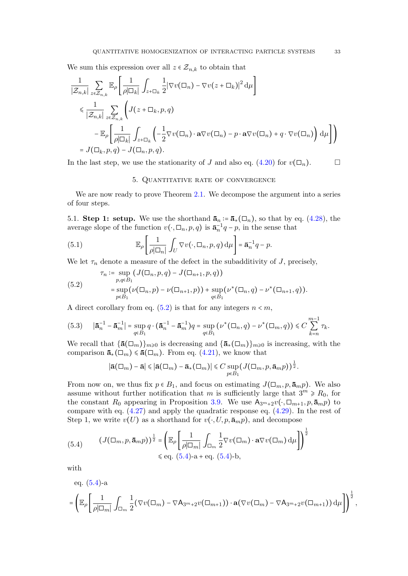We sum this expression over all  $z \in \mathcal{Z}_{n,k}$  to obtain that

$$
\frac{1}{|\mathcal{Z}_{n,k}|} \sum_{z \in \mathcal{Z}_{n,k}} \mathbb{E}_{\rho} \left[ \frac{1}{\rho |\Box_{k}|} \int_{z + \Box_{k}} \frac{1}{2} |\nabla v(\Box_{n}) - \nabla v(z + \Box_{k})|^{2} d\mu \right]
$$
  
\$\leqslant \frac{1}{|\mathcal{Z}\_{n,k}|} \sum\_{z \in \mathcal{Z}\_{n,k}} \left( J(z + \Box\_{k}, p, q) \right.  
- \mathbb{E}\_{\rho} \left[ \frac{1}{\rho |\Box\_{k}|} \int\_{z + \Box\_{k}} \left( -\frac{1}{2} \nabla v(\Box\_{n}) \cdot \mathbf{a} \nabla v(\Box\_{n}) - p \cdot \mathbf{a} \nabla v(\Box\_{n}) + q \cdot \nabla v(\Box\_{n}) \right) d\mu \right] \right) = J(\Box\_{k}, p, q) - J(\Box\_{n}, p, q).

<span id="page-32-0"></span>In the last step, we use the stationarity of J and also eq.  $(4.20)$  for  $v(\Box_n)$ .

# 5. Quantitative rate of convergence

We are now ready to prove Theorem [2.1.](#page-3-0) We decompose the argument into a series of four steps.

5.1. Step 1: setup. We use the shorthand  $\bar{a}_n := \bar{a}_*(\Box_n)$ , so that by eq. [\(4.28\)](#page-30-1), the average slope of the function  $v(\cdot, \Box_n, p, q)$  is  $\bar{\mathbf{a}}_n^{-1}q - p$ , in the sense that

<span id="page-32-3"></span>(5.1) 
$$
\mathbb{E}_{\rho}\left[\frac{1}{\rho|\Box_n|}\int_U \nabla v(\cdot,\Box_n,p,q)\,d\mu\right] = \mathbf{\bar{a}}_n^{-1}q - p.
$$

We let  $\tau_n$  denote a measure of the defect in the subadditivity of J, precisely,

<span id="page-32-1"></span>(5.2)  
\n
$$
\tau_n := \sup_{p,q \in B_1} (J(\Box_n, p, q) - J(\Box_{n+1}, p, q))
$$
\n
$$
= \sup_{p \in B_1} (\nu(\Box_n, p) - \nu(\Box_{n+1}, p)) + \sup_{q \in B_1} (\nu^*(\Box_n, q) - \nu^*(\Box_{n+1}, q)).
$$

A direct corollary from eq.  $(5.2)$  is that for any integers  $n < m$ ,

<span id="page-32-4"></span>
$$
(5.3) \quad |\bar{\mathbf{a}}_n^{-1} - \bar{\mathbf{a}}_m^{-1}| = \sup_{q \in B_1} q \cdot (\bar{\mathbf{a}}_n^{-1} - \bar{\mathbf{a}}_m^{-1}) q = \sup_{q \in B_1} (\nu^*(\Box_n, q) - \nu^*(\Box_m, q)) \le C \sum_{k=n}^{m-1} \tau_k.
$$

We recall that  $\{\bar{\mathbf{a}}(\Box_m)\}_{m\geqslant 0}$  is decreasing and  $\{\bar{\mathbf{a}}_*(\Box_m)\}_{m\geqslant 0}$  is increasing, with the comparison  $\bar{\mathbf{a}}_*(\Box_m) \leq \bar{\mathbf{a}}(\Box_m)$ . From eq. [\(4.21\)](#page-28-3), we know that

$$
|\mathbf{\bar{a}}(\Box_m) - \mathbf{\bar{a}}| \leq |\mathbf{\bar{a}}(\Box_m) - \mathbf{\bar{a}}_*(\Box_m)| \leq C \sup_{p \in B_1} (J(\Box_m, p, \mathbf{\bar{a}}_m p))^\frac{1}{2}.
$$

From now on, we thus fix  $p \in B_1$ , and focus on estimating  $J(\Box_m, p, \bar{\mathbf{a}}_m p)$ . We also assume without further notification that m is sufficiently large that  $3^m \ge R_0$ , for the constant  $R_0$  appearing in Proposition [3.9.](#page-18-0) We use  $A_{3m+2}v(\cdot, \Box_{m+1}, p, \bar{a}_m p)$  to compare with eq. [\(4.27\)](#page-30-0) and apply the quadratic response eq. [\(4.29\)](#page-30-4). In the rest of Step 1, we write  $v(U)$  as a shorthand for  $v(\cdot, U, p, \bar{a}_{m}p)$ , and decompose

<span id="page-32-2"></span>(5.4) 
$$
(J(\Box_m, p, \mathbf{\bar{a}}_m p))^{\frac{1}{2}} = \left(\mathbb{E}_{\rho} \left[\frac{1}{\rho |\Box_m|} \int_{\Box_m} \frac{1}{2} \nabla v(\Box_m) \cdot \mathbf{a} \nabla v(\Box_m) d\mu \right]\right)^{\frac{1}{2}}
$$

$$
\leq \text{eq. (5.4)-a + eq. (5.4)-b},
$$

with

eq. (5.4)-a  
\n
$$
= \left(\mathbb{E}_{\rho} \left[ \frac{1}{\rho |\Box_m|} \int_{\Box_m} \frac{1}{2} (\nabla v(\Box_m) - \nabla A_{3m+2} v(\Box_{m+1})) \cdot \mathbf{a} (\nabla v(\Box_m) - \nabla A_{3m+2} v(\Box_{m+1})) d\mu \right] \right)^{\frac{1}{2}},
$$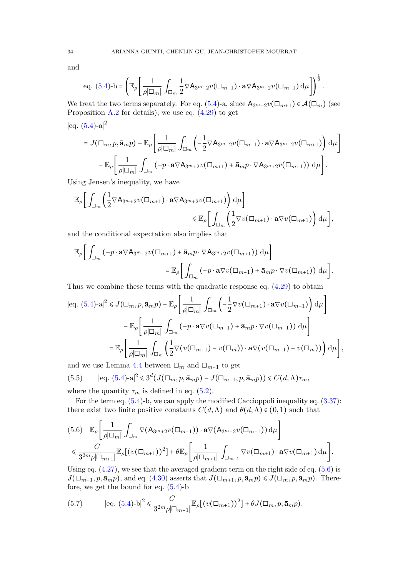and

eq. (5.4)-b = 
$$
\left(\mathbb{E}_{\rho}\left[\frac{1}{\rho|\Box_m|}\int_{\Box_m}\frac{1}{2}\nabla A_{3^m+2}v(\Box_{m+1})\cdot\mathbf{a}\nabla A_{3^m+2}v(\Box_{m+1})\,d\mu\right]\right)^{\frac{1}{2}}
$$
.

 $\overline{1}$ 

We treat the two terms separately. For eq. [\(5.4\)](#page-32-2)-a, since  $A_{3m+2}v(\Box_{m+1}) \in \mathcal{A}(\Box_m)$  (see Proposition  $A.2$  for details), we use eq.  $(4.29)$  to get

 $|eq. (5.4)$  $|eq. (5.4)$ -a $|^{2}$ 

$$
= J(\Box_m, p, \bar{\mathbf{a}}_m p) - \mathbb{E}_{\rho} \left[ \frac{1}{\rho |\Box_m|} \int_{\Box_m} \left( -\frac{1}{2} \nabla A_{3^m+2} v(\Box_{m+1}) \cdot \mathbf{a} \nabla A_{3^m+2} v(\Box_{m+1}) \right) d\mu \right] - \mathbb{E}_{\rho} \left[ \frac{1}{\rho |\Box_m|} \int_{\Box_m} \left( -p \cdot \mathbf{a} \nabla A_{3^m+2} v(\Box_{m+1}) + \bar{\mathbf{a}}_m p \cdot \nabla A_{3^m+2} v(\Box_{m+1}) \right) d\mu \right].
$$

Using Jensen's inequality, we have

$$
\mathbb{E}_{\rho}\bigg[\int_{\Box_m}\bigg(\frac{1}{2}\nabla A_{3^{m}+2}v(\Box_{m+1})\cdot\mathbf{a}\nabla A_{3^{m}+2}v(\Box_{m+1})\bigg)\,d\mu\bigg] \leq \mathbb{E}_{\rho}\bigg[\int_{\Box_m}\bigg(\frac{1}{2}\nabla v(\Box_{m+1})\cdot\mathbf{a}\nabla v(\Box_{m+1})\bigg)\,d\mu\bigg],
$$

and the conditional expectation also implies that

$$
\mathbb{E}_{\rho}\bigg[\int_{\Box_m}(-p\cdot\mathbf{a}\nabla A_{3^{m}+2}v(\Box_{m+1})+\mathbf{\bar{a}}_m p\cdot\nabla A_{3^{m}+2}v(\Box_{m+1}))\,\mathrm{d}\mu\bigg]
$$

$$
=\mathbb{E}_{\rho}\bigg[\int_{\Box_m}(-p\cdot\mathbf{a}\nabla v(\Box_{m+1})+\mathbf{\bar{a}}_m p\cdot\nabla v(\Box_{m+1}))\,\mathrm{d}\mu\bigg].
$$

Thus we combine these terms with the quadratic response eq. [\(4.29\)](#page-30-4) to obtain

$$
|eq. (5.4)\text{-}a|^2 \leq J(\Box_m, p, \bar{\mathbf{a}}_m p) - \mathbb{E}_{\rho} \left[ \frac{1}{\rho|\Box_m|} \int_{\Box_m} \left( -\frac{1}{2} \nabla v(\Box_{m+1}) \cdot \mathbf{a} \nabla v(\Box_{m+1}) \right) d\mu \right]
$$

$$
- \mathbb{E}_{\rho} \left[ \frac{1}{\rho|\Box_m|} \int_{\Box_m} \left( -p \cdot \mathbf{a} \nabla v(\Box_{m+1}) + \bar{\mathbf{a}}_m p \cdot \nabla v(\Box_{m+1}) \right) d\mu \right]
$$

$$
= \mathbb{E}_{\rho} \left[ \frac{1}{\rho|\Box_m|} \int_{\Box_m} \left( \frac{1}{2} \nabla \left( v(\Box_{m+1}) - v(\Box_m) \right) \cdot \mathbf{a} \nabla \left( v(\Box_{m+1}) - v(\Box_m) \right) \right) d\mu \right],
$$

and we use Lemma [4.4](#page-31-0) between  $\square_m$  and  $\square_{m+1}$  to get

<span id="page-33-1"></span>(5.5) 
$$
|eq. (5.4)\text{-}a|^2 \leq 3^d(J(\Box_m, p, \bar{\mathbf{a}}_m p) - J(\Box_{m+1}, p, \bar{\mathbf{a}}_m p)) \leq C(d, \Lambda)\tau_m
$$
, where the quantity  $\tau_m$  is defined in eq. (5.2).

For the term eq. [\(5.4\)](#page-32-2)-b, we can apply the modified Caccioppoli inequality eq. [\(3.37\)](#page-18-1): there exist two finite positive constants  $C(d,\Lambda)$  and  $\theta(d,\Lambda) \in (0,1)$  such that

<span id="page-33-0"></span>
$$
(5.6) \mathbb{E}_{\rho} \bigg[ \frac{1}{\rho |\Box_m|} \int_{\Box_m} \nabla (\mathsf{A}_{3^m+2} v(\Box_{m+1})) \cdot \mathbf{a} \nabla (\mathsf{A}_{3^m+2} v(\Box_{m+1})) \, \mathrm{d}\mu \bigg] \leq \frac{C}{3^{2m} \rho |\Box_{m+1}|} \mathbb{E}_{\rho} \big[ (v(\Box_{m+1}))^2 \big] + \theta \mathbb{E}_{\rho} \bigg[ \frac{1}{\rho |\Box_{m+1}|} \int_{\Box_{m+1}} \nabla v(\Box_{m+1}) \cdot \mathbf{a} \nabla v(\Box_{m+1}) \, \mathrm{d}\mu \bigg].
$$

Using eq.  $(4.27)$ , we see that the averaged gradient term on the right side of eq.  $(5.6)$  is  $J(\Box_{m+1}, p, \bar{\mathbf{a}}_m p)$ , and eq. [\(4.30\)](#page-30-3) asserts that  $J(\Box_{m+1}, p, \bar{\mathbf{a}}_m p) \le J(\Box_m, p, \bar{\mathbf{a}}_m p)$ . Therefore, we get the bound for eq.  $(5.4)$ -b

<span id="page-33-2"></span>(5.7) 
$$
|\text{eq. } (5.4) \text{-} \text{b}|^2 \leq \frac{C}{3^{2m} \rho |\Box_{m+1}|} \mathbb{E}_{\rho} [(v(\Box_{m+1}))^2] + \theta J(\Box_m, p, \bar{\mathbf{a}}_m p).
$$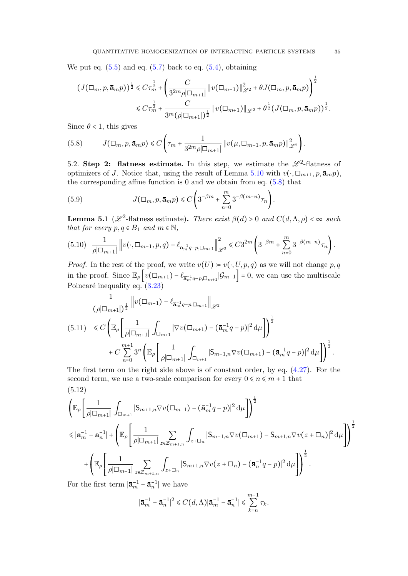We put eq.  $(5.5)$  and eq.  $(5.7)$  back to eq.  $(5.4)$ , obtaining

$$
\begin{split} \left(J(\Box_m, p, \mathbf{\bar{a}}_m p)\right)^{\frac{1}{2}} &\leq C\tau_m^{\frac{1}{2}} + \left(\frac{C}{3^{2m}\rho|\Box_{m+1}|} \left\|v(\Box_{m+1})\right\|_{\mathscr{L}^2}^2 + \theta J(\Box_m, p, \mathbf{\bar{a}}_m p)\right)^{\frac{1}{2}}\\ &\leq C\tau_m^{\frac{1}{2}} + \frac{C}{3^m(\rho|\Box_{m+1}|)^{\frac{1}{2}}} \left\|v(\Box_{m+1})\right\|_{\mathscr{L}^2} + \theta^{\frac{1}{2}}(J(\Box_m, p, \mathbf{\bar{a}}_m p))^{\frac{1}{2}}. \end{split}
$$

Since  $\theta$  < 1, this gives

<span id="page-34-1"></span>(5.8) 
$$
J(\Box_m, p, \mathbf{\bar{a}}_m p) \leq C \left( \tau_m + \frac{1}{3^{2m} \rho |\Box_{m+1}|} \| v(\mu, \Box_{m+1}, p, \mathbf{\bar{a}}_m p) \|_{\mathscr{L}^2}^2 \right).
$$

5.2. Step 2: flatness estimate. In this step, we estimate the  $\mathscr{L}^2$ -flatness of optimizers of J. Notice that, using the result of Lemma [5.10](#page-34-0) with  $v(\cdot, \Box_{m+1}, p, \bar{\mathbf{a}}_m p)$ , the corresponding affine function is  $0$  and we obtain from eq.  $(5.8)$  that

<span id="page-34-4"></span>(5.9) 
$$
J(\Box_m, p, \mathbf{\bar{a}}_m p) \leq C \left( 3^{-\beta m} + \sum_{n=0}^m 3^{-\beta (m-n)} \tau_n \right).
$$

**Lemma 5.1** ( $\mathscr{L}^2$ -flatness estimate). There exist  $\beta(d) > 0$  and  $C(d, \Lambda, \rho) < \infty$  such that for every  $p, q \in B_1$  and  $m \in \mathbb{N}$ ,

<span id="page-34-0"></span>
$$
(5.10) \quad \frac{1}{\rho|\Box_{m+1}|} \left\| v(\cdot, \Box_{m+1}, p, q) - \ell_{\overline{\mathbf{a}}_m^{-1}q - p, \Box_{m+1}} \right\|_{\mathscr{L}^2}^2 \leq C 3^{2m} \left( 3^{-\beta m} + \sum_{n=0}^m 3^{-\beta(m-n)} \tau_n \right).
$$

*Proof.* In the rest of the proof, we write  $v(U) = v(\cdot, U, p, q)$  as we will not change p, q in the proof. Since  $\mathbb{E}_{\rho}\left[v(\Box_{m+1}) - \ell_{\overline{\mathbf{a}}_m}^{-1} q_{-p,\Box_{m+1}} | \mathcal{G}_{m+1}\right] = 0$ , we can use the multiscale Poincaré inequality eq.  $(3.23)$ 

<span id="page-34-3"></span>
$$
\frac{1}{(\rho|\Box_{m+1}|)^{\frac{1}{2}}} \|v(\Box_{m+1}) - \ell_{\overline{\mathbf{a}}_m^{-1}q - p, \Box_{m+1}}\|_{\mathscr{L}^2}
$$
\n
$$
(5.11) \leq C \Big( \mathbb{E}_{\rho} \Big[ \frac{1}{\rho|\Box_{m+1}|} \int_{\Box_{m+1}} |\nabla v(\Box_{m+1}) - (\overline{\mathbf{a}}_m^{-1}q - p)|^2 d\mu \Big] \Big)^{\frac{1}{2}}
$$
\n
$$
+ C \sum_{n=0}^{m+1} 3^n \Big( \mathbb{E}_{\rho} \Big[ \frac{1}{\rho|\Box_{m+1}|} \int_{\Box_{m+1}} |S_{m+1,n} \nabla v(\Box_{m+1}) - (\overline{\mathbf{a}}_m^{-1}q - p)|^2 d\mu \Big] \Big)^{\frac{1}{2}}.
$$
\nThe first term on the risk side above is of constant order by eq. (4.27). For the

The first term on the right side above is of constant order, by eq. [\(4.27\)](#page-30-0). For the second term, we use a two-scale comparison for every  $0 \le n \le m + 1$  that (5.12)

<span id="page-34-2"></span>
$$
\left(\mathbb{E}_{\rho}\left[\frac{1}{\rho|\Box_{m+1}|}\int_{\Box_{m+1}}|S_{m+1,n}\nabla v(\Box_{m+1}) - (\mathbf{a}_{m}^{-1}q - p)|^{2} d\mu\right]\right)^{\frac{1}{2}}\n\leq |\mathbf{a}_{m}^{-1} - \mathbf{a}_{n}^{-1}| + \left(\mathbb{E}_{\rho}\left[\frac{1}{\rho|\Box_{m+1}|}\sum_{z\in\mathcal{Z}_{m+1,n}}\int_{z+\Box_{n}}|S_{m+1,n}\nabla v(\Box_{m+1}) - S_{m+1,n}\nabla v(z+\Box_{n})|^{2} d\mu\right]\right)^{\frac{1}{2}}\n+ \left(\mathbb{E}_{\rho}\left[\frac{1}{\rho|\Box_{m+1}|}\sum_{z\in\mathcal{Z}_{m+1,n}}\int_{z+\Box_{n}}|S_{m+1,n}\nabla v(z+\Box_{n}) - (\mathbf{a}_{n}^{-1}q - p)|^{2} d\mu\right]\right)^{\frac{1}{2}}.
$$

For the first term  $|\bar{\mathbf{a}}_m^{-1} - \bar{\mathbf{a}}_n^{-1}|$  we have

$$
|\bar{\mathbf{a}}_m^{-1} - \bar{\mathbf{a}}_n^{-1}|^2 \leq C(d, \Lambda) |\bar{\mathbf{a}}_m^{-1} - \bar{\mathbf{a}}_n^{-1}| \leq \sum_{k=n}^{m-1} \tau_k.
$$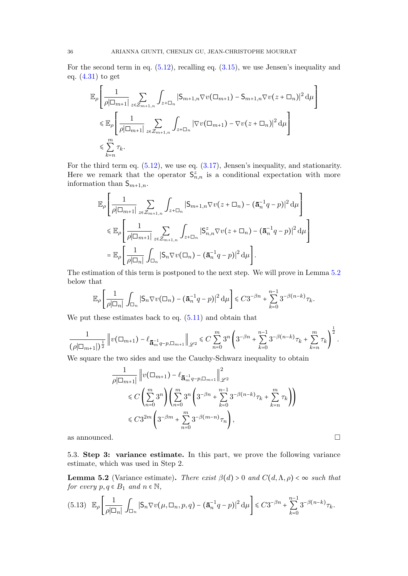For the second term in eq. [\(5.12\)](#page-34-2), recalling eq. [\(3.15\)](#page-11-1), we use Jensen's inequality and eq.  $(4.31)$  to get

$$
\mathbb{E}_{\rho} \left[ \frac{1}{\rho |\Box_{m+1}|} \sum_{z \in \mathcal{Z}_{m+1,n}} \int_{z + \Box_{n}} |S_{m+1,n} \nabla v(\Box_{m+1}) - S_{m+1,n} \nabla v(z + \Box_{n})|^2 d\mu \right]
$$
  
\$\leqslant \mathbb{E}\_{\rho} \left[ \frac{1}{\rho |\Box\_{m+1}|} \sum\_{z \in \mathcal{Z}\_{m+1,n}} \int\_{z + \Box\_{n}} |\nabla v(\Box\_{m+1}) - \nabla v(z + \Box\_{n})|^2 d\mu \right] \$  
\$\leqslant \sum\_{k=n}^{m} \tau\_{k}.

For the third term eq.  $(5.12)$ , we use eq.  $(3.17)$ , Jensen's inequality, and stationarity. Here we remark that the operator  $S^z_{n,n}$  is a conditional expectation with more information than  $S_{m+1,n}$ .

$$
\mathbb{E}_{\rho} \left[ \frac{1}{\rho |\Box_{m+1}|} \sum_{z \in \mathcal{Z}_{m+1,n}} \int_{z + \Box_n} |S_{m+1,n} \nabla v(z + \Box_n) - (\mathbf{\bar{a}}_n^{-1} q - p)|^2 d\mu \right]
$$
  
\$\leqslant \mathbb{E}\_{\rho} \left[ \frac{1}{\rho |\Box\_{m+1}|} \sum\_{z \in \mathcal{Z}\_{m+1,n}} \int\_{z + \Box\_n} |S\_{n,n}^z \nabla v(z + \Box\_n) - (\mathbf{\bar{a}}\_n^{-1} q - p)|^2 d\mu \right]   
= \mathbb{E}\_{\rho} \left[ \frac{1}{\rho |\Box\_n|} \int\_{\Box\_n} |S\_n \nabla v(\Box\_n) - (\mathbf{\bar{a}}\_n^{-1} q - p)|^2 d\mu \right].

The estimation of this term is postponed to the next step. We will prove in Lemma [5.2](#page-35-0) below that

$$
\mathbb{E}_{\rho}\left[\frac{1}{\rho|\Box_n|}\int_{\Box_n}|\mathsf{S}_n\nabla v(\Box_n)-(\mathbf{\bar{a}}_n^{-1}q-p)|^2\,\mathrm{d}\mu\right]\leq C3^{-\beta n}+\sum_{k=0}^{n-1}3^{-\beta(n-k)}\tau_k.
$$

We put these estimates back to eq.  $(5.11)$  and obtain that

$$
\frac{1}{(\rho|\Box_{m+1}|)^{\frac{1}{2}}}\left\|v(\Box_{m+1})-\ell_{\overline{\mathbf{a}}_{m}^{-1}q-p,\Box_{m+1}}\right\|_{\mathscr{L}^2}\leq C\sum_{n=0}^{m}3^n\left(3^{-\beta n}+\sum_{k=0}^{n-1}3^{-\beta(n-k)}\tau_k+\sum_{k=n}^{m}\tau_k\right)^{\frac{1}{2}}.
$$

We square the two sides and use the Cauchy-Schwarz inequality to obtain

$$
\frac{1}{\rho|\Box_{m+1}|} \|v(\Box_{m+1}) - \ell_{\overline{\mathbf{a}}_{m}^{-1}q - p, \Box_{m+1}}\|_{\mathscr{L}^2}^2
$$
\n
$$
\leq C \left(\sum_{n=0}^{m} 3^n \right) \left(\sum_{n=0}^{m} 3^n \left(3^{-\beta n} + \sum_{k=0}^{n-1} 3^{-\beta(n-k)} \tau_k + \sum_{k=n}^{m} \tau_k \right) \right)
$$
\n
$$
\leq C 3^{2m} \left(3^{-\beta m} + \sum_{n=0}^{m} 3^{-\beta(m-n)} \tau_n \right),
$$

as announced.  $\square$ 

5.3. Step 3: variance estimate. In this part, we prove the following variance estimate, which was used in Step 2.

<span id="page-35-0"></span>**Lemma 5.2** (Variance estimate). There exist  $\beta(d) > 0$  and  $C(d, \Lambda, \rho) < \infty$  such that for every  $p, q \in B_1$  and  $n \in \mathbb{N}$ ,

<span id="page-35-1"></span>
$$
(5.13)\quad \mathbb{E}_{\rho}\left[\frac{1}{\rho|\Box_n|}\int_{\Box_n}|\mathsf{S}_n\nabla v(\mu,\Box_n,p,q)-(\mathbf{\bar{a}}_n^{-1}q-p)|^2\,\mathrm{d}\mu\right]\leq C3^{-\beta n}+\sum_{k=0}^{n-1}3^{-\beta(n-k)}\tau_k.
$$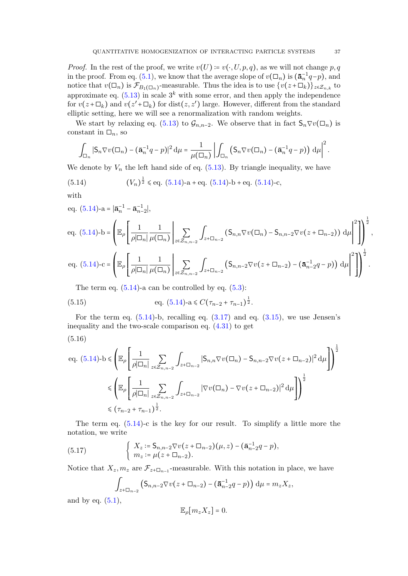*Proof.* In the rest of the proof, we write  $v(U) = v(\cdot, U, p, q)$ , as we will not change p, q in the proof. From eq. [\(5.1\)](#page-32-3), we know that the average slope of  $v(\Box_n)$  is  $(\bar{\mathbf{a}}_n^{-1}q - p)$ , and notice that  $v(\Box_n)$  is  $\mathcal{F}_{B_1(\Box_n)}$ -measurable. Thus the idea is to use  $\{v(z+\Box_k)\}_{z\in\mathcal{Z}_{n,k}}$  to approximate eq.  $(5.13)$  in scale  $3^k$  with some error, and then apply the independence for  $v(z+\Box_k)$  and  $v(z'+\Box_k)$  for  $dist(z, z')$  large. However, different from the standard elliptic setting, here we will see a renormalization with random weights.

We start by relaxing eq. [\(5.13\)](#page-35-1) to  $\mathcal{G}_{n,n-2}$ . We observe that in fact  $\mathsf{S}_n \nabla v(\square_n)$  is constant in  $\square_n$ , so

$$
\int_{\Box_n} |S_n \nabla v(\Box_n) - (\mathbf{\bar{a}}_n^{-1} q - p)|^2 d\mu = \frac{1}{\mu(\Box_n)} \left| \int_{\Box_n} (S_n \nabla v(\Box_n) - (\mathbf{\bar{a}}_n^{-1} q - p)) d\mu \right|^2.
$$

We denote by  $V_n$  the left hand side of eq.  $(5.13)$ . By triangle inequality, we have

<span id="page-36-0"></span>(5.14) 
$$
(V_n)^{\frac{1}{2}} \leqslant \text{eq. (5.14)-a + eq. (5.14)-b + eq. (5.14)-c},
$$

with

eq. (5.14)-a = 
$$
|\bar{\mathbf{a}}_n^{-1} - \bar{\mathbf{a}}_{n-2}^{-1}|
$$
,  
\neq. (5.14)-b =  $\left(\mathbb{E}_{\rho} \left[ \frac{1}{\rho |\Box_n|} \frac{1}{\mu(\Box_n)} \Big|_{z \in \mathcal{Z}_{n,n-2}} \int_{z + \Box_{n-2}} (\mathbf{S}_{n,n} \nabla v(\Box_n) - \mathbf{S}_{n,n-2} \nabla v(z + \Box_{n-2})) d\mu \right|^2 \right)\right)^{\frac{1}{2}}$ ,  
\neq. (5.14)-c =  $\left(\mathbb{E}_{\rho} \left[ \frac{1}{\rho |\Box_n|} \frac{1}{\mu(\Box_n)} \Big|_{z \in \mathcal{Z}_{n,n-2}} \int_{z + \Box_{n-2}} (\mathbf{S}_{n,n-2} \nabla v(z + \Box_{n-2}) - (\bar{\mathbf{a}}_{n-2}^{-1} q - p)) d\mu \right|^2 \right)^{\frac{1}{2}}$ .

The term eq.  $(5.14)$ -a can be controlled by eq.  $(5.3)$ :

<span id="page-36-1"></span>(5.15) 
$$
\text{eq. } (5.14) \text{-} \text{a} \leq C (\tau_{n-2} + \tau_{n-1})^{\frac{1}{2}}.
$$

For the term eq.  $(5.14)$ -b, recalling eq.  $(3.17)$  and eq.  $(3.15)$ , we use Jensen's inequality and the two-scale comparison eq. [\(4.31\)](#page-31-1) to get

$$
(5.16)
$$

<span id="page-36-2"></span>eq. (5.14)-
$$
b \leq \left(\mathbb{E}_{\rho}\left[\frac{1}{\rho|\Box_{n}|}\sum_{z\in\mathcal{Z}_{n,n-2}}\int_{z+\Box_{n-2}}|S_{n,n}\nabla v(\Box_{n})-S_{n,n-2}\nabla v(z+\Box_{n-2})|^{2}d\mu\right]\right)^{\frac{1}{2}}
$$

$$
\leq \left(\mathbb{E}_{\rho}\left[\frac{1}{\rho|\Box_{n}|}\sum_{z\in\mathcal{Z}_{n,n-2}}\int_{z+\Box_{n-2}}|\nabla v(\Box_{n})-\nabla v(z+\Box_{n-2})|^{2}d\mu\right]\right)^{\frac{1}{2}}
$$

$$
\leq (\tau_{n-2}+\tau_{n-1})^{\frac{1}{2}}.
$$

The term eq.  $(5.14)$ -c is the key for our result. To simplify a little more the notation, we write

(5.17) 
$$
\begin{cases} X_z := \mathsf{S}_{n,n-2} \nabla v(z + \Box_{n-2}) (\mu, z) - (\mathbf{\bar{a}}_{n-2}^{-1} q - p), \\ m_z := \mu(z + \Box_{n-2}). \end{cases}
$$

Notice that  $X_z, m_z$  are  $\mathcal{F}_{z+\square_{n-1}}$ -measurable. With this notation in place, we have

$$
\int_{z+\square_{n-2}} \left( \mathsf{S}_{n,n-2} \nabla v(z+\square_{n-2}) - (\mathbf{\bar{a}}_{n-2}^{-1}q - p) \right) d\mu = m_z X_z,
$$

and by eq.  $(5.1)$ ,

$$
\mathbb{E}_{\rho}[m_z X_z] = 0.
$$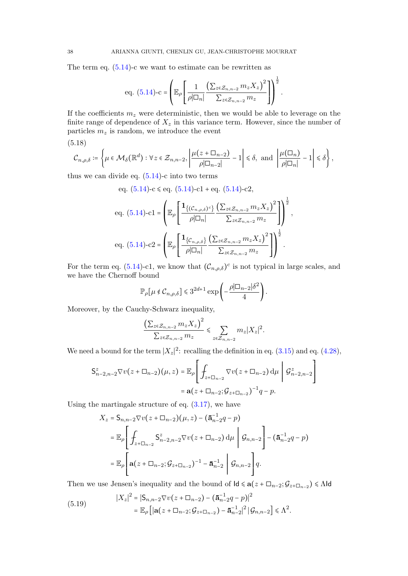The term eq.  $(5.14)$ -c we want to estimate can be rewritten as

eq. (5.14)-c = 
$$
\left(\mathbb{E}_{\rho}\left[\frac{1}{\rho|\Box_n|}\frac{\left(\sum_{z\in\mathcal{Z}_{n,n-2}}m_zX_z\right)^2}{\sum_{z\in\mathcal{Z}_{n,n-2}}m_z}\right]\right)^{\frac{1}{2}}
$$

.

,

If the coefficients  $m_z$  were deterministic, then we would be able to leverage on the finite range of dependence of  $X_z$  in this variance term. However, since the number of particles  $m_z$  is random, we introduce the event

(5.18)

$$
\mathcal{C}_{n,\rho,\delta}\coloneqq \left\{\mu\in \mathcal{M}_{\delta}\big(\mathbb{R}^d\big): \forall z\in \mathcal{Z}_{n,n-2}, \left|\frac{\mu\big(z+\square_{n-2}\big)}{\rho|\square_{n-2}|}-1\right|\leqslant \delta, \text{ and } \left|\frac{\mu\big(\square_{n}\big)}{\rho|\square_{n}|}-1\right|\leqslant \delta\right\},
$$

thus we can divide eq.  $(5.14)$ -c into two terms

eq. (5.14)-c 
$$
\le
$$
 eq. (5.14)-c1 + eq. (5.14)-c2,  
\neq. (5.14)-c1 =  $\left(\mathbb{E}_{\rho} \left[ \frac{\mathbf{1}_{\{(C_{n,\rho,\delta})^c\}} \left( \sum_{z \in \mathcal{Z}_{n,n-2}} m_z X_z \right)^2}{\rho |\Box_n|} \right]^{\frac{1}{2}} \right)$   
\neq. (5.14)-c2 =  $\left(\mathbb{E}_{\rho} \left[ \frac{\mathbf{1}_{\{C_{n,\rho,\delta}\}} \left( \sum_{z \in \mathcal{Z}_{n,n-2}} m_z X_z \right)^2}{\rho |\Box_n|} \right]^{\frac{1}{2}}$ .

For the term eq. [\(5.14\)](#page-36-0)-c1, we know that  $(C_{n,\rho,\delta})^c$  is not typical in large scales, and we have the Chernoff bound

$$
\mathbb{P}_{\rho}[\mu \notin \mathcal{C}_{n,\rho,\delta}] \leq 3^{2d+1} \exp\left(-\frac{\rho |\Box_{n-2}| \delta^2}{4}\right).
$$

Moreover, by the Cauchy-Schwarz inequality,

$$
\frac{\left(\sum_{z\in\mathcal{Z}_{n,n-2}}m_{z}X_{z}\right)^{2}}{\sum_{z\in\mathcal{Z}_{n,n-2}}m_{z}}\leqslant\sum_{z\in\mathcal{Z}_{n,n-2}}m_{z}|X_{z}|^{2}.
$$

We need a bound for the term  $|X_z|^2$ : recalling the definition in eq. [\(3.15\)](#page-11-1) and eq. [\(4.28\)](#page-30-1),

$$
\begin{aligned} \mathsf{S}_{n-2,n-2}^{z} \nabla v(z+\square_{n-2})(\mu,z) &= \mathbb{E}_{\rho} \Bigg[ \int_{z+\square_{n-2}} \nabla v(z+\square_{n-2}) \, \mathrm{d}\mu \, \Bigg| \, \mathcal{G}_{n-2,n-2}^{z} \Bigg] \\ &= \mathbf{a}(z+\square_{n-2}; \mathcal{G}_{z+\square_{n-2}})^{-1} q - p. \end{aligned}
$$

Using the martingale structure of eq.  $(3.17)$ , we have

$$
X_{z} = S_{n,n-2} \nabla v(z + \Box_{n-2}) (\mu, z) - (\bar{a}_{n-2}^{-1} q - p)
$$
  
=  $\mathbb{E}_{\rho} \left[ \int_{z + \Box_{n-2}} S_{n-2,n-2}^{z} \nabla v(z + \Box_{n-2}) d\mu \middle| \mathcal{G}_{n,n-2} \right] - (\bar{a}_{n-2}^{-1} q - p)$   
=  $\mathbb{E}_{\rho} \left[ \mathbf{a}(z + \Box_{n-2}; \mathcal{G}_{z + \Box_{n-2}})^{-1} - \bar{a}_{n-2}^{-1} \middle| \mathcal{G}_{n,n-2} \right] q.$ 

Then we use Jensen's inequality and the bound of  $\mathsf{Id} \leq \mathbf{a}(z + \square_{n-2}; \mathcal{G}_{z+\square_{n-2}}) \leq \Lambda \mathsf{Id}$ 

(5.19) 
$$
|X_z|^2 = |\mathsf{S}_{n,n-2} \nabla v(z + \Box_{n-2}) - (\mathbf{\bar{a}}_{n-2}^{-1} q - p)|^2
$$

$$
= \mathbb{E}_{\rho} \left[ |\mathbf{a}(z + \Box_{n-2}; \mathcal{G}_{z + \Box_{n-2}}) - \mathbf{\bar{a}}_{n-2}^{-1}|^2 | \mathcal{G}_{n,n-2}| \leq \Lambda^2. \right]
$$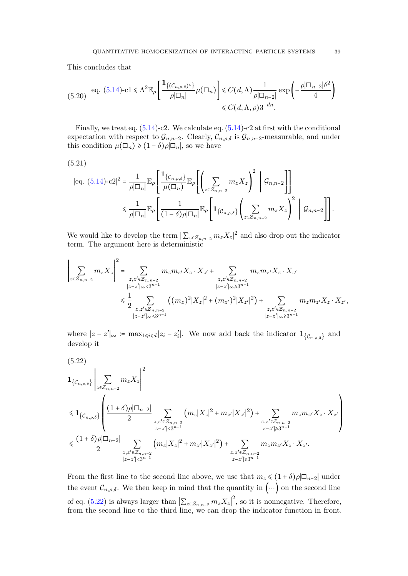This concludes that

<span id="page-38-2"></span>
$$
(5.20) \quad \text{eq. (5.14)-cl} \leq \Lambda^2 \mathbb{E}_{\rho} \left[ \frac{\mathbf{1}_{\{(\mathcal{C}_{n,\rho,\delta})^c\}}}{\rho |\Box_n|} \mu(\Box_n) \right] \leq C(d,\Lambda) \frac{1}{\rho |\Box_{n-2}|} \exp \left( -\frac{\rho |\Box_{n-2}| \delta^2}{4} \right)
$$

$$
\leq C(d,\Lambda,\rho) 3^{-dn}.
$$

Finally, we treat eq.  $(5.14)$ -c2. We calculate eq.  $(5.14)$ -c2 at first with the conditional expectation with respect to  $\mathcal{G}_{n,n-2}$ . Clearly,  $\mathcal{C}_{n,\rho,\delta}$  is  $\mathcal{G}_{n,n-2}$ -measurable, and under this condition  $\mu(\Box_n) \geq (1-\delta)\rho|\Box_n|$ , so we have

$$
(5.21)
$$

<span id="page-38-1"></span>
$$
\begin{split} |\text{eq. (5.14)-c2}|^{2} &= \frac{1}{\rho|\Box_{n}|} \mathbb{E}_{\rho} \left[ \frac{\mathbf{1}_{\left\{ \mathcal{C}_{n,\rho,\delta} \right\}}}{\mu(\Box_{n})} \mathbb{E}_{\rho} \left[ \left( \sum_{z \in \mathcal{Z}_{n,n-2}} m_{z} X_{z} \right)^{2} \middle| \mathcal{G}_{n,n-2} \right] \right] \\ &\leq \frac{1}{\rho|\Box_{n}|} \mathbb{E}_{\rho} \left[ \frac{1}{(1-\delta)\rho|\Box_{n}|} \mathbb{E}_{\rho} \left[ \mathbf{1}_{\left\{ \mathcal{C}_{n,\rho,\delta} \right\}} \left( \sum_{z \in \mathcal{Z}_{n,n-2}} m_{z} X_{z} \right)^{2} \middle| \mathcal{G}_{n,n-2} \right] \right]. \end{split}
$$

We would like to develop the term  $|\sum_{z \in \mathcal{Z}_{n,n-2}} m_z X_z|^2$  and also drop out the indicator term. The argument here is deterministic

$$
\left|\sum_{z \in \mathcal{Z}_{n,n-2}} m_z X_z\right|^2 = \sum_{\substack{z,z' \in \mathcal{Z}_{n,n-2} \\ |z-z'|_{\infty} < 3^{n-1}}} m_z m_{z'} X_z \cdot X_{z'} + \sum_{\substack{z,z' \in \mathcal{Z}_{n,n-2} \\ |z-z'|_{\infty} \geq 3^{n-1}}} m_z m_{z'} X_z \cdot X_{z'} + \sum_{\substack{z,z' \in \mathcal{Z}_{n,n-2} \\ |z-z'|_{\infty} \geq 3^{n-1}}} m_z m_{z'} X_z \cdot X_{z'} + \sum_{\substack{z,z' \in \mathcal{Z}_{n,n-2} \\ |z-z'|_{\infty} \geq 3^{n-1}}} (m_z)^2 |X_z|^2 + (m_{z'})^2 |X_{z'}|^2) + \sum_{\substack{z,z' \in \mathcal{Z}_{n,n-2} \\ |z-z'|_{\infty} \geq 3^{n-1}}} m_z m_{z'} X_z \cdot X_{z'},
$$

where  $|z - z'|_{\infty} := \max_{1 \leq i \leq d} |z_i - z'_i|$ . We now add back the indicator  $\mathbf{1}_{\{\mathcal{C}_{n,\rho,\delta}\}}$  and develop it

<span id="page-38-0"></span>
$$
(5.22)
$$
\n
$$
\mathbf{1}_{\{C_{n,\rho,\delta}\}}\Bigg| \sum_{z \in Z_{n,n-2}} m_z X_z \Bigg|^2
$$
\n
$$
\leq \mathbf{1}_{\{C_{n,\rho,\delta}\}}\Bigg(\frac{(1+\delta)\rho|\Box_{n-2}|}{2}\sum_{\substack{z,z' \in Z_{n,n-2} \\ |z-z'| < 3^{n-1}}} (m_z|X_z|^2 + m_{z'}|X_{z'}|^2) + \sum_{\substack{z,z' \in Z_{n,n-2} \\ |z-z'| \ge 3^{n-1}}} m_z m_{z'} X_z \cdot X_{z'}\Bigg)
$$
\n
$$
\leq \frac{(1+\delta)\rho|\Box_{n-2}|}{2}\sum_{\substack{z,z' \in Z_{n,n-2} \\ |z-z'| < 3^{n-1}}} (m_z|X_z|^2 + m_{z'}|X_{z'}|^2) + \sum_{\substack{z,z' \in Z_{n,n-2} \\ |z-z'| \ge 3^{n-1}}} m_z m_{z'} X_z \cdot X_{z'}.
$$

From the first line to the second line above, we use that  $m_z \leq (1 + \delta)\rho |\Box_{n-2}|$  under the event  $\mathcal{C}_{n,\rho,\delta}$ . We then keep in mind that the quantity in  $(\cdots)$  on the second line of eq. [\(5.22\)](#page-38-0) is always larger than  $\left|\sum_{z\in\mathcal{Z}_{n,n-2}}m_{z}X_{z}\right|^{2}$ , so it is nonnegative. Therefore, from the second line to the third line, we can drop the indicator function in front.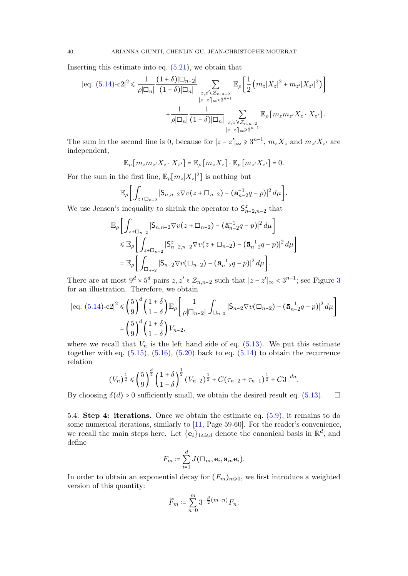Inserting this estimate into eq.  $(5.21)$ , we obtain that

$$
|eq. (5.14) - c2|^2 \le \frac{1}{\rho |\Box_n|} \frac{(1+\delta)|\Box_{n-2}|}{(1-\delta)|\Box_n|} \sum_{\substack{z,z' \in \mathcal{Z}_{n,n-2} \\ |z-z'|_{\infty} < 3^{n-1}}} \mathbb{E}_{\rho} \Big[ \frac{1}{2} \left( m_z |X_z|^2 + m_{z'} |X_{z'}|^2 \right) \Big] + \frac{1}{\rho |\Box_n|} \frac{1}{(1-\delta)|\Box_n|} \sum_{\substack{z,z' \in \mathcal{Z}_{n,n-2} \\ |z-z'|_{\infty} \ge 3^{n-1}}} \mathbb{E}_{\rho} \left[ m_z m_{z'} X_z \cdot X_{z'} \right].
$$

The sum in the second line is 0, because for  $|z - z'|_{\infty} \ge 3^{n-1}$ ,  $m_z X_z$  and  $m_{z'} X_{z'}$  are independent,

$$
\mathbb{E}_{\rho}\left[m_{z}m_{z'}X_{z}\cdot X_{z'}\right]=\mathbb{E}_{\rho}\left[m_{z}X_{z}\right]\cdot \mathbb{E}_{\rho}\left[m_{z'}X_{z'}\right]=0.
$$

For the sum in the first line,  $\mathbb{E}_{\rho}[m_z|X_z|^2]$  is nothing but

$$
\mathbb{E}_{\rho}\bigg[\int_{z+\Box_{n-2}}|\mathsf{S}_{n,n-2}\nabla v(z+\Box_{n-2})-(\mathbf{\overline{a}}_{n-2}^{-1}q-p)|^2\,d\mu\bigg].
$$

We use Jensen's inequality to shrink the operator to  $S^z_{n-2,n-2}$  that

$$
\mathbb{E}_{\rho} \bigg[ \int_{z + \Box_{n-2}} |S_{n,n-2} \nabla v(z + \Box_{n-2}) - (\bar{\mathbf{a}}_{n-2}^{-1} q - p)|^2 d\mu \bigg] \n\leq \mathbb{E}_{\rho} \bigg[ \int_{z + \Box_{n-2}} |S_{n-2,n-2}^z \nabla v(z + \Box_{n-2}) - (\bar{\mathbf{a}}_{n-2}^{-1} q - p)|^2 d\mu \bigg] \n= \mathbb{E}_{\rho} \bigg[ \int_{\Box_{n-2}} |S_{n-2} \nabla v(\Box_{n-2}) - (\bar{\mathbf{a}}_{n-2}^{-1} q - p)|^2 d\mu \bigg].
$$

There are at most  $9^d \times 5^d$  pairs  $z, z' \in \mathcal{Z}_{n,n-2}$  such that  $|z-z'|_{\infty} < 3^{n-1}$  $|z-z'|_{\infty} < 3^{n-1}$  $|z-z'|_{\infty} < 3^{n-1}$ ; see Figure 3 for an illustration. Therefore, we obtain

$$
\begin{aligned} \left| \text{eq. (5.14)} \text{-} \text{c2} \right|^2 &\leq \left( \frac{5}{9} \right)^d \left( \frac{1+\delta}{1-\delta} \right) \mathbb{E}_{\rho} \left[ \frac{1}{\rho |\Box_{n-2}|} \int_{\Box_{n-2}} |\mathsf{S}_{n-2} \nabla v(\Box_{n-2}) - (\mathbf{\bar{a}}_{n-2}^{-1} q - p)|^2 \, d\mu \right] \\ &= \left( \frac{5}{9} \right)^d \left( \frac{1+\delta}{1-\delta} \right) V_{n-2}, \end{aligned}
$$

where we recall that  $V_n$  is the left hand side of eq. [\(5.13\)](#page-35-1). We put this estimate together with eq.  $(5.15)$ ,  $(5.16)$ ,  $(5.20)$  back to eq.  $(5.14)$  to obtain the recurrence relation

$$
(V_n)^{\frac{1}{2}} \leq \left(\frac{5}{9}\right)^{\frac{d}{2}} \left(\frac{1+\delta}{1-\delta}\right)^{\frac{1}{2}} (V_{n-2})^{\frac{1}{2}} + C(\tau_{n-2} + \tau_{n-1})^{\frac{1}{2}} + C3^{-dn}.
$$

By choosing  $\delta(d) > 0$  sufficiently small, we obtain the desired result eq. [\(5.13\)](#page-35-1).  $\square$ 

5.4. Step 4: iterations. Once we obtain the estimate eq. [\(5.9\)](#page-34-4), it remains to do some numerical iterations, similarly to [\[11,](#page-57-4) Page 59-60]. For the reader's convenience, we recall the main steps here. Let  ${e_i}_{1 \le i \le d}$  denote the canonical basis in  $\mathbb{R}^d$ , and define

$$
F_m \coloneqq \sum_{i=1}^d J(\Box_m, \mathbf{e}_i, \mathbf{\bar{a}}_m \mathbf{e}_i).
$$

In order to obtain an exponential decay for  $(F_m)_{m\geq 0}$ , we first introduce a weighted version of this quantity:

$$
\widetilde{F}_m \coloneqq \sum_{n=0}^m 3^{-\frac{\beta}{2}(m-n)} F_n.
$$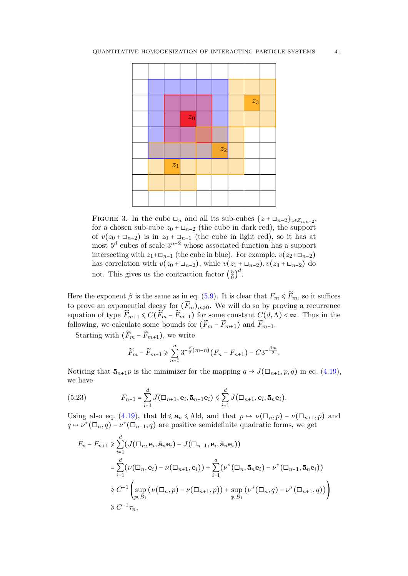

FIGURE 3. In the cube  $\Box_n$  and all its sub-cubes  $\{z + \Box_{n-2}\}_{z \in \mathcal{Z}_{n,n-2}}$ , for a chosen sub-cube  $z_0 + \square_{n-2}$  (the cube in dark red), the support of  $v(z_0 + \square_{n-2})$  is in  $z_0 + \square_{n-1}$  (the cube in light red), so it has at most  $5^d$  cubes of scale  $3^{n-2}$  whose associated function has a support intersecting with  $z_1$ + $\Box_{n-1}$  (the cube in blue). For example,  $v(z_2+\Box_{n-2})$ has correlation with  $v(z_0 + \square_{n-2})$ , while  $v(z_1 + \square_{n-2})$ ,  $v(z_3 + \square_{n-2})$  do not. This gives us the contraction factor  $\left(\frac{5}{9}\right)$  $\frac{5}{9}$  $\Big)^d$ .

<span id="page-40-0"></span>Here the exponent  $\beta$  is the same as in eq. [\(5.9\)](#page-34-4). It is clear that  $F_m \leq \widetilde{F}_m$ , so it suffices to prove an exponential decay for  $(\widetilde{F}_m)_{m\geqslant 0}$ . We will do so by proving a recurrence equation of type  $\widetilde{F}_{m+1} \leq C(\widetilde{F}_m - \widetilde{F}_{m+1})$  for some constant  $C(d,\Lambda) < \infty$ . Thus in the following, we calculate some bounds for  $(\widetilde{F}_m - \widetilde{F}_{m+1})$  and  $\widetilde{F}_{m+1}$ .

Starting with  $(\widetilde{F}_m - \widetilde{F}_{m+1})$ , we write

$$
\widetilde{F}_m - \widetilde{F}_{m+1} \ge \sum_{n=0}^n 3^{-\frac{\beta}{2}(m-n)} (F_n - F_{n+1}) - C3^{-\frac{\beta m}{2}}.
$$

Noticing that  $\bar{\mathbf{a}}_{n+1}$  is the minimizer for the mapping  $q \mapsto J(\Box_{n+1}, p, q)$  in eq. [\(4.19\)](#page-27-0), we have

<span id="page-40-1"></span>(5.23) 
$$
F_{n+1} = \sum_{i=1}^d J(\square_{n+1}, \mathbf{e}_i, \mathbf{\bar{a}}_{n+1} \mathbf{e}_i) \leq \sum_{i=1}^d J(\square_{n+1}, \mathbf{e}_i, \mathbf{\bar{a}}_n \mathbf{e}_i).
$$

Using also eq. [\(4.19\)](#page-27-0), that  $\mathsf{Id} \leq \bar{\mathbf{a}}_n \leq \Lambda \mathsf{Id}$ , and that  $p \mapsto \nu(\Box_n, p) - \nu(\Box_{n+1}, p)$  and  $q \mapsto \nu^*(\Box_n, q) - \nu^*(\Box_{n+1}, q)$  are positive semidefinite quadratic forms, we get

$$
F_n - F_{n+1} \ge \sum_{i=1}^d (J(\Box_n, \mathbf{e}_i, \mathbf{\bar{a}}_n \mathbf{e}_i) - J(\Box_{n+1}, \mathbf{e}_i, \mathbf{\bar{a}}_n \mathbf{e}_i))
$$
  
\n
$$
= \sum_{i=1}^d (\nu(\Box_n, \mathbf{e}_i) - \nu(\Box_{n+1}, \mathbf{e}_i)) + \sum_{i=1}^d (\nu^*(\Box_n, \mathbf{\bar{a}}_n \mathbf{e}_i) - \nu^*(\Box_{n+1}, \mathbf{\bar{a}}_n \mathbf{e}_i))
$$
  
\n
$$
\ge C^{-1} \left( \sup_{p \in B_1} (\nu(\Box_n, p) - \nu(\Box_{n+1}, p)) + \sup_{q \in B_1} (\nu^*(\Box_n, q) - \nu^*(\Box_{n+1}, q)) \right)
$$
  
\n
$$
\ge C^{-1} \tau_n,
$$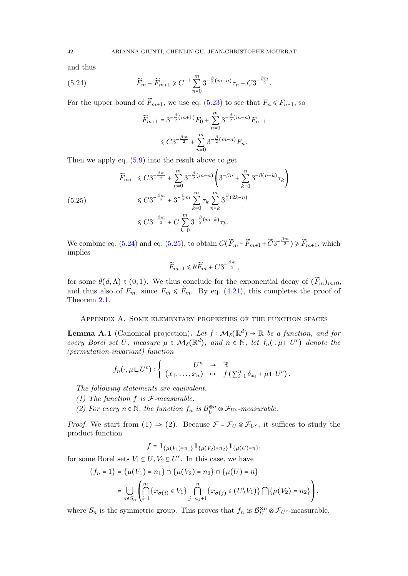and thus

(5.24) 
$$
\widetilde{F}_m - \widetilde{F}_{m+1} \geq C^{-1} \sum_{n=0}^m 3^{-\frac{\beta}{2}(m-n)} \tau_n - C 3^{-\frac{\beta m}{2}}.
$$

For the upper bound of  $\widetilde{F}_{m+1}$ , we use eq. [\(5.23\)](#page-40-1) to see that  $F_n \le F_{n+1}$ , so

<span id="page-41-1"></span>
$$
\widetilde{F}_{m+1} = 3^{-\frac{\beta}{2}(m+1)} F_0 + \sum_{n=0}^{m} 3^{-\frac{\beta}{2}(m-n)} F_{n+1}
$$
  
\$\leq C 3^{-\frac{\beta m}{2}} + \sum\_{n=0}^{m} 3^{-\frac{\beta}{2}(m-n)} F\_n.\$

Then we apply eq.  $(5.9)$  into the result above to get

<span id="page-41-2"></span>
$$
\widetilde{F}_{m+1} \leq C3^{-\frac{\beta m}{2}} + \sum_{n=0}^{m} 3^{-\frac{\beta}{2}(m-n)} \left( 3^{-\beta n} + \sum_{k=0}^{n} 3^{-\beta(n-k)} \tau_k \right)
$$
\n
$$
\leq C3^{-\frac{\beta m}{2}} + 3^{-\frac{\beta}{2}m} \sum_{k=0}^{m} \tau_k \sum_{n=k}^{m} 3^{\frac{\beta}{2}(2k-n)}
$$
\n
$$
\leq C3^{-\frac{\beta m}{2}} + C \sum_{k=0}^{m} 3^{-\frac{\beta}{2}(m-k)} \tau_k.
$$

We combine eq. [\(5.24\)](#page-41-1) and eq. [\(5.25\)](#page-41-2), to obtain  $C(\widetilde{F}_m - \widetilde{F}_{m+1} + \widetilde{C}3^{-\frac{\beta m}{2}}) \geq \widetilde{F}_{m+1}$ , which implies

$$
\widetilde{F}_{m+1}\leqslant \theta \widetilde{F}_m+C3^{-\frac{\beta m}{2}},
$$

for some  $\theta(d,\Lambda) \in (0,1)$ . We thus conclude for the exponential decay of  $(\widetilde{F}_m)_{m \geq 0}$ , and thus also of  $F_m$ , since  $F_m \leq F_m$ . By eq. [\(4.21\)](#page-28-3), this completes the proof of Theorem [2.1.](#page-3-0)

<span id="page-41-0"></span>Appendix A. Some elementary properties of the function spaces

<span id="page-41-3"></span>**Lemma A.1** (Canonical projection). Let  $f : \mathcal{M}_{\delta}(\mathbb{R}^d) \to \mathbb{R}$  be a function, and for every Borel set U, measure  $\mu \in \mathcal{M}_{\delta}(\mathbb{R}^d)$ , and  $n \in \mathbb{N}$ , let  $f_n(\cdot, \mu \sqcup U^c)$  denote the (permutation-invariant) function

$$
f_n(\cdot,\mu\,\llcorner\, U^c): \left\{\begin{array}{rcl} U^n & \to & \mathbb{R} \\ (x_1,\ldots,x_n) & \mapsto & f\left(\sum_{i=1}^n \delta_{x_i} + \mu\,\llcorner\, U^c\right). \end{array}\right.
$$

The following statements are equivalent.

- (1) The function  $f$  is  $\mathcal{F}\text{-}measurable.$
- (2) For every  $n \in \mathbb{N}$ , the function  $f_n$  is  $\mathcal{B}_U^{\otimes n} \otimes \mathcal{F}_{U^c}$ -measurable.

*Proof.* We start from (1)  $\Rightarrow$  (2). Because  $\mathcal{F} = \mathcal{F}_U \otimes \mathcal{F}_{U^c}$ , it suffices to study the product function

$$
f = \mathbf{1}_{\{\mu(V_1) = n_1\}} \mathbf{1}_{\{\mu(V_2) = n_2\}} \mathbf{1}_{\{\mu(U) = n\}},
$$

for some Borel sets  $V_1 \subseteq U, V_2 \subseteq U^c$ . In this case, we have

$$
\{f_n = 1\} = \{\mu(V_1) = n_1\} \cap \{\mu(V_2) = n_2\} \cap \{\mu(U) = n\}
$$

$$
= \bigcup_{\sigma \in S_n} \left( \bigcap_{i=1}^{n_1} \{x_{\sigma(i)} \in V_1\} \bigcap_{j=n_1+1}^{n_1} \{x_{\sigma(j)} \in (U \setminus V_1)\} \bigcap \{\mu(V_2) = n_2\} \right),
$$

where  $S_n$  is the symmetric group. This proves that  $f_n$  is  $\mathcal{B}_U^{\otimes n} \otimes \mathcal{F}_{U^c}$ -measurable.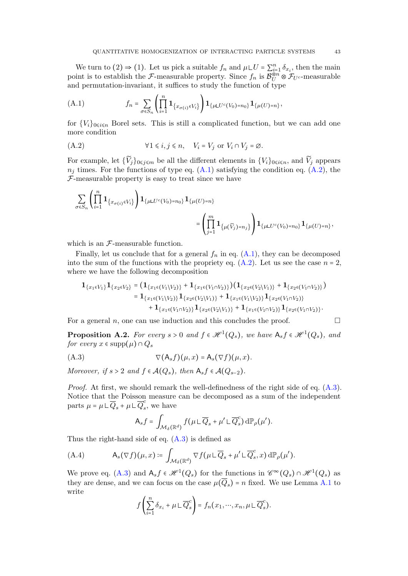We turn to (2)  $\Rightarrow$  (1). Let us pick a suitable  $f_n$  and  $\mu\Box U = \sum_{i=1}^n \delta_{x_i}$ , then the main point is to establish the *F*-measurable property. Since  $f_n$  is  $\mathcal{B}_{U}^{\otimes n} \otimes \mathcal{F}_{U^c}$ -measurable and permutation-invariant, it suffices to study the function of type

<span id="page-42-1"></span>(A.1) 
$$
f_n = \sum_{\sigma \in S_n} \left( \prod_{i=1}^n \mathbf{1}_{\{x_{\sigma(i)} \in V_i\}} \right) \mathbf{1}_{\{\mu \sqcup U^c(V_0) = n_0\}} \mathbf{1}_{\{\mu(U) = n\}},
$$

for  ${V_i}_{0\le i\le n}$  Borel sets. This is still a complicated function, but we can add one more condition

<span id="page-42-2"></span>(A.2) 
$$
\forall 1 \leq i, j \leq n, \quad V_i = V_j \text{ or } V_i \cap V_j = \emptyset.
$$

For example, let  $\{\widetilde{V}_j\}_{0\leq j\leq m}$  be all the different elements in  $\{V_i\}_{0\leq i\leq n}$ , and  $\widetilde{V}_j$  appears  $n_j$  times. For the functions of type eq.  $(A.1)$  satisfying the condition eq.  $(A.2)$ , the  $F$ -measurable property is easy to treat since we have

$$
\begin{split} \sum_{\sigma \in S_n} \left( \prod_{i=1}^n \mathbf{1}_{\left\{ x_{\sigma(i)} \in V_i \right\}} \right) \mathbf{1}_{\left\{ \mu \sqcup U^c(V_0) = n_0 \right\}} \mathbf{1}_{\left\{ \mu(U) = n \right\}} \\ = \left( \prod_{j=1}^m \mathbf{1}_{\left\{ \mu(\widetilde{V}_j) = n_j \right\}} \right) \mathbf{1}_{\left\{ \mu \sqcup U^c(V_0) = n_0 \right\}} \mathbf{1}_{\left\{ \mu(U) = n \right\}}, \end{split}
$$

which is an  $\mathcal{F}\text{-measurable function.}$ 

Finally, let us conclude that for a general  $f_n$  in eq.  $(A.1)$ , they can be decomposed into the sum of the functions with the propriety eq.  $(A.2)$ . Let us see the case  $n = 2$ , where we have the following decomposition

$$
\mathbf{1}_{\{x_1 \in V_1\}} \mathbf{1}_{\{x_2 \in V_2\}} = (\mathbf{1}_{\{x_1 \in (V_1 \setminus V_2)\}} + \mathbf{1}_{\{x_1 \in (V_1 \cap V_2)\}}) (\mathbf{1}_{\{x_2 \in (V_2 \setminus V_1)\}} + \mathbf{1}_{\{x_2 \in (V_1 \cap V_2)\}})
$$
\n
$$
= \mathbf{1}_{\{x_1 \in (V_1 \setminus V_2)\}} \mathbf{1}_{\{x_2 \in (V_2 \setminus V_1)\}} + \mathbf{1}_{\{x_1 \in (V_1 \setminus V_2)\}} \mathbf{1}_{\{x_2 \in (V_1 \cap V_2)\}} + \mathbf{1}_{\{x_1 \in (V_1 \cap V_2)\}} \mathbf{1}_{\{x_2 \in (V_1 \cap V_2)\}} \mathbf{1}_{\{x_2 \in (V_1 \cap V_2)\}}.
$$

For a general n, one can use induction and this concludes the proof.  $\Box$ 

<span id="page-42-0"></span>**Proposition A.2.** For every  $s > 0$  and  $f \in \mathcal{H}^1(Q_s)$ , we have  $A_s f \in \mathcal{H}^1(Q_s)$ , and for every  $x \in \text{supp}(\mu) \cap Q_s$ 

<span id="page-42-3"></span>
$$
(\text{A.3}) \qquad \qquad \nabla(\mathsf{A}_s f)(\mu, x) = \mathsf{A}_s(\nabla f)(\mu, x).
$$

Moreover, if  $s > 2$  and  $f \in \mathcal{A}(Q_s)$ , then  $A_s f \in \mathcal{A}(Q_{s-2})$ .

Proof. At first, we should remark the well-definedness of the right side of eq. [\(A.3\)](#page-42-3). Notice that the Poisson measure can be decomposed as a sum of the independent parts  $\mu = \mu \sqcup \overline{Q}_s + \mu \sqcup \overline{Q}_s^c$  $\frac{c}{s}$ , we have

$$
\mathsf{A}_s f = \int_{\mathcal{M}_\delta(\mathbb{R}^d)} f(\mu \sqcup \overline{Q}_s + \mu' \sqcup \overline{Q}_s^c) \, d\mathbb{P}_\rho(\mu').
$$

Thus the right-hand side of eq.  $(A.3)$  is defined as

<span id="page-42-4"></span>(A.4) 
$$
A_s(\nabla f)(\mu, x) \coloneqq \int_{\mathcal{M}_\delta(\mathbb{R}^d)} \nabla f(\mu \mathcal{L} \overline{Q}_s + \mu' \mathcal{L} \overline{Q}_s^c, x) d\mathbb{P}_\rho(\mu').
$$

We prove eq. [\(A.3\)](#page-42-3) and  $A_s f \in \mathcal{H}^1(Q_s)$  for the functions in  $\mathcal{C}^{\infty}(Q_s) \cap \mathcal{H}^1(Q_s)$  as they are dense, and we can focus on the case  $\mu(Q_s)$  = n fixed. We use Lemma [A.1](#page-41-3) to write

$$
f\left(\sum_{i=1}^n \delta_{x_i} + \mu \sqcup \overline{Q}_s^c\right) = f_n(x_1, \dots, x_n, \mu \sqcup \overline{Q}_s^c).
$$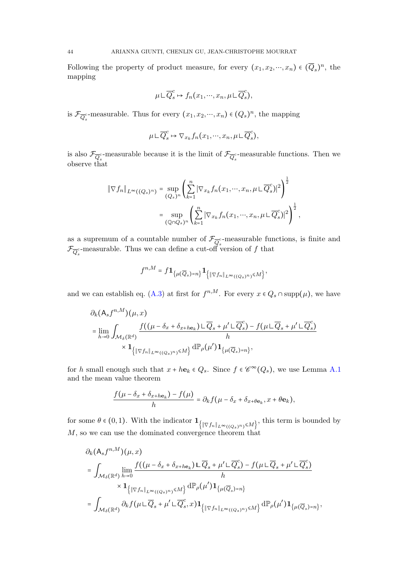Following the property of product measure, for every  $(x_1, x_2, ..., x_n) \in (\overline{Q}_s)^n$ , the mapping

$$
\mu \sqcup \overline{Q}_{s}^{c} \mapsto f_{n}(x_{1}, \cdots, x_{n}, \mu \sqcup \overline{Q}_{s}^{c}),
$$

is  $\mathcal{F}_{\overline{Q}_s^c}$ -measurable. Thus for every  $(x_1, x_2, \dots, x_n) \in (Q_s)^n$ , the mapping

$$
\mu \,\mathsf{L}\, \overline{Q}^c_s \mapsto \nabla_{x_k} f_n(x_1,\cdots,x_n,\mu \,\mathsf{L}\, \overline{Q}^c_s),
$$

is also  $\mathcal{F}_{\overline{Q}_s^c}$ -measurable because it is the limit of  $\mathcal{F}_{\overline{Q}_s^c}$ -measurable functions. Then we observe that

$$
\|\nabla f_n\|_{L^{\infty}((Q_s)^n)} = \sup_{(Q_s)^n} \left( \sum_{k=1}^n |\nabla_{x_k} f_n(x_1, \cdots, x_n, \mu \sqcup \overline{Q}_s^c)|^2 \right)^{\frac{1}{2}}
$$

$$
= \sup_{(\mathbb{Q} \cap Q_s)^n} \left( \sum_{k=1}^n |\nabla_{x_k} f_n(x_1, \cdots, x_n, \mu \sqcup \overline{Q}_s^c)|^2 \right)^{\frac{1}{2}},
$$

as a supremum of a countable number of  $\mathcal{F}_{\overline{Q}_s^c}$ -measurable functions, is finite and  $\mathcal{F}_{\overline{Q}_{s}^{c}}$ -measurable. Thus we can define a cut-off version of f that

$$
f^{n,M}=f\mathbf{1}_{\{\mu(\overline{Q}_s)=n\}}\mathbf{1}_{\{\|\nabla f_n\|_{L^{\infty}((Q_s)^n)}\leq M\}},
$$

and we can establish eq. [\(A.3\)](#page-42-3) at first for  $f^{n,M}$ . For every  $x \in Q_s \cap \text{supp}(\mu)$ , we have

$$
\partial_k (\mathsf{A}_s f^{n,M})(\mu, x)
$$
\n
$$
= \lim_{h \to 0} \int_{\mathcal{M}_\delta(\mathbb{R}^d)} \frac{f((\mu - \delta_x + \delta_{x + h\mathbf{e}_k}) \sqcup \overline{Q}_s + \mu' \sqcup \overline{Q}_s^c) - f(\mu \sqcup \overline{Q}_s + \mu' \sqcup \overline{Q}_s^c)}{h}
$$
\n
$$
\times \mathbf{1}_{\{ \|\nabla f_n\|_{L^\infty((Q_s)^n)} \le M \}} \, \mathrm{d} \mathbb{P}_\rho(\mu') \mathbf{1}_{\{\mu(\overline{Q}_s) = n\}},
$$

for h small enough such that  $x + h\mathbf{e}_k \in Q_s$ . Since  $f \in \mathscr{C}^{\infty}(Q_s)$ , we use Lemma [A.1](#page-41-3) and the mean value theorem

$$
\frac{f(\mu-\delta_x+\delta_{x+h\mathbf{e}_k})-f(\mu)}{h}=\partial_k f(\mu-\delta_x+\delta_{x+\theta\mathbf{e}_k},x+\theta\mathbf{e}_k),
$$

for some  $\theta \in (0,1)$ . With the indicator  $\mathbf{1}_{\{ \|\nabla f_n\|_{L^{\infty}((Q_s)^n)} \leq M \}}$ , this term is bounded by M, so we can use the dominated convergence theorem that

$$
\partial_k (\mathsf{A}_s f^{n,M})(\mu, x)
$$
\n
$$
= \int_{\mathcal{M}_\delta(\mathbb{R}^d)} \lim_{h \to 0} \frac{f((\mu - \delta_x + \delta_{x + h\mathbf{e}_k}) \sqcup \overline{Q}_s + \mu' \sqcup \overline{Q}_s^c) - f(\mu \sqcup \overline{Q}_s + \mu' \sqcup \overline{Q}_s^c)}{h}
$$
\n
$$
\times \mathbf{1}_{\{ \|\nabla f_n\|_{L^\infty((Q_s)^n)} \le M \}} d\mathbb{P}_\rho(\mu') \mathbf{1}_{\{\mu(\overline{Q}_s) = n\}}
$$
\n
$$
= \int_{\mathcal{M}_\delta(\mathbb{R}^d)} \partial_k f(\mu \sqcup \overline{Q}_s + \mu' \sqcup \overline{Q}_s^c, x) \mathbf{1}_{\{\|\nabla f_n\|_{L^\infty((Q_s)^n)} \le M\}} d\mathbb{P}_\rho(\mu') \mathbf{1}_{\{\mu(\overline{Q}_s) = n\}},
$$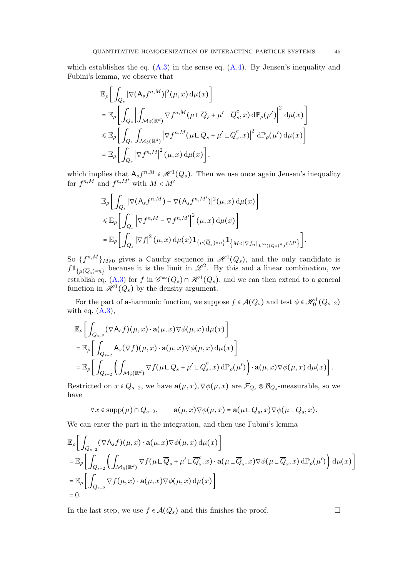which establishes the eq.  $(A.3)$  in the sense eq.  $(A.4)$ . By Jensen's inequality and Fubini's lemma, we observe that

$$
\mathbb{E}_{\rho}\left[\int_{Q_{s}}|\nabla(\mathbf{A}_{s}f^{n,M})|^{2}(\mu,x)\,d\mu(x)\right]
$$
\n
$$
= \mathbb{E}_{\rho}\left[\int_{Q_{s}}\left|\int_{\mathcal{M}_{\delta}(\mathbb{R}^{d})}\nabla f^{n,M}(\mu\mathcal{L}\overline{Q}_{s}+\mu'\mathcal{L}\overline{Q}_{s}^{c},x)\,d\mathbb{P}_{\rho}(\mu')\right|^{2}\,d\mu(x)\right]
$$
\n
$$
\leq \mathbb{E}_{\rho}\left[\int_{Q_{s}}\int_{\mathcal{M}_{\delta}(\mathbb{R}^{d})}|\nabla f^{n,M}(\mu\mathcal{L}\overline{Q}_{s}+\mu'\mathcal{L}\overline{Q}_{s}^{c},x)\right|^{2}\,d\mathbb{P}_{\rho}(\mu')\,d\mu(x)\right]
$$
\n
$$
= \mathbb{E}_{\rho}\left[\int_{Q_{s}}|\nabla f^{n,M}|^{2}(\mu,x)\,d\mu(x)\right],
$$

which implies that  $A_s f^{n,M} \in \mathcal{H}^1(Q_s)$ . Then we use once again Jensen's inequality for  $f^{n,M}$  and  $f^{n,M'}$  with  $M \lt M'$ 

$$
\mathbb{E}_{\rho}\bigg[\int_{Q_s} |\nabla(\mathsf{A}_s f^{n,M}) - \nabla(\mathsf{A}_s f^{n,M'})|^2(\mu, x) d\mu(x)\bigg] \n\leq \mathbb{E}_{\rho}\bigg[\int_{Q_s} |\nabla f^{n,M} - \nabla f^{n,M'}|^2(\mu, x) d\mu(x)\bigg] \n= \mathbb{E}_{\rho}\bigg[\int_{Q_s} |\nabla f|^2(\mu, x) d\mu(x) \mathbf{1}_{\{\mu(\overline{Q}_s) = n\}} \mathbf{1}_{\{M < \|\nabla f_n\|_{L^{\infty}((Q_s)^n)} \leq M'\}}\bigg].
$$

So  ${f^{n,M}}_{M\geqslant 0}$  gives a Cauchy sequence in  $\mathscr{H}^1(Q_s)$ , and the only candidate is  $f1_{\{\mu(\overline{Q}_s)=n\}}$  because it is the limit in  $\mathscr{L}^2$ . By this and a linear combination, we establish eq. [\(A.3\)](#page-42-3) for f in  $\mathscr{C}^{\infty}(Q_s) \cap \mathscr{H}^1(Q_s)$ , and we can then extend to a general function in  $\mathscr{H}^1(Q_s)$  by the density argument.

For the part of a-harmonic function, we suppose  $f \in \mathcal{A}(Q_s)$  and test  $\phi \in \mathcal{H}_0^1(Q_{s-2})$ with eq.  $(A.3)$ ,

$$
\mathbb{E}_{\rho}\bigg[\int_{Q_{s-2}} (\nabla \mathsf{A}_{s}f)(\mu, x) \cdot \mathbf{a}(\mu, x) \nabla \phi(\mu, x) d\mu(x)\bigg]
$$
\n
$$
= \mathbb{E}_{\rho}\bigg[\int_{Q_{s-2}} \mathsf{A}_{s}(\nabla f)(\mu, x) \cdot \mathbf{a}(\mu, x) \nabla \phi(\mu, x) d\mu(x)\bigg]
$$
\n
$$
= \mathbb{E}_{\rho}\bigg[\int_{Q_{s-2}} \bigg(\int_{\mathcal{M}_{\delta}(\mathbb{R}^{d})} \nabla f(\mu \mathsf{L}\overline{Q}_{s} + \mu' \mathsf{L}\overline{Q}_{s}^{c}, x) d\mathbb{P}_{\rho}(\mu')\bigg) \cdot \mathbf{a}(\mu, x) \nabla \phi(\mu, x) d\mu(x)\bigg].
$$

Restricted on  $x \in Q_{s-2}$ , we have  $\mathbf{a}(\mu, x), \nabla \phi(\mu, x)$  are  $\mathcal{F}_{Q_s} \otimes \mathcal{B}_{Q_s}$ -measurable, so we have

$$
\forall x \in \mathrm{supp}(\mu) \cap Q_{s-2}, \qquad \mathbf{a}(\mu, x) \nabla \phi(\mu, x) = \mathbf{a}(\mu \sqcup \overline{Q}_s, x) \nabla \phi(\mu \sqcup \overline{Q}_s, x).
$$

We can enter the part in the integration, and then use Fubini's lemma

$$
\mathbb{E}_{\rho}\bigg[\int_{Q_{s-2}} (\nabla \mathsf{A}_{s}f)(\mu, x) \cdot \mathbf{a}(\mu, x) \nabla \phi(\mu, x) d\mu(x)\bigg]
$$
\n
$$
= \mathbb{E}_{\rho}\bigg[\int_{Q_{s-2}} \bigg(\int_{\mathcal{M}_{\delta}(\mathbb{R}^{d})} \nabla f(\mu \mathcal{L} \overline{Q}_{s} + \mu' \mathcal{L} \overline{Q}_{s}^{c}, x) \cdot \mathbf{a}(\mu \mathcal{L} \overline{Q}_{s}, x) \nabla \phi(\mu \mathcal{L} \overline{Q}_{s}, x) d\mathbb{P}_{\rho}(\mu')\bigg) d\mu(x)\bigg]
$$
\n
$$
= \mathbb{E}_{\rho}\bigg[\int_{Q_{s-2}} \nabla f(\mu, x) \cdot \mathbf{a}(\mu, x) \nabla \phi(\mu, x) d\mu(x)\bigg]
$$
\n
$$
= 0.
$$

In the last step, we use  $f \in \mathcal{A}(Q_s)$  and this finishes the proof.  $\Box$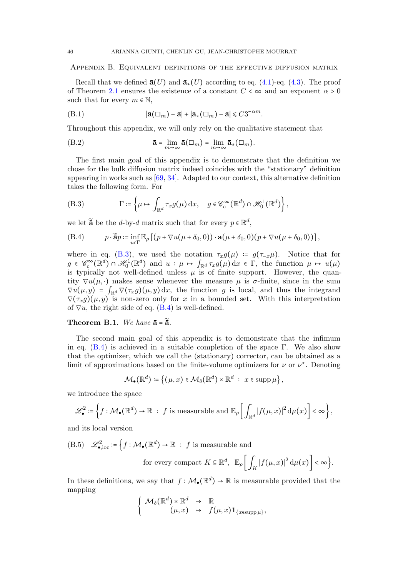### <span id="page-45-0"></span>Appendix B. Equivalent definitions of the effective diffusion matrix

Recall that we defined  $\bar{\mathbf{a}}(U)$  and  $\bar{\mathbf{a}}_*(U)$  according to eq. [\(4.1\)](#page-22-2)-eq. [\(4.3\)](#page-23-6). The proof of Theorem [2.1](#page-3-0) ensures the existence of a constant  $C < \infty$  and an exponent  $\alpha > 0$ such that for every  $m \in \mathbb{N}$ ,

$$
|\mathbf{\bar{a}}(\Box_m) - \mathbf{\bar{a}}| + |\mathbf{\bar{a}}_*(\Box_m) - \mathbf{\bar{a}}| \leq C3^{-\alpha m}.
$$

Throughout this appendix, we will only rely on the qualitative statement that

<span id="page-45-4"></span>(B.2) 
$$
\mathbf{\bar{a}} = \lim_{m \to \infty} \mathbf{\bar{a}}(\square_m) = \lim_{m \to \infty} \mathbf{\bar{a}}_*(\square_m).
$$

The first main goal of this appendix is to demonstrate that the definition we chose for the bulk diffusion matrix indeed coincides with the "stationary" definition appearing in works such as [\[69,](#page-59-11) [34\]](#page-58-14). Adapted to our context, this alternative definition takes the following form. For

<span id="page-45-1"></span>(B.3) 
$$
\Gamma \coloneqq \left\{ \mu \mapsto \int_{\mathbb{R}^d} \tau_x g(\mu) \, dx, \quad g \in \mathscr{C}_c^{\infty}(\mathbb{R}^d) \cap \mathscr{H}_0^1(\mathbb{R}^d) \right\},
$$

we let  $\widetilde{\mathbf{a}}$  be the *d*-by-*d* matrix such that for every  $p \in \mathbb{R}^d$ ,

<span id="page-45-2"></span>(B.4) 
$$
p \cdot \widetilde{\mathbf{a}} p := \inf_{u \in \Gamma} \mathbb{E}_{\rho} \left[ \left( p + \nabla u(\mu + \delta_0, 0) \right) \cdot \mathbf{a}(\mu + \delta_0, 0) (p + \nabla u(\mu + \delta_0, 0)) \right],
$$

where in eq. [\(B.3\)](#page-45-1), we used the notation  $\tau_x g(\mu) = g(\tau_{-x}\mu)$ . Notice that for  $g \in \mathscr{C}_c^{\infty}(\mathbb{R}^d) \cap \mathscr{H}_0^1(\mathbb{R}^d)$  and  $u : \mu \mapsto \int_{\mathbb{R}^d} \tau_x g(\mu) dx \in \Gamma$ , the function  $\mu \mapsto u(\mu)$ is typically not well-defined unless  $\mu$  is of finite support. However, the quantity  $\nabla u(\mu, \cdot)$  makes sense whenever the measure  $\mu$  is  $\sigma$ -finite, since in the sum  $\nabla u(\mu, y) = \int_{\mathbb{R}^d} \nabla(\tau_x g)(\mu, y) dx$ , the function g is local, and thus the integrand  $\nabla(\tau_x g)(\mu, y)$  is non-zero only for x in a bounded set. With this interpretation of  $\nabla u$ , the right side of eq. [\(B.4\)](#page-45-2) is well-defined.

# <span id="page-45-3"></span>Theorem B.1. We have  $\bar{a} = \tilde{\bar{a}}$ .

The second main goal of this appendix is to demonstrate that the infimum in eq.  $(B.4)$  is achieved in a suitable completion of the space Γ. We also show that the optimizer, which we call the (stationary) corrector, can be obtained as a limit of approximations based on the finite-volume optimizers for  $\nu$  or  $\nu^*$ . Denoting

$$
\mathcal{M}_{\bullet}(\mathbb{R}^d) \coloneqq \left\{ (\mu, x) \in \mathcal{M}_{\delta}(\mathbb{R}^d) \times \mathbb{R}^d \ : \ x \in \mathrm{supp} \, \mu \right\},\
$$

we introduce the space

$$
\mathscr{L}_{\bullet}^{2} \coloneqq \left\{ f : \mathcal{M}_{\bullet}(\mathbb{R}^{d}) \to \mathbb{R} \ : \ f \text{ is measurable and } \mathbb{E}_{\rho} \left[ \int_{\mathbb{R}^{d}} |f(\mu, x)|^{2} \, \mathrm{d}\mu(x) \right] < \infty \right\},
$$

and its local version

(B.5) 
$$
\mathscr{L}_{\bullet,\text{loc}}^2 \coloneqq \left\{ f : \mathcal{M}_{\bullet}(\mathbb{R}^d) \to \mathbb{R} : f \text{ is measurable and} \right\}
$$
  
for every compact  $K \subseteq \mathbb{R}^d$ ,  $\mathbb{E}_{\rho} \left[ \int_K |f(\mu, x)|^2 d\mu(x) \right] < \infty \right\}$ .

In these definitions, we say that  $f: \mathcal{M}_{\bullet}(\mathbb{R}^d) \to \mathbb{R}$  is measurable provided that the mapping

$$
\left\{\n\begin{array}{ccc}\n\mathcal{M}_{\delta}(\mathbb{R}^d) \times \mathbb{R}^d & \to & \mathbb{R} \\
(\mu, x) & \mapsto & f(\mu, x) \mathbf{1}_{\{x \in \text{supp}\,\mu\}},\n\end{array}\n\right.
$$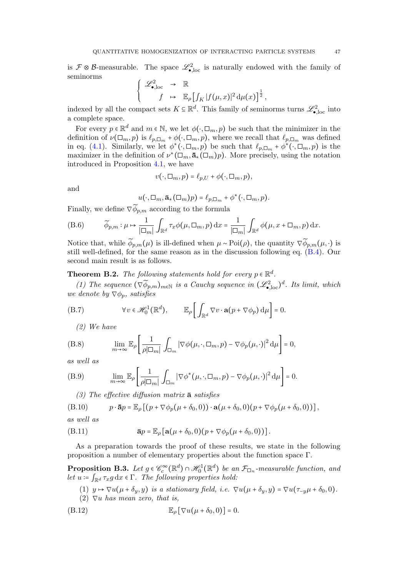is  $\mathcal{F} \otimes \mathcal{B}$ -measurable. The space  $\mathscr{L}_{\bullet,loc}^2$  is naturally endowed with the family of seminorms

$$
\begin{cases}\n\mathscr{L}_{\bullet,\mathrm{loc}}^2 & \to \mathbb{R} \\
f & \mapsto \mathbb{E}_{\rho}\left[\int_K|f(\mu,x)|^2\,\mathrm{d}\mu(x)\right]^{\frac{1}{2}},\n\end{cases}
$$

indexed by all the compact sets  $K \subseteq \mathbb{R}^d$ . This family of seminorms turns  $\mathscr{L}_{\bullet,loc}^2$  into a complete space.

For every  $p \in \mathbb{R}^d$  and  $m \in \mathbb{N}$ , we let  $\phi(\cdot, \Box_m, p)$  be such that the minimizer in the definition of  $\nu(\Box_m, p)$  is  $\ell_{p,\Box_m}$  +  $\phi(\cdot, \Box_m, p)$ , where we recall that  $\ell_{p,\Box_m}$  was defined in eq. [\(4.1\)](#page-22-2). Similarly, we let  $\phi^*(\cdot, \Box_m, p)$  be such that  $\ell_{p,\Box_m}$  +  $\phi^*(\cdot, \Box_m, p)$  is the maximizer in the definition of  $\nu^*(\Box_m, \bar{\mathbf{a}}_*(\Box_m)p)$ . More precisely, using the notation introduced in Proposition [4.1,](#page-23-7) we have

$$
v(\cdot,\Box_m,p)=\ell_{p,U}+\phi(\cdot,\Box_m,p),
$$

and

$$
u(\cdot,\Box_m,\mathbf{\bar{a}}_*(\Box_m)p)=\ell_{p,\Box_m}+\phi^*(\cdot,\Box_m,p).
$$

Finally, we define  $\nabla \widetilde{\phi}_{p,m}$  according to the formula

<span id="page-46-2"></span>(B.6) 
$$
\widetilde{\phi}_{p,m}: \mu \mapsto \frac{1}{|\Box_m|} \int_{\mathbb{R}^d} \tau_x \phi(\mu, \Box_m, p) dx = \frac{1}{|\Box_m|} \int_{\mathbb{R}^d} \phi(\mu, x + \Box_m, p) dx.
$$

Notice that, while  $\widetilde{\phi}_{p,m}(\mu)$  is ill-defined when  $\mu \sim \text{Poi}(\rho)$ , the quantity  $\nabla \widetilde{\phi}_{p,m}(\mu, \cdot)$  is still well-defined, for the same reason as in the discussion following eq. [\(B.4\)](#page-45-2). Our second main result is as follows.

# <span id="page-46-3"></span>**Theorem B.2.** The following statements hold for every  $p \in \mathbb{R}^d$ .

(1) The sequence  $(\nabla \widetilde{\phi}_{p,m})_{m \in \mathbb{N}}$  is a Cauchy sequence in  $(\mathscr{L}_{\bullet,\text{loc}}^2)^d$ . Its limit, which we denote by  $\nabla \phi_p$ , satisfies

<span id="page-46-4"></span>(B.7) 
$$
\forall v \in \mathscr{H}_0^1(\mathbb{R}^d), \qquad \mathbb{E}_{\rho} \bigg[ \int_{\mathbb{R}^d} \nabla v \cdot \mathbf{a}(p + \nabla \phi_p) d\mu \bigg] = 0.
$$

(2) We have

<span id="page-46-7"></span>(B.8) 
$$
\lim_{m \to \infty} \mathbb{E}_{\rho} \left[ \frac{1}{\rho |\Box_m|} \int_{\Box_m} |\nabla \phi(\mu, \cdot, \Box_m, p) - \nabla \phi_p(\mu, \cdot)|^2 d\mu \right] = 0,
$$

as well as

<span id="page-46-8"></span>(B.9) 
$$
\lim_{m \to \infty} \mathbb{E}_{\rho} \left[ \frac{1}{\rho |\Box_m|} \int_{\Box_m} |\nabla \phi^*(\mu, \cdot, \Box_m, p) - \nabla \phi_p(\mu, \cdot)|^2 d\mu \right] = 0.
$$

<span id="page-46-6"></span><span id="page-46-5"></span>(3) The effective diffusion matrix  $\bar{a}$  satisfies

(B.10) 
$$
p \cdot \mathbf{\bar{a}}p = \mathbb{E}_{\rho} \left[ (p + \nabla \phi_p(\mu + \delta_0, 0)) \cdot \mathbf{a}(\mu + \delta_0, 0) (p + \nabla \phi_p(\mu + \delta_0, 0)) \right],
$$

as well as

(B.11) 
$$
\mathbf{\bar{a}}p = \mathbb{E}_{\rho}\left[\mathbf{a}(\mu+\delta_0,0)(p+\nabla\phi_p(\mu+\delta_0,0))\right].
$$

As a preparation towards the proof of these results, we state in the following proposition a number of elementary properties about the function space Γ.

<span id="page-46-0"></span>**Proposition B.3.** Let  $g \in \mathscr{C}_c^{\infty}(\mathbb{R}^d) \cap \mathscr{H}_0^1(\mathbb{R}^d)$  be an  $\mathcal{F}_{\Box_n}$ -measurable function, and let  $u \coloneqq \int_{\mathbb{R}^d} \tau_x g \, dx \in \Gamma$ . The following properties hold:

(1)  $y \mapsto \nabla u(\mu + \delta_y, y)$  is a stationary field, i.e.  $\nabla u(\mu + \delta_y, y) = \nabla u(\tau_{-y}\mu + \delta_0, 0)$ .

(2)  $\nabla u$  has mean zero, that is,

<span id="page-46-1"></span>(B.12) E<sup>ρ</sup> [∇u(µ + δ0, 0)] = 0.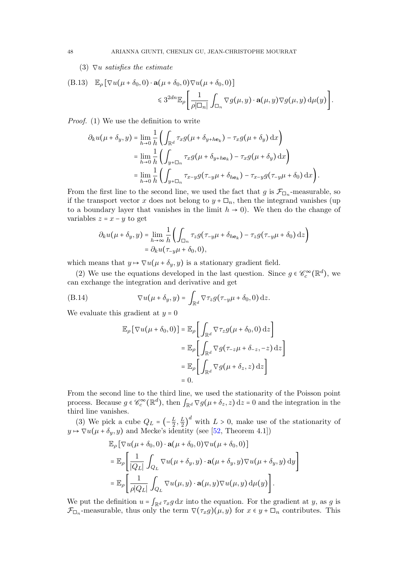# (3)  $\nabla u$  satisfies the estimate

<span id="page-47-0"></span>(B.13) 
$$
\mathbb{E}_{\rho} \left[ \nabla u(\mu + \delta_0, 0) \cdot \mathbf{a}(\mu + \delta_0, 0) \nabla u(\mu + \delta_0, 0) \right] \leq 3^{2dn} \mathbb{E}_{\rho} \left[ \frac{1}{\rho |\Box_n|} \int_{\Box_n} \nabla g(\mu, y) \cdot \mathbf{a}(\mu, y) \nabla g(\mu, y) d\mu(y) \right].
$$

Proof. (1) We use the definition to write

$$
\partial_k u(\mu + \delta_y, y) = \lim_{h \to 0} \frac{1}{h} \left( \int_{\mathbb{R}^d} \tau_x g(\mu + \delta_{y + h \mathbf{e}_k}) - \tau_x g(\mu + \delta_y) \, dx \right)
$$
  
\n
$$
= \lim_{h \to 0} \frac{1}{h} \left( \int_{y + \Box_n} \tau_x g(\mu + \delta_{y + h \mathbf{e}_k}) - \tau_x g(\mu + \delta_y) \, dx \right)
$$
  
\n
$$
= \lim_{h \to 0} \frac{1}{h} \left( \int_{y + \Box_n} \tau_{x - y} g(\tau_{-y} \mu + \delta_{h \mathbf{e}_k}) - \tau_{x - y} g(\tau_{-y} \mu + \delta_0) \, dx \right).
$$

From the first line to the second line, we used the fact that g is  $\mathcal{F}_{\Box_n}$ -measurable, so if the transport vector x does not belong to  $y + \Box_n$ , then the integrand vanishes (up to a boundary layer that vanishes in the limit  $h \to 0$ ). We then do the change of variables  $z = x - y$  to get

$$
\partial_k u(\mu + \delta_y, y) = \lim_{h \to \infty} \frac{1}{h} \left( \int_{\Box_n} \tau_z g(\tau_{-y}\mu + \delta_{h\mathbf{e}_k}) - \tau_z g(\tau_{-y}\mu + \delta_0) \, \mathrm{d}z \right)
$$

$$
= \partial_k u(\tau_{-y}\mu + \delta_0, 0),
$$

which means that  $y \mapsto \nabla u(\mu + \delta_y, y)$  is a stationary gradient field.

(2) We use the equations developed in the last question. Since  $g \in \mathcal{C}_c^{\infty}(\mathbb{R}^d)$ , we can exchange the integration and derivative and get

(B.14) 
$$
\nabla u(\mu + \delta_y, y) = \int_{\mathbb{R}^d} \nabla \tau_z g(\tau_{-y}\mu + \delta_0, 0) \, dz.
$$

We evaluate this gradient at  $y = 0$ 

$$
\mathbb{E}_{\rho} [\nabla u(\mu + \delta_0, 0)] = \mathbb{E}_{\rho} \left[ \int_{\mathbb{R}^d} \nabla \tau_z g(\mu + \delta_0, 0) dz \right]
$$

$$
= \mathbb{E}_{\rho} \left[ \int_{\mathbb{R}^d} \nabla g(\tau_{-z}\mu + \delta_{-z}, -z) dz \right]
$$

$$
= \mathbb{E}_{\rho} \left[ \int_{\mathbb{R}^d} \nabla g(\mu + \delta_z, z) dz \right]
$$

$$
= 0.
$$

From the second line to the third line, we used the stationarity of the Poisson point process. Because  $g \in \mathcal{C}_c^{\infty}(\mathbb{R}^d)$ , then  $\int_{\mathbb{R}^d} \nabla g(\mu + \delta_z, z) dz = 0$  and the integration in the third line vanishes.

(3) We pick a cube  $Q_L = \left(-\frac{L}{2}\right)$  $\frac{L}{2},\frac{L}{2}$  $\frac{L}{2}$  with  $L > 0$ , make use of the stationarity of  $y \mapsto \nabla u(\mu + \delta_y, y)$  and Mecke's identity (see [\[52,](#page-59-22) Theorem 4.1])

$$
\mathbb{E}_{\rho} [\nabla u(\mu + \delta_0, 0) \cdot \mathbf{a}(\mu + \delta_0, 0) \nabla u(\mu + \delta_0, 0)]
$$
\n
$$
= \mathbb{E}_{\rho} \left[ \frac{1}{|Q_L|} \int_{Q_L} \nabla u(\mu + \delta_y, y) \cdot \mathbf{a}(\mu + \delta_y, y) \nabla u(\mu + \delta_y, y) \,dy \right]
$$
\n
$$
= \mathbb{E}_{\rho} \left[ \frac{1}{\rho |Q_L|} \int_{Q_L} \nabla u(\mu, y) \cdot \mathbf{a}(\mu, y) \nabla u(\mu, y) \,d\mu(y) \right].
$$

We put the definition  $u = \int_{\mathbb{R}^d} \tau_x g \, dx$  into the equation. For the gradient at y, as g is  $\mathcal{F}_{\Box_n}$ -measurable, thus only the term  $\nabla(\tau_x g)(\mu, y)$  for  $x \in y + \Box_n$  contributes. This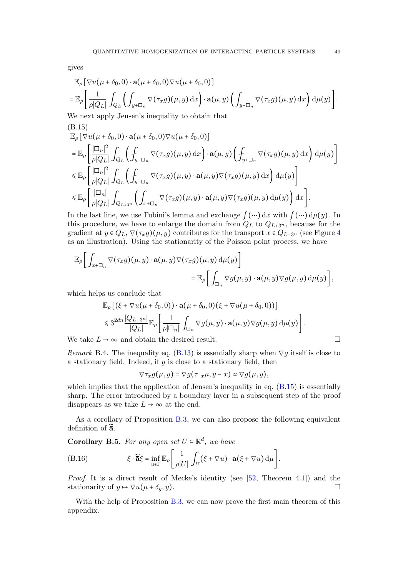gives

$$
\mathbb{E}_{\rho} \left[ \nabla u(\mu + \delta_{0}, 0) \cdot \mathbf{a}(\mu + \delta_{0}, 0) \nabla u(\mu + \delta_{0}, 0) \right]
$$
\n
$$
= \mathbb{E}_{\rho} \left[ \frac{1}{\rho |Q_{L}|} \int_{Q_{L}} \left( \int_{y + \Box_{n}} \nabla(\tau_{x} g)(\mu, y) \,dx \right) \cdot \mathbf{a}(\mu, y) \left( \int_{y + \Box_{n}} \nabla(\tau_{x} g)(\mu, y) \,dx \right) \,d\mu(y) \right].
$$
\nWe next sample, In general, it is is a bit in that

We next apply Jensen's inequality to obtain that (B.15)

<span id="page-48-0"></span>
$$
\mathbb{E}_{\rho} \left[ \nabla u(\mu + \delta_{0}, 0) \cdot \mathbf{a}(\mu + \delta_{0}, 0) \nabla u(\mu + \delta_{0}, 0) \right] \n= \mathbb{E}_{\rho} \left[ \frac{|\Box_{n}|^{2}}{\rho |Q_{L}|} \int_{Q_{L}} \left( \int_{y+\Box_{n}} \nabla(\tau_{x}g)(\mu, y) dx \right) \cdot \mathbf{a}(\mu, y) \left( \int_{y+\Box_{n}} \nabla(\tau_{x}g)(\mu, y) dx \right) d\mu(y) \right] \n\leq \mathbb{E}_{\rho} \left[ \frac{|\Box_{n}|^{2}}{\rho |Q_{L}|} \int_{Q_{L}} \left( \int_{y+\Box_{n}} \nabla(\tau_{x}g)(\mu, y) \cdot \mathbf{a}(\mu, y) \nabla(\tau_{x}g)(\mu, y) dx \right) d\mu(y) \right] \n\leq \mathbb{E}_{\rho} \left[ \frac{|\Box_{n}|}{\rho |Q_{L}|} \int_{Q_{L+3^{n}}} \left( \int_{x+\Box_{n}} \nabla(\tau_{x}g)(\mu, y) \cdot \mathbf{a}(\mu, y) \nabla(\tau_{x}g)(\mu, y) d\mu(y) \right) dx \right].
$$

In the last line, we use Fubini's lemma and exchange  $\int (\cdots) dx$  with  $\int (\cdots) d\mu(y)$ . In this procedure, we have to enlarge the domain from  $Q_L$  to  $Q_{L+3^n}$ , because for the gradient at  $y \in Q_L$ ,  $\nabla(\tau_x g)(\mu, y)$  contributes for the transport  $x \in Q_{L+3^n}$  (see Figure [4](#page-49-0) as an illustration). Using the stationarity of the Poisson point process, we have

$$
\mathbb{E}_{\rho}\bigg[\int_{x+\Box_n} \nabla(\tau_x g)(\mu, y) \cdot \mathbf{a}(\mu, y) \nabla(\tau_x g)(\mu, y) d\mu(y)\bigg] \n= \mathbb{E}_{\rho}\bigg[\int_{\Box_n} \nabla g(\mu, y) \cdot \mathbf{a}(\mu, y) \nabla g(\mu, y) d\mu(y)\bigg],
$$

which helps us conclude that

$$
\mathbb{E}_{\rho}\left[\left(\xi + \nabla u(\mu + \delta_0, 0)\right) \cdot \mathbf{a}(\mu + \delta_0, 0)(\xi + \nabla u(\mu + \delta_0, 0))\right] \n\leq 3^{2dn} \frac{|Q_{L+3^n}|}{|Q_L|} \mathbb{E}_{\rho}\left[\frac{1}{\rho|\Box_n|} \int_{\Box_n} \nabla g(\mu, y) \cdot \mathbf{a}(\mu, y) \nabla g(\mu, y) d\mu(y)\right].
$$

We take  $L \to \infty$  and obtain the desired result.

Remark B.4. The inequality eq. [\(B.13\)](#page-47-0) is essentially sharp when  $\nabla g$  itself is close to a stationary field. Indeed, if  $g$  is close to a stationary field, then

$$
\nabla \tau_x g(\mu, y) = \nabla g(\tau_{-x}\mu, y - x) \simeq \nabla g(\mu, y),
$$

which implies that the application of Jensen's inequality in eq.  $(B.15)$  is essentially sharp. The error introduced by a boundary layer in a subsequent step of the proof disappears as we take  $L \rightarrow \infty$  at the end.

As a corollary of Proposition [B.3,](#page-46-0) we can also propose the following equivalent definition of  $\tilde{a}$ .

**Corollary B.5.** For any open set  $U \subseteq \mathbb{R}^d$ , we have

(B.16) 
$$
\xi \cdot \widetilde{\mathbf{a}}\xi = \inf_{u \in \Gamma} \mathbb{E}_{\rho} \left[ \frac{1}{\rho|U|} \int_{U} (\xi + \nabla u) \cdot \mathbf{a}(\xi + \nabla u) d\mu \right].
$$

Proof. It is a direct result of Mecke's identity (see [\[52,](#page-59-22) Theorem 4.1]) and the stationarity of  $y \mapsto \nabla u(\mu + \delta_y, y)$ .

With the help of Proposition [B.3,](#page-46-0) we can now prove the first main theorem of this appendix.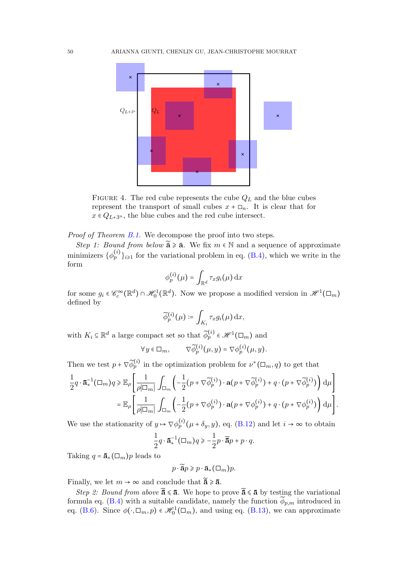

<span id="page-49-0"></span>FIGURE 4. The red cube represents the cube  $Q_L$  and the blue cubes represent the transport of small cubes  $x + \Box_n$ . It is clear that for  $x \in Q_{L+3^n}$ , the blue cubes and the red cube intersect.

Proof of Theorem [B.1.](#page-45-3) We decompose the proof into two steps.

Step 1: Bound from below  $\tilde{\mathbf{a}} \geq \mathbf{a}$ . We fix  $m \in \mathbb{N}$  and a sequence of approximate minimizers  $\{\phi_p^{(i)}\}_{i\geq 1}$  for the variational problem in eq. [\(B.4\)](#page-45-2), which we write in the form

$$
\phi_p^{(i)}(\mu) = \int_{\mathbb{R}^d} \tau_x g_i(\mu) \, \mathrm{d}x
$$

for some  $g_i \in \mathscr{C}_c^{\infty}(\mathbb{R}^d) \cap \mathscr{H}_0^1(\mathbb{R}^d)$ . Now we propose a modified version in  $\mathscr{H}^1(\Box_m)$ defined by

$$
\widetilde{\phi}_p^{(i)}(\mu) \coloneqq \int_{K_i} \tau_x g_i(\mu) \,\mathrm{d} x,
$$

with  $K_i \subseteq \mathbb{R}^d$  a large compact set so that  $\widetilde{\phi}_p^{(i)} \in \mathcal{H}^1(\square_m)$  and

$$
\forall y \in \Box_m, \qquad \nabla \widetilde{\phi}_p^{(i)}(\mu, y) = \nabla \phi_p^{(i)}(\mu, y).
$$

Then we test  $p + \nabla \widetilde{\phi}_p^{(i)}$  in the optimization problem for  $\nu^*(\Box_m, q)$  to get that

$$
\frac{1}{2}q \cdot \bar{\mathbf{a}}_*^{-1}(\Box_m)q \geq \mathbb{E}_{\rho} \left[ \frac{1}{\rho |\Box_m|} \int_{\Box_m} \left( -\frac{1}{2} (p + \nabla \widetilde{\phi}_p^{(i)}) \cdot \mathbf{a}(p + \nabla \widetilde{\phi}_p^{(i)}) + q \cdot (p + \nabla \widetilde{\phi}_p^{(i)}) \right) d\mu \right] \n= \mathbb{E}_{\rho} \left[ \frac{1}{\rho |\Box_m|} \int_{\Box_m} \left( -\frac{1}{2} (p + \nabla \phi_p^{(i)}) \cdot \mathbf{a}(p + \nabla \phi_p^{(i)}) + q \cdot (p + \nabla \phi_p^{(i)}) \right) d\mu \right].
$$

We use the stationarity of  $y \mapsto \nabla \phi_p^{(i)}(\mu + \delta_y, y)$ , eq. [\(B.12\)](#page-46-1) and let  $i \to \infty$  to obtain

$$
\frac{1}{2}q \cdot \overline{\mathbf{a}}_*^{-1}(\square_m)q \geqslant -\frac{1}{2}p \cdot \widetilde{\mathbf{a}}p + p \cdot q.
$$

Taking  $q = \bar{a}_*(\Box_m)p$  leads to

 $p \cdot \widetilde{\mathbf{a}}_p \geqslant p \cdot \mathbf{\bar{a}}_*(\square_m)p.$ 

Finally, we let  $m \to \infty$  and conclude that  $\tilde{\mathbf{a}} \geq \mathbf{a}$ .

Step 2: Bound from above  $\tilde{\mathbf{a}} \leq \mathbf{a}$ . We hope to prove  $\tilde{\mathbf{a}} \leq \mathbf{a}$  by testing the variational formula eq. [\(B.4\)](#page-45-2) with a suitable candidate, namely the function  $\phi_{p,m}$  introduced in eq. [\(B.6\)](#page-46-2). Since  $\phi(\cdot, \Box_m, p) \in \mathcal{H}_0^1(\Box_m)$ , and using eq. [\(B.13\)](#page-47-0), we can approximate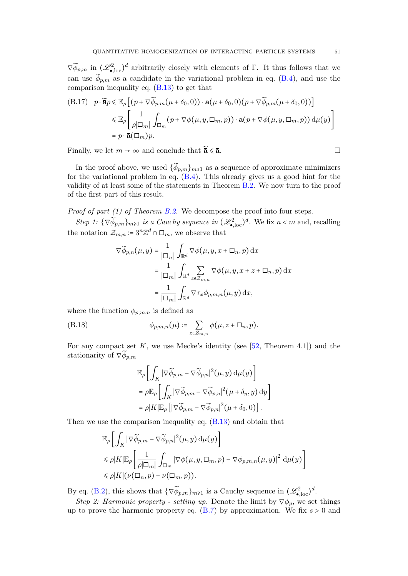$\nabla \widetilde{\phi}_{p,m}$  in  $(\mathscr{L}_{\bullet,\text{loc}}^2)^d$  arbitrarily closely with elements of  $\Gamma$ . It thus follows that we can use  $\widetilde{\phi}_{p,m}$  as a candidate in the variational problem in eq. [\(B.4\)](#page-45-2), and use the comparison inequality eq. [\(B.13\)](#page-47-0) to get that

<span id="page-50-1"></span>(B.17) 
$$
p \cdot \tilde{\mathbf{a}}p \leq \mathbb{E}_{\rho} \left[ (p + \nabla \widetilde{\phi}_{p,m}(\mu + \delta_0, 0)) \cdot \mathbf{a}(\mu + \delta_0, 0) (p + \nabla \widetilde{\phi}_{p,m}(\mu + \delta_0, 0)) \right]
$$
  
\n $\leq \mathbb{E}_{\rho} \left[ \frac{1}{\rho |\Box_m|} \int_{\Box_m} (p + \nabla \phi(\mu, y, \Box_m, p)) \cdot \mathbf{a}(p + \nabla \phi(\mu, y, \Box_m, p)) d\mu(y) \right]$   
\n $= p \cdot \mathbf{\bar{a}}(\Box_m) p.$ 

Finally, we let  $m \to \infty$  and conclude that  $\tilde{\mathbf{a}} \leq \mathbf{a}$ .

In the proof above, we used  $\{\widetilde{\phi}_{p,m}\}_{m\geq 1}$  as a sequence of approximate minimizers for the variational problem in eq.  $(B.4)$ . This already gives us a good hint for the validity of at least some of the statements in Theorem [B.2.](#page-46-3) We now turn to the proof of the first part of this result.

*Proof of part (1) of Theorem [B.2.](#page-46-3)* We decompose the proof into four steps.

Step 1:  $\{\nabla \widetilde{\phi}_{p,m}\}_{m\geq 1}$  is a Cauchy sequence in  $(\mathscr{L}^2_{\bullet,\text{loc}})^d$ . We fix  $n < m$  and, recalling the notation  $\mathcal{Z}_{m,n} \coloneqq 3^n \mathbb{Z}^d \cap \Box_m$ , we observe that

$$
\nabla \widetilde{\phi}_{p,n}(\mu, y) = \frac{1}{|\Box_n|} \int_{\mathbb{R}^d} \nabla \phi(\mu, y, x + \Box_n, p) dx
$$
  
= 
$$
\frac{1}{|\Box_m|} \int_{\mathbb{R}^d} \sum_{z \in \mathcal{Z}_{m,n}} \nabla \phi(\mu, y, x + z + \Box_n, p) dx
$$
  
= 
$$
\frac{1}{|\Box_m|} \int_{\mathbb{R}^d} \nabla \tau_x \phi_{p,m,n}(\mu, y) dx,
$$

where the function  $\phi_{p,m,n}$  is defined as

<span id="page-50-0"></span>(B.18) 
$$
\phi_{p,m,n}(\mu) \coloneqq \sum_{z \in \mathcal{Z}_{m,n}} \phi(\mu, z + \Box_n, p).
$$

For any compact set  $K$ , we use Mecke's identity (see [\[52,](#page-59-22) Theorem 4.1]) and the stationarity of  $\nabla \widetilde{\phi}_{n,m}$ 

$$
\mathbb{E}_{\rho}\bigg[\int_{K}|\nabla \widetilde{\phi}_{p,m} - \nabla \widetilde{\phi}_{p,n}|^{2}(\mu, y) d\mu(y)\bigg]
$$
  
=  $\rho \mathbb{E}_{\rho}\bigg[\int_{K}|\nabla \widetilde{\phi}_{p,m} - \nabla \widetilde{\phi}_{p,n}|^{2}(\mu + \delta_{y}, y) dy\bigg]$   
=  $\rho |K| \mathbb{E}_{\rho}\big[ |\nabla \widetilde{\phi}_{p,m} - \nabla \widetilde{\phi}_{p,n}|^{2}(\mu + \delta_{0}, 0)\big].$ 

Then we use the comparison inequality eq. [\(B.13\)](#page-47-0) and obtain that

$$
\mathbb{E}_{\rho} \left[ \int_{K} |\nabla \widetilde{\phi}_{p,m} - \nabla \widetilde{\phi}_{p,n}|^{2} (\mu, y) d\mu(y) \right]
$$
  
\$\leqslant \rho | K | \mathbb{E}\_{\rho} \left[ \frac{1}{\rho |\Box\_{m}|} \int\_{\Box\_{m}} |\nabla \phi(\mu, y, \Box\_{m}, p) - \nabla \phi\_{p,m,n}(\mu, y)|^{2} d\mu(y) \right] \$  
\$\leqslant \rho | K | (\nu (\Box\_{n}, p) - \nu (\Box\_{m}, p)).

By eq. [\(B.2\)](#page-45-4), this shows that  $\{\nabla \widetilde{\phi}_{p,m}\}_{m\geq 1}$  is a Cauchy sequence in  $(\mathscr{L}_{\bullet,\text{loc}}^2)^d$ .

Step 2: Harmonic property - setting up. Denote the limit by  $\nabla \phi_p$ , we set things up to prove the harmonic property eq.  $(B.7)$  by approximation. We fix  $s > 0$  and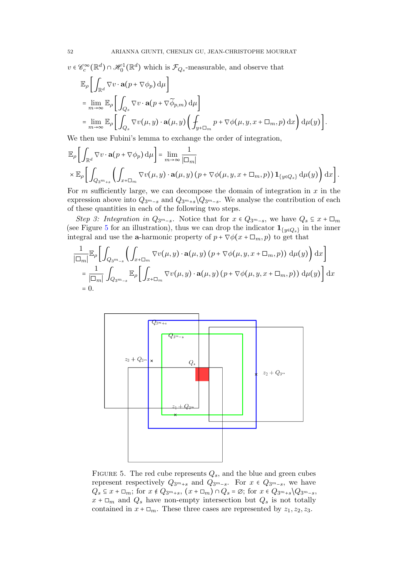$v \in \mathcal{C}_c^{\infty}(\mathbb{R}^d) \cap \mathcal{H}_0^1(\mathbb{R}^d)$  which is  $\mathcal{F}_{Q_s}$ -measurable, and observe that

$$
\mathbb{E}_{\rho}\left[\int_{\mathbb{R}^d} \nabla v \cdot \mathbf{a}(p + \nabla \phi_p) d\mu\right]
$$
\n
$$
= \lim_{m \to \infty} \mathbb{E}_{\rho}\left[\int_{Q_s} \nabla v \cdot \mathbf{a}(p + \nabla \widetilde{\phi}_{p,m}) d\mu\right]
$$
\n
$$
= \lim_{m \to \infty} \mathbb{E}_{\rho}\left[\int_{Q_s} \nabla v(\mu, y) \cdot \mathbf{a}(\mu, y) \left(\int_{y + \square_m} p + \nabla \phi(\mu, y, x + \square_m, p) dx\right) d\mu(y)\right].
$$

We then use Fubini's lemma to exchange the order of integration,

$$
\mathbb{E}_{\rho}\bigg[\int_{\mathbb{R}^d} \nabla v \cdot \mathbf{a}(p + \nabla \phi_p) d\mu\bigg] = \lim_{m \to \infty} \frac{1}{|\Box_m|} \times \mathbb{E}_{\rho}\bigg[\int_{Q_{3m+s}} \bigg(\int_{x + \Box_m} \nabla v(\mu, y) \cdot \mathbf{a}(\mu, y) (p + \nabla \phi(\mu, y, x + \Box_m, p)) \mathbf{1}_{\{y \in Q_s\}} d\mu(y)\bigg) dx\bigg].
$$

For  $m$  sufficiently large, we can decompose the domain of integration in  $x$  in the expression above into  $Q_{3m-s}$  and  $Q_{3m+s}\setminus Q_{3m-s}$ . We analyse the contribution of each of these quantities in each of the following two steps.

Step 3: Integration in  $Q_{3^m-s}$ . Notice that for  $x \in Q_{3^m-s}$ , we have  $Q_s \subseteq x + \square_m$ (see Figure [5](#page-51-0) for an illustration), thus we can drop the indicator  $\mathbf{1}_{\{y \in Q_s\}}$  in the inner integral and use the **a**-harmonic property of  $p + \nabla \phi(x + \Box_m, p)$  to get that

$$
\frac{1}{|\Box_m|} \mathbb{E}_{\rho} \left[ \int_{Q_{3^m-s}} \left( \int_{x+\Box_m} \nabla v(\mu, y) \cdot \mathbf{a}(\mu, y) (p + \nabla \phi(\mu, y, x + \Box_m, p)) d\mu(y) \right) dx \right]
$$
  
\n
$$
= \frac{1}{|\Box_m|} \int_{Q_{3^m-s}} \mathbb{E}_{\rho} \left[ \int_{x+\Box_m} \nabla v(\mu, y) \cdot \mathbf{a}(\mu, y) (p + \nabla \phi(\mu, y, x + \Box_m, p)) d\mu(y) \right] dx
$$
  
\n= 0.



<span id="page-51-0"></span>FIGURE 5. The red cube represents  $Q_s$ , and the blue and green cubes represent respectively  $Q_{3m+s}$  and  $Q_{3m-s}$ . For  $x \in Q_{3m-s}$ , we have  $Q_s \subseteq x + \square_m$ ; for  $x \notin Q_{3^m+s}$ ,  $(x + \square_m) \cap Q_s = \emptyset$ ; for  $x \in Q_{3^m+s} \backslash Q_{3^m-s}$ ,  $x + \Box_m$  and  $Q_s$  have non-empty intersection but  $Q_s$  is not totally contained in  $x + \Box_m$ . These three cases are represented by  $z_1, z_2, z_3$ .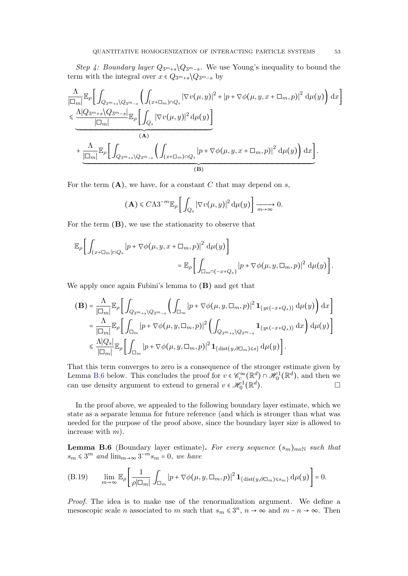Step 4: Boundary layer  $Q_{3m+s} \backslash Q_{3m-s}$ . We use Young's inequality to bound the term with the integral over  $x \in Q_{3m+s} \backslash Q_{3m-s}$  by

$$
\frac{\Lambda}{|\Box_{m}|}\mathbb{E}_{\rho}\bigg[\int_{Q_{3^{m}+s}\setminus Q_{3^{m}-s}}\bigg(\int_{(x+\Box_{m})\cap Q_{s}}|\nabla v(\mu,y)|^{2}+|p+\nabla\phi(\mu,y,x+\Box_{m},p)|^{2}\,\mathrm{d}\mu(y)\bigg)\,\mathrm{d}x\bigg] \leq \frac{\Lambda|Q_{3^{m}+s}\setminus Q_{3^{m}-s}|}{|\Box_{m}|}\mathbb{E}_{\rho}\bigg[\int_{Q_{3}}|\nabla v(\mu,y)|^{2}\,\mathrm{d}\mu(y)\bigg] \tag{A}
$$
\n
$$
+\underbrace{\frac{\Lambda}{|\Box_{m}|}\mathbb{E}_{\rho}\bigg[\int_{Q_{3^{m}+s}\setminus Q_{3^{m}-s}}\bigg(\int_{(x+\Box_{m})\cap Q_{s}}|p+\nabla\phi(\mu,y,x+\Box_{m},p)|^{2}\,\mathrm{d}\mu(y)\bigg)\,\mathrm{d}x\bigg]}_{(\mathbf{B})}.
$$

For the term  $(A)$ , we have, for a constant C that may depend on s,

$$
(\mathbf{A}) \leq C\Lambda 3^{-m} \mathbb{E}_{\rho} \bigg[ \int_{Q_s} |\nabla v(\mu, y)|^2 d\mu(y) \bigg] \xrightarrow[m \to \infty]{} 0.
$$

For the term  $(B)$ , we use the stationarity to observe that

$$
\mathbb{E}_{\rho}\bigg[\int_{(x+\Box_m)\cap Q_s} |p+\nabla\phi(\mu,y,x+\Box_m,p)|^2 \,d\mu(y)\bigg]
$$
  

$$
= \mathbb{E}_{\rho}\bigg[\int_{\Box_m\cap(-x+Q_s)} |p+\nabla\phi(\mu,y,\Box_m,p)|^2 \,d\mu(y)\bigg].
$$

We apply once again Fubini's lemma to (B) and get that

$$
\begin{split} \mathbf{(B)} &= \frac{\Lambda}{|\Box_m|} \mathbb{E}_{\rho} \bigg[ \int_{Q_{3m+s}\backslash Q_{3m-s}} \bigg( \int_{\Box_m} |p + \nabla \phi(\mu, y, \Box_m, p)|^2 \, \mathbf{1}_{\{y \in (-x+Q_s)\}} \, \mathrm{d}\mu(y) \bigg) \, \mathrm{d}x \bigg] \\ &= \frac{\Lambda}{|\Box_m|} \mathbb{E}_{\rho} \bigg[ \int_{\Box_m} |p + \nabla \phi(\mu, y, \Box_m, p)|^2 \bigg( \int_{Q_{3m+s}\backslash Q_{3m-s}} \mathbf{1}_{\{y \in (-x+Q_s)\}} \, \mathrm{d}x \bigg) \, \mathrm{d}\mu(y) \bigg] \\ &\leqslant \frac{\Lambda |Q_s|}{|\Box_m|} \mathbb{E}_{\rho} \bigg[ \int_{\Box_m} |p + \nabla \phi(\mu, y, \Box_m, p)|^2 \, \mathbf{1}_{\{\text{dist}(y, \partial \Box_m) \leqslant s\}} \, \mathrm{d}\mu(y) \bigg]. \end{split}
$$

That this term converges to zero is a consequence of the stronger estimate given by Lemma [B.6](#page-52-0) below. This concludes the proof for  $v \in \mathscr{C}_{c}^{\infty}(\mathbb{R}^{d}) \cap \mathscr{H}_{0}^{1}(\mathbb{R}^{d})$ , and then we can use density argument to extend to general  $v \in \mathscr{H}_0^1(\mathbb{R}^d)$  $\Box$ 

In the proof above, we appealed to the following boundary layer estimate, which we state as a separate lemma for future reference (and which is stronger than what was needed for the purpose of the proof above, since the boundary layer size is allowed to increase with  $m$ ).

<span id="page-52-0"></span>**Lemma B.6** (Boundary layer estimate). For every sequence  $(s_m)_{m \in \mathbb{N}}$  such that  $s_m \leq 3^m$  and  $\lim_{m \to \infty} 3^{-m} s_m = 0$ , we have

<span id="page-52-1"></span>(B.19) 
$$
\lim_{m\to\infty}\mathbb{E}_{\rho}\left[\frac{1}{\rho|\Box_m|}\int_{\Box_m}|p+\nabla\phi(\mu,y,\Box_m,p)|^2\mathbf{1}_{\{\text{dist}(y,\partial\Box_m)\leq s_m\}}\,\mathrm{d}\mu(y)\right]=0.
$$

Proof. The idea is to make use of the renormalization argument. We define a mesoscopic scale *n* associated to *m* such that  $s_m \leq 3^n$ ,  $n \to \infty$  and  $m - n \to \infty$ . Then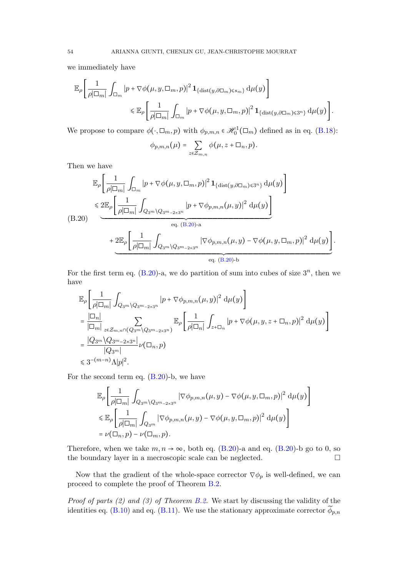we immediately have

$$
\mathbb{E}_{\rho}\left[\frac{1}{\rho|\Box_{m}|}\int_{\Box_{m}}|p+\nabla\phi(\mu,y,\Box_{m},p)|^{2}\mathbf{1}_{\{\text{dist}(y,\partial\Box_{m})\leq s_{m}\}}\,d\mu(y)\right] \leq \mathbb{E}_{\rho}\left[\frac{1}{\rho|\Box_{m}|}\int_{\Box_{m}}|p+\nabla\phi(\mu,y,\Box_{m},p)|^{2}\mathbf{1}_{\{\text{dist}(y,\partial\Box_{m})\leqslant3^{n}\}}\,d\mu(y)\right].
$$

We propose to compare  $\phi(\cdot, \Box_m, p)$  with  $\phi_{p,m,n} \in \mathcal{H}_0^1(\Box_m)$  defined as in eq. [\(B.18\)](#page-50-0):

$$
\phi_{p,m,n}(\mu) = \sum_{z \in \mathcal{Z}_{m,n}} \phi(\mu, z + \Box_n, p).
$$

Then we have

<span id="page-53-0"></span>
$$
\mathbb{E}_{\rho}\left[\frac{1}{\rho|\Box_{m}|}\int_{\Box_{m}}|p+\nabla\phi(\mu,y,\Box_{m},p)|^{2}\mathbf{1}_{\{\text{dist}(y,\partial\Box_{m})\leqslant3^{n}\}}\,d\mu(y)\right]
$$
\n
$$
\leqslant 2\mathbb{E}_{\rho}\left[\frac{1}{\rho|\Box_{m}|}\int_{Q_{3^{m}}\backslash Q_{3^{m}-2\times3^{n}}}|p+\nabla\phi_{p,m,n}(\mu,y)|^{2}\,d\mu(y)\right]
$$
\n(B.20)\n
$$
+\frac{2\mathbb{E}_{\rho}\left[\frac{1}{\rho|\Box_{m}|}\int_{Q_{3^{m}}\backslash Q_{3^{m}-2\times3^{n}}}\left|\nabla\phi_{p,m,n}(\mu,y)-\nabla\phi(\mu,y,\Box_{m},p)\right|^{2}\,d\mu(y)\right]}{\text{eq. (B.20)-b}}.
$$

For the first term eq.  $(B.20)$ -a, we do partition of sum into cubes of size  $3^n$ , then we have

$$
\mathbb{E}_{\rho}\left[\frac{1}{\rho|\Box_{m}|}\int_{Q_{3^m}\backslash Q_{3^m-2\times 3^n}}|p+\nabla\phi_{p,m,n}(\mu,y)|^2\,\mathrm{d}\mu(y)\right]
$$
\n
$$
=\frac{|\Box_n|}{|\Box_m|}\sum_{z\in\mathcal{Z}_{m,n}\cap(Q_{3^m}\backslash Q_{3^m-2\times 3^n})}\mathbb{E}_{\rho}\left[\frac{1}{\rho|\Box_n|}\int_{z+\Box_n}|p+\nabla\phi(\mu,y,z+\Box_n,p)|^2\,\mathrm{d}\mu(y)\right]
$$
\n
$$
=\frac{|Q_{3^m}\backslash Q_{3^m-2\times 3^n}|}{|Q_{3^m}|}\nu(\Box_n,p)
$$
\n
$$
\leq 3^{-(m-n)}\Lambda|p|^2.
$$

For the second term eq. [\(B.20\)](#page-53-0)-b, we have

$$
\mathbb{E}_{\rho} \bigg[ \frac{1}{\rho |\Box_m|} \int_{Q_{3^m} \setminus Q_{3^m - 2 \times 3^n}} |\nabla \phi_{p,m,n}(\mu, y) - \nabla \phi(\mu, y, \Box_m, p)|^2 d\mu(y) \bigg] \leq \mathbb{E}_{\rho} \bigg[ \frac{1}{\rho |\Box_m|} \int_{Q_{3^m}} |\nabla \phi_{p,m,n}(\mu, y) - \nabla \phi(\mu, y, \Box_m, p)|^2 d\mu(y) \bigg] \leq \nu(\Box_n, p) - \nu(\Box_m, p).
$$

Therefore, when we take  $m, n \to \infty$ , both eq. [\(B.20\)](#page-53-0)-a and eq. (B.20)-b go to 0, so the boundary layer in a mecroscopic scale can be neglected.

Now that the gradient of the whole-space corrector  $\nabla \phi_p$  is well-defined, we can proceed to complete the proof of Theorem [B.2.](#page-46-3)

*Proof of parts (2) and (3) of Theorem [B.2.](#page-46-3)* We start by discussing the validity of the identities eq. [\(B.10\)](#page-46-5) and eq. [\(B.11\)](#page-46-6). We use the stationary approximate corrector  $\widetilde{\phi}_{p,n}$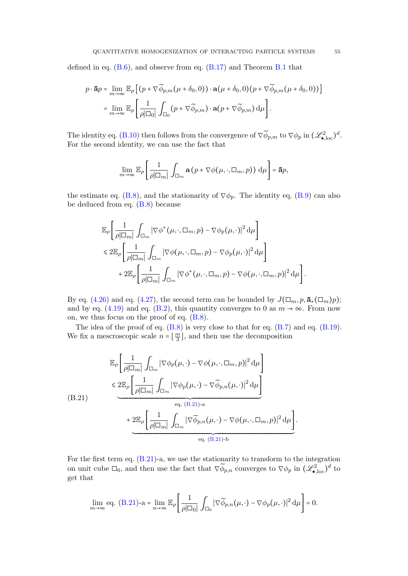defined in eq.  $(B.6)$ , and observe from eq.  $(B.17)$  $(B.17)$  $(B.17)$  and Theorem B.1 that

$$
p \cdot \mathbf{\bar{a}}p = \lim_{m \to \infty} \mathbb{E}_{\rho} \left[ \left( p + \nabla \widetilde{\phi}_{p,m}(\mu + \delta_0, 0) \right) \cdot \mathbf{a}(\mu + \delta_0, 0) (p + \nabla \widetilde{\phi}_{p,m}(\mu + \delta_0, 0)) \right]
$$
  
= 
$$
\lim_{m \to \infty} \mathbb{E}_{\rho} \left[ \frac{1}{\rho |\Box_0|} \int_{\Box_0} (p + \nabla \widetilde{\phi}_{p,m}) \cdot \mathbf{a}(p + \nabla \widetilde{\phi}_{p,m}) \, \mathrm{d}\mu \right].
$$

The identity eq. [\(B.10\)](#page-46-5) then follows from the convergence of  $\nabla \widetilde{\phi}_{p,m}$  to  $\nabla \phi_p$  in  $(\mathscr{L}_{\bullet,\text{loc}}^2)^d$ . For the second identity, we can use the fact that

$$
\lim_{m\to\infty}\mathbb{E}_{\rho}\left[\frac{1}{\rho|\Box_{m}|}\int_{\Box_{m}}\mathbf{a}\left(p+\nabla\phi(\mu,\cdot,\Box_{m},p)\right)d\mu\right]=\mathbf{\bar{a}}p,
$$

the estimate eq. [\(B.8\)](#page-46-7), and the stationarity of  $\nabla \phi_p$ . The identity eq. [\(B.9\)](#page-46-8) can also be deduced from eq. [\(B.8\)](#page-46-7) because

$$
\mathbb{E}_{\rho} \Bigg[ \frac{1}{\rho |\Box_m|} \int_{\Box_m} |\nabla \phi^*(\mu, \cdot, \Box_m, p) - \nabla \phi_p(\mu, \cdot)|^2 d\mu \Bigg] \leq 2 \mathbb{E}_{\rho} \Bigg[ \frac{1}{\rho |\Box_m|} \int_{\Box_m} |\nabla \phi(\mu, \cdot, \Box_m, p) - \nabla \phi_p(\mu, \cdot)|^2 d\mu \Bigg] + 2 \mathbb{E}_{\rho} \Bigg[ \frac{1}{\rho |\Box_m|} \int_{\Box_m} |\nabla \phi^*(\mu, \cdot, \Box_m, p) - \nabla \phi(\mu, \cdot, \Box_m, p)|^2 d\mu \Bigg].
$$

By eq. [\(4.26\)](#page-30-2) and eq. [\(4.27\)](#page-30-0), the second term can be bounded by  $J(\Box_m, p, \bar{\mathbf{a}}_*(\Box_m)p)$ ; and by eq. [\(4.19\)](#page-27-0) and eq. [\(B.2\)](#page-45-4), this quantity converges to 0 as  $m \to \infty$ . From now on, we thus focus on the proof of eq. [\(B.8\)](#page-46-7).

The idea of the proof of eq.  $(B.8)$  is very close to that for eq.  $(B.7)$  and eq.  $(B.19)$ . We fix a mescroscopic scale  $n = \lfloor \frac{m}{3} \rfloor$  $\frac{m}{3}$ , and then use the decomposition

<span id="page-54-0"></span>
$$
\mathbb{E}_{\rho} \left[ \frac{1}{\rho |\Box_m|} \int_{\Box_m} |\nabla \phi_p(\mu, \cdot) - \nabla \phi(\mu, \cdot, \Box_m, p)|^2 d\mu \right] \leq \mathbb{E}_{\rho} \left[ \frac{1}{\rho |\Box_m|} \int_{\Box_m} |\nabla \phi_p(\mu, \cdot) - \nabla \widetilde{\phi}_{p,n}(\mu, \cdot)|^2 d\mu \right] \leq \mathbb{E}_{\rho} \left[ \frac{1}{\rho |\Box_m|} \int_{\Box_m} |\nabla \widetilde{\phi}_{p,n}(\mu, \cdot) - \nabla \phi(\mu, \cdot, \Box_m, p)|^2 d\mu \right] \leq \mathbb{E}_{\rho} \left[ \frac{1}{\rho |\Box_m|} \int_{\Box_m} |\nabla \widetilde{\phi}_{p,n}(\mu, \cdot) - \nabla \phi(\mu, \cdot, \Box_m, p)|^2 d\mu \right] \leq \mathbb{E}_{\rho} \left[ \frac{1}{\rho |\Box_m|} \int_{\Box_m} |\nabla \widetilde{\phi}_{p,n}(\mu, \cdot) - \nabla \phi(\mu, \cdot, \Box_m, p)|^2 d\mu \right].
$$

For the first term eq. [\(B.21\)](#page-54-0)-a, we use the stationarity to transform to the integration on unit cube  $\Box_0$ , and then use the fact that  $\nabla \widetilde{\phi}_{p,n}$  converges to  $\nabla \phi_p$  in  $(\mathscr{L}_{\bullet,\text{loc}}^2)^d$  to get that

$$
\lim_{m\to\infty} \text{eq. (B.21)-a} = \lim_{n\to\infty} \mathbb{E}_{\rho} \left[ \frac{1}{\rho |\Box_0|} \int_{\Box_0} |\nabla \widetilde{\phi}_{p,n}(\mu, \cdot) - \nabla \phi_p(\mu, \cdot)|^2 d\mu \right] = 0.
$$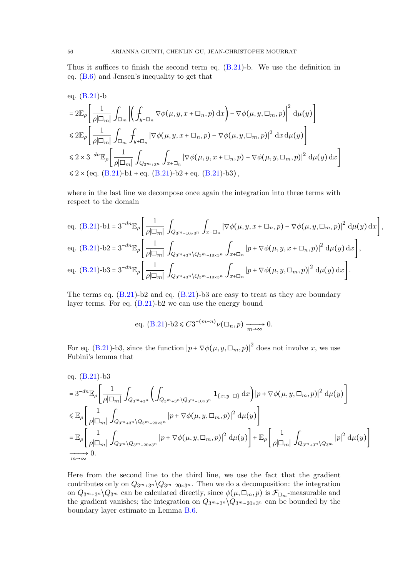Thus it suffices to finish the second term eq. [\(B.21\)](#page-54-0)-b. We use the definition in eq. [\(B.6\)](#page-46-2) and Jensen's inequality to get that

eq. (B.21)-b  
\n
$$
= 2\mathbb{E}_{\rho} \left[ \frac{1}{\rho|\Box_{m}|} \int_{\Box_{m}} \left| \left( \int_{y+\Box_{n}} \nabla \phi(\mu, y, x+\Box_{n}, p) dx \right) - \nabla \phi(\mu, y, \Box_{m}, p) \right|^{2} d\mu(y) \right]
$$
\n
$$
\leq 2\mathbb{E}_{\rho} \left[ \frac{1}{\rho|\Box_{m}|} \int_{\Box_{m}} \int_{y+\Box_{n}} |\nabla \phi(\mu, y, x+\Box_{n}, p) - \nabla \phi(\mu, y, \Box_{m}, p)|^{2} dx d\mu(y) \right]
$$
\n
$$
\leq 2 \times 3^{-dn} \mathbb{E}_{\rho} \left[ \frac{1}{\rho|\Box_{m}|} \int_{Q_{3^{m}+3^{n}}} \int_{x+\Box_{n}} |\nabla \phi(\mu, y, x+\Box_{n}, p) - \nabla \phi(\mu, y, \Box_{m}, p)|^{2} d\mu(y) dx \right]
$$
\n
$$
\leq 2 \times (\text{eq. (B.21)-b1 + eq. (B.21)-b2 + eq. (B.21)-b3)},
$$

where in the last line we decompose once again the integration into three terms with respect to the domain

eq. (B.21)-b1 = 
$$
3^{-dn} \mathbb{E}_{\rho} \left[ \frac{1}{\rho |\Box_m|} \int_{Q_{3^m-10 \times 3^n}} \int_{x+\Box_n} |\nabla \phi(\mu, y, x + \Box_n, p) - \nabla \phi(\mu, y, \Box_m, p)|^2 d\mu(y) dx \right]
$$
,  
\neq. (B.21)-b2 =  $3^{-dn} \mathbb{E}_{\rho} \left[ \frac{1}{\rho |\Box_m|} \int_{Q_{3^m+3^n} \setminus Q_{3^m-10 \times 3^n}} \int_{x+\Box_n} |p + \nabla \phi(\mu, y, x + \Box_n, p)|^2 d\mu(y) dx \right]$ ,  
\neq. (B.21)-b3 =  $3^{-dn} \mathbb{E}_{\rho} \left[ \frac{1}{\rho |\Box_m|} \int_{Q_{3^m+3^n} \setminus Q_{3^m-10 \times 3^n}} \int_{x+\Box_n} |p + \nabla \phi(\mu, y, \Box_m, p)|^2 d\mu(y) dx \right]$ .

The terms eq. [\(B.21\)](#page-54-0)-b2 and eq. [\(B.21\)](#page-54-0)-b3 are easy to treat as they are boundary layer terms. For eq.  $(B.21)$ -b2 we can use the energy bound

eq. (B.21)-b2 
$$
\leq C3^{-(m-n)}\nu(\Box_n, p) \xrightarrow[m \to \infty]{} 0.
$$

For eq. [\(B.21\)](#page-54-0)-b3, since the function  $|p + \nabla \phi(\mu, y, \Box_m, p)|^2$  does not involve x, we use Fubini's lemma that

eq. (B.21)-b3  
\n
$$
= 3^{-dn} \mathbb{E}_{\rho} \left[ \frac{1}{\rho |\Box_m|} \int_{Q_{3m+3n}} \left( \int_{Q_{3m+3n} \setminus Q_{3m-10\times 3n}} \mathbf{1}_{\{x \in y + \Box\}} dx \right) |p + \nabla \phi(\mu, y, \Box_m, p)|^2 d\mu(y) \right]
$$
\n
$$
\leq \mathbb{E}_{\rho} \left[ \frac{1}{\rho |\Box_m|} \int_{Q_{3m+3n} \setminus Q_{3m-20\times 3n}} |p + \nabla \phi(\mu, y, \Box_m, p)|^2 d\mu(y) \right]
$$
\n
$$
= \mathbb{E}_{\rho} \left[ \frac{1}{\rho |\Box_m|} \int_{Q_{3m} \setminus Q_{3m-20\times 3n}} |p + \nabla \phi(\mu, y, \Box_m, p)|^2 d\mu(y) \right] + \mathbb{E}_{\rho} \left[ \frac{1}{\rho |\Box_m|} \int_{Q_{3m+3n} \setminus Q_{3m}} |p|^2 d\mu(y) \right]
$$
\n
$$
\xrightarrow[m \to \infty]{} 0.
$$

Here from the second line to the third line, we use the fact that the gradient contributes only on  $Q_{3^m+3^n} \backslash Q_{3^m-20 \times 3^n}$ . Then we do a decomposition: the integration on  $Q_{3^m+3^n} \setminus Q_{3^m}$  can be calculated directly, since  $\phi(\mu, \Box_m, p)$  is  $\mathcal{F}_{\Box_m}$ -measurable and the gradient vanishes; the integration on  $Q_{3m+3n} \setminus Q_{3m-20\times 3^n}$  can be bounded by the boundary layer estimate in Lemma [B.6.](#page-52-0)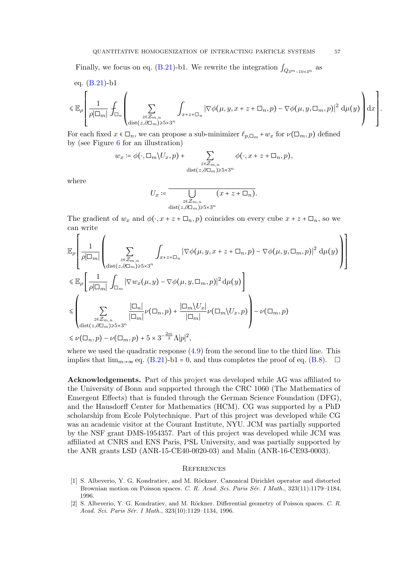Finally, we focus on eq. [\(B.21\)](#page-54-0)-b1. We rewrite the integration  $\int_{Q_3m_{-10\times3^n}}$  as

eq. (B.21)-b1  
\n
$$
\leq \mathbb{E}_{\rho} \left[ \frac{1}{\rho |\Box_m|} \int_{\Box_n} \left( \sum_{\substack{z \in \mathcal{Z}_{m,n} \\ \text{dist}(z, \partial \Box_m) \geq \dots \leq x^{2n}}} \int_{x+z+\Box_n} |\nabla \phi(\mu, y, x+z+\Box_n, p) - \nabla \phi(\mu, y, \Box_m, p)|^2 d\mu(y) \right) dx \right].
$$

For each fixed  $x \in \Box_n$ , we can propose a sub-minimizer  $\ell_{p,\Box_m} + w_x$  for  $\nu(\Box_m, p)$  defined by (see Figure [6](#page-57-17) for an illustration)

$$
w_x \coloneqq \phi(\cdot, \Box_m \setminus U_x, p) + \sum_{\substack{z \in \mathcal{Z}_{m,n} \\ \text{dist}(z, \partial \Box_m) \ge 5 \times 3^n}} \phi(\cdot, x + z + \Box_n, p),
$$

where

$$
U_x \coloneqq \overline{\bigcup_{\substack{z \in \mathcal{Z}_{m,n} \\ \text{dist}(z,\partial \Box_m) \geqslant 5 \times 3^n}} (x + z + \Box_n)}.
$$

The gradient of  $w_x$  and  $\phi(\cdot, x + z + \Box_n, p)$  coincides on every cube  $x + z + \Box_n$ , so we can write

$$
\mathbb{E}_{\rho}\left[\frac{1}{\rho|\Box_{m}|}\left(\sum_{\substack{z\in\mathbb{Z}_{m,n}\\ \text{dist}(z,\partial\Box_{m})\geqslant 5\times3^{n}}}\int_{x+z+\Box_{n}}|\nabla\phi(\mu,y,x+z+\Box_{n},p)-\nabla\phi(\mu,y,\Box_{m},p)|^{2}\,\mathrm{d}\mu(y)\right)\right]
$$
\n
$$
\leqslant \mathbb{E}_{\rho}\left[\frac{1}{\rho|\Box_{m}|}\int_{\Box_{m}}|\nabla w_{x}(\mu,y)-\nabla\phi(\mu,y,\Box_{m},p)|^{2}\,\mathrm{d}\mu(y)\right]
$$
\n
$$
\leqslant \left(\sum_{\substack{z\in\mathbb{Z}_{m,n}\\ \text{dist}(z,\partial\Box_{m})\geqslant 5\times3^{n}}}\frac{|\Box_{n}|}{|\Box_{m}|}\nu(\Box_{n},p)+\frac{|\Box_{m}\setminus U_{x}|}{|\Box_{m}|}\nu(\Box_{m}\setminus U_{x},p)\right)-\nu(\Box_{m},p)
$$
\n
$$
\leqslant \nu(\Box_{n},p)-\nu(\Box_{m},p)+5\times3^{-\frac{2m}{3}}\Lambda|p|^{2},
$$

where we used the quadratic response  $(4.9)$  from the second line to the third line. This implies that  $\lim_{m\to\infty}$  eq. [\(B.21\)](#page-54-0)-b1 = 0, and thus completes the proof of eq. [\(B.8\)](#page-46-7).  $\Box$ 

Acknowledgements. Part of this project was developed while AG was affiliated to the University of Bonn and supported through the CRC 1060 (The Mathematics of Emergent Effects) that is funded through the German Science Foundation (DFG), and the Hausdorff Center for Mathematics (HCM). CG was supported by a PhD scholarship from Ecole Polytechnique. Part of this project was developed while CG was an academic visitor at the Courant Institute, NYU. JCM was partially supported by the NSF grant DMS-1954357. Part of this project was developed while JCM was affiliated at CNRS and ENS Paris, PSL University, and was partially supported by the ANR grants LSD (ANR-15-CE40-0020-03) and Malin (ANR-16-CE93-0003).

### **REFERENCES**

- <span id="page-56-0"></span>[1] S. Albeverio, Y. G. Kondratiev, and M. Röckner. Canonical Dirichlet operator and distorted Brownian motion on Poisson spaces. C. R. Acad. Sci. Paris Sér. I Math., 323(11):1179-1184, 1996.
- <span id="page-56-1"></span>[2] S. Albeverio, Y. G. Kondratiev, and M. Röckner. Differential geometry of Poisson spaces. C. R. Acad. Sci. Paris Sér. I Math., 323(10):1129-1134, 1996.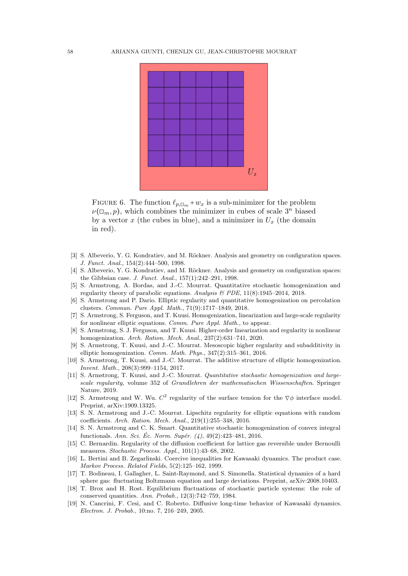

<span id="page-57-17"></span>FIGURE 6. The function  $\ell_{p,\Box_m} + w_x$  is a sub-minimizer for the problem  $\nu(\square_m, p)$ , which combines the minimizer in cubes of scale  $3^n$  biased by a vector x (the cubes in blue), and a minimizer in  $U_x$  (the domain in red).

- <span id="page-57-15"></span>[3] S. Albeverio, Y. G. Kondratiev, and M. Röckner. Analysis and geometry on configuration spaces. J. Funct. Anal., 154(2):444–500, 1998.
- <span id="page-57-16"></span>[4] S. Albeverio, Y. G. Kondratiev, and M. Röckner. Analysis and geometry on configuration spaces: the Gibbsian case. J. Funct. Anal., 157(1):242–291, 1998.
- <span id="page-57-7"></span>[5] S. Armstrong, A. Bordas, and J.-C. Mourrat. Quantitative stochastic homogenization and regularity theory of parabolic equations. Analysis  $\mathcal{B}$  PDE, 11(8):1945–2014, 2018.
- <span id="page-57-8"></span>[6] S. Armstrong and P. Dario. Elliptic regularity and quantitative homogenization on percolation clusters. Commun. Pure Appl. Math., 71(9):1717–1849, 2018.
- <span id="page-57-5"></span>[7] S. Armstrong, S. Ferguson, and T. Kuusi. Homogenization, linearization and large-scale regularity for nonlinear elliptic equations. Comm. Pure Appl. Math., to appear.
- <span id="page-57-6"></span>[8] S. Armstrong, S. J. Ferguson, and T. Kuusi. Higher-order linearization and regularity in nonlinear homogenization. Arch. Ration. Mech. Anal., 237(2):631–741, 2020.
- <span id="page-57-2"></span>[9] S. Armstrong, T. Kuusi, and J.-C. Mourrat. Mesoscopic higher regularity and subadditivity in elliptic homogenization. Comm. Math. Phys., 347(2):315–361, 2016.
- <span id="page-57-3"></span>[10] S. Armstrong, T. Kuusi, and J.-C. Mourrat. The additive structure of elliptic homogenization. Invent. Math., 208(3):999–1154, 2017.
- <span id="page-57-4"></span>[11] S. Armstrong, T. Kuusi, and J.-C. Mourrat. *Quantitative stochastic homogenization and large*scale regularity, volume 352 of Grundlehren der mathematischen Wissenschaften. Springer Nature, 2019.
- <span id="page-57-9"></span>[12] S. Armstrong and W. Wu.  $C^2$  regularity of the surface tension for the  $\nabla \phi$  interface model. Preprint, arXiv:1909.13325.
- <span id="page-57-1"></span>[13] S. N. Armstrong and J.-C. Mourrat. Lipschitz regularity for elliptic equations with random coefficients. Arch. Ration. Mech. Anal., 219(1):255–348, 2016.
- <span id="page-57-0"></span>[14] S. N. Armstrong and C. K. Smart. Quantitative stochastic homogenization of convex integral functionals. Ann. Sci. Éc. Norm. Supér.  $(4)$ , 49 $(2)$ :423–481, 2016.
- <span id="page-57-10"></span>[15] C. Bernardin. Regularity of the diffusion coefficient for lattice gas reversible under Bernoulli measures. Stochastic Process. Appl., 101(1):43–68, 2002.
- <span id="page-57-12"></span>[16] L. Bertini and B. Zegarlinski. Coercive inequalities for Kawasaki dynamics. The product case. Markov Process. Related Fields, 5(2):125–162, 1999.
- <span id="page-57-14"></span>[17] T. Bodineau, I. Gallagher, L. Saint-Raymond, and S. Simonella. Statistical dynamics of a hard sphere gas: fluctuating Boltzmann equation and large deviations. Preprint, arXiv:2008.10403.
- <span id="page-57-11"></span>[18] T. Brox and H. Rost. Equilibrium fluctuations of stochastic particle systems: the role of conserved quantities. Ann. Probab., 12(3):742–759, 1984.
- <span id="page-57-13"></span>[19] N. Cancrini, F. Cesi, and C. Roberto. Diffusive long-time behavior of Kawasaki dynamics. Electron. J. Probab., 10:no. 7, 216–249, 2005.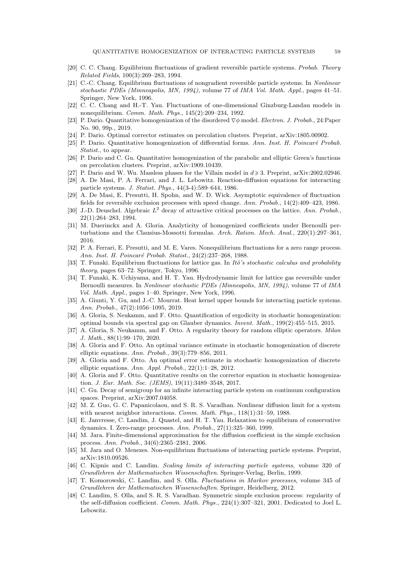- <span id="page-58-16"></span>[20] C. C. Chang. Equilibrium fluctuations of gradient reversible particle systems. Probab. Theory Related Fields, 100(3):269–283, 1994.
- <span id="page-58-18"></span>[21] C.-C. Chang. Equilibrium fluctuations of nongradient reversible particle systems. In Nonlinear stochastic PDEs (Minneapolis, MN, 1994), volume 77 of IMA Vol. Math. Appl., pages 41–51. Springer, New York, 1996.
- <span id="page-58-17"></span>[22] C. C. Chang and H.-T. Yau. Fluctuations of one-dimensional Ginzburg-Landau models in nonequilibrium. Comm. Math. Phys., 145(2):209–234, 1992.
- <span id="page-58-8"></span>[23] P. Dario. Quantitative homogenization of the disordered ∇φ model. Electron. J. Probab., 24:Paper No. 90, 99p., 2019.
- <span id="page-58-5"></span>[24] P. Dario. Optimal corrector estimates on percolation clusters. Preprint, arXiv:1805.00902.
- <span id="page-58-7"></span>[25] P. Dario. Quantitative homogenization of differential forms. Ann. Inst. H. Poincaré Probab. Statist., to appear.
- <span id="page-58-6"></span>[26] P. Dario and C. Gu. Quantitative homogenization of the parabolic and elliptic Green's functions on percolation clusters. Preprint, arXiv:1909.10439.
- <span id="page-58-9"></span>[27] P. Dario and W. Wu. Massless phases for the Villain model in  $d \geq 3$ . Preprint, arXiv:2002.02946.
- <span id="page-58-20"></span>[28] A. De Masi, P. A. Ferrari, and J. L. Lebowitz. Reaction-diffusion equations for interacting particle systems. J. Statist. Phys., 44(3-4):589–644, 1986.
- <span id="page-58-15"></span>[29] A. De Masi, E. Presutti, H. Spohn, and W. D. Wick. Asymptotic equivalence of fluctuation fields for reversible exclusion processes with speed change. Ann. Probab., 14(2):409–423, 1986.
- <span id="page-58-25"></span>[30] J.-D. Deuschel. Algebraic  $L^2$  decay of attractive critical processes on the lattice. Ann. Probab., 22(1):264–283, 1994.
- <span id="page-58-12"></span>[31] M. Duerinckx and A. Gloria. Analyticity of homogenized coefficients under Bernoulli perturbations and the Clausius-Mossotti formulas. Arch. Ration. Mech. Anal., 220(1):297-361, 2016.
- <span id="page-58-21"></span>[32] P. A. Ferrari, E. Presutti, and M. E. Vares. Nonequilibrium fluctuations for a zero range process. Ann. Inst. H. Poincaré Probab. Statist., 24(2):237–268, 1988.
- <span id="page-58-19"></span>[33] T. Funaki. Equilibrium fluctuations for lattice gas. In Itô's stochastic calculus and probability theory, pages 63–72. Springer, Tokyo, 1996.
- <span id="page-58-14"></span>[34] T. Funaki, K. Uchiyama, and H. T. Yau. Hydrodynamic limit for lattice gas reversible under Bernoulli measures. In Nonlinear stochastic PDEs (Minneapolis, MN, 1994), volume 77 of IMA Vol. Math. Appl., pages 1–40. Springer, New York, 1996.
- <span id="page-58-28"></span>[35] A. Giunti, Y. Gu, and J.-C. Mourrat. Heat kernel upper bounds for interacting particle systems. Ann. Probab., 47(2):1056–1095, 2019.
- <span id="page-58-2"></span>[36] A. Gloria, S. Neukamm, and F. Otto. Quantification of ergodicity in stochastic homogenization: optimal bounds via spectral gap on Glauber dynamics. Invent. Math., 199(2):455–515, 2015.
- <span id="page-58-4"></span>[37] A. Gloria, S. Neukamm, and F. Otto. A regularity theory for random elliptic operators. *Milan* J. Math., 88(1):99–170, 2020.
- <span id="page-58-0"></span>[38] A. Gloria and F. Otto. An optimal variance estimate in stochastic homogenization of discrete elliptic equations. Ann. Probab., 39(3):779–856, 2011.
- <span id="page-58-1"></span>[39] A. Gloria and F. Otto. An optimal error estimate in stochastic homogenization of discrete elliptic equations. Ann. Appl. Probab., 22(1):1–28, 2012.
- <span id="page-58-3"></span>[40] A. Gloria and F. Otto. Quantitative results on the corrector equation in stochastic homogenization. J. Eur. Math. Soc. (JEMS), 19(11):3489–3548, 2017.
- <span id="page-58-27"></span>[41] C. Gu. Decay of semigroup for an infinite interacting particle system on continuum configuration spaces. Preprint, arXiv:2007.04058.
- <span id="page-58-13"></span>[42] M. Z. Guo, G. C. Papanicolaou, and S. R. S. Varadhan. Nonlinear diffusion limit for a system with nearest neighbor interactions. *Comm. Math. Phys.*, 118(1):31–59, 1988.
- <span id="page-58-26"></span>[43] E. Janvresse, C. Landim, J. Quastel, and H. T. Yau. Relaxation to equilibrium of conservative dynamics. I. Zero-range processes. Ann. Probab., 27(1):325–360, 1999.
- <span id="page-58-10"></span>[44] M. Jara. Finite-dimensional approximation for the diffusion coefficient in the simple exclusion process. Ann. Probab., 34(6):2365–2381, 2006.
- <span id="page-58-22"></span>[45] M. Jara and O. Menezes. Non-equilibrium fluctuations of interacting particle systems. Preprint, arXiv:1810.09526.
- <span id="page-58-23"></span>[46] C. Kipnis and C. Landim. Scaling limits of interacting particle systems, volume 320 of Grundlehren der Mathematischen Wissenschaften. Springer-Verlag, Berlin, 1999.
- <span id="page-58-24"></span>[47] T. Komorowski, C. Landim, and S. Olla. Fluctuations in Markov processes, volume 345 of Grundlehren der Mathematischen Wissenschaften. Springer, Heidelberg, 2012.
- <span id="page-58-11"></span>[48] C. Landim, S. Olla, and S. R. S. Varadhan. Symmetric simple exclusion process: regularity of the self-diffusion coefficient. Comm. Math. Phys., 224(1):307–321, 2001. Dedicated to Joel L. Lebowitz.